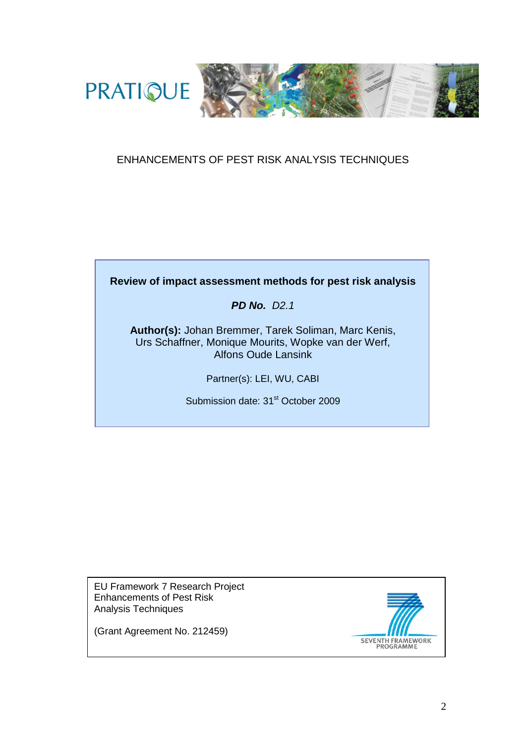

#### ENHANCEMENTS OF PEST RISK ANALYSIS TECHNIQUES

## **Review of impact assessment methods for pest risk analysis**

*PD No. D2.1*

**Author(s):** Johan Bremmer, Tarek Soliman, Marc Kenis, Urs Schaffner, Monique Mourits, Wopke van der Werf, Alfons Oude Lansink

Partner(s): LEI, WU, CABI

Submission date: 31<sup>st</sup> October 2009

EU Framework 7 Research Project Enhancements of Pest Risk Analysis Techniques



(Grant Agreement No. 212459)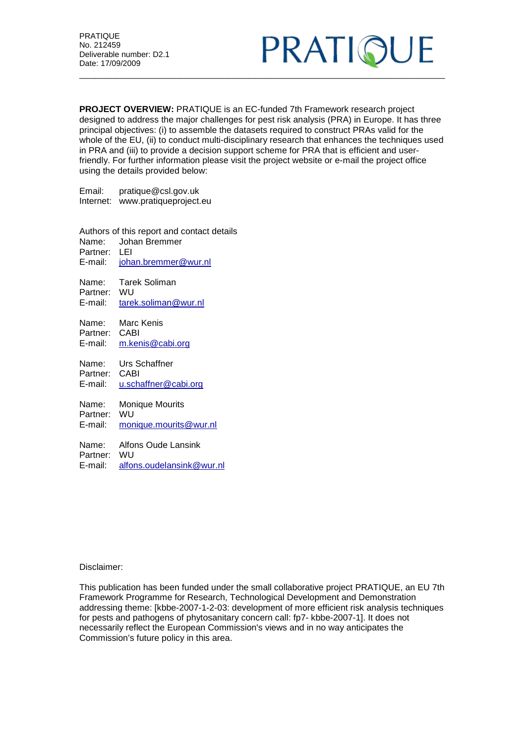

**PROJECT OVERVIEW:** PRATIQUE is an EC-funded 7th Framework research project designed to address the major challenges for pest risk analysis (PRA) in Europe. It has three principal objectives: (i) to assemble the datasets required to construct PRAs valid for the whole of the EU, (ii) to conduct multi-disciplinary research that enhances the techniques used in PRA and (iii) to provide a decision support scheme for PRA that is efficient and userfriendly. For further information please visit the project website or e-mail the project office using the details provided below:

Email: pratique@csl.gov.uk Internet: www.pratiqueproject.eu

Authors of this report and contact details<br>Name: Johan Bremmer Name: Johan Bremmer Partner: LEI<br>E-mail: ioha [johan.bremmer@wur.nl](mailto:johan.bremmer@wur.nl) Name: Tarek Soliman Partner: WU E-mail: [tarek.soliman@wur.nl](mailto:tarek.soliman@wur.nl) Name: Marc Kenis Partner: CABI E-mail: [m.kenis@cabi.org](mailto:m.kenis@cabi.org) Name: Urs Schaffner Partner: CABI<br>E-mail: u.sch [u.schaffner@cabi.org](mailto:u.schaffner@cabi.org) Name: Monique Mourits Partner: WU E-mail: [monique.mourits@wur.nl](mailto:monique.mourits@wur.nl) Name: Alfons Oude Lansink Partner: WU E-mail: [alfons.oudelansink@wur.nl](mailto:alfons.oudelansink@wur.nl)

Disclaimer:

This publication has been funded under the small collaborative project PRATIQUE, an EU 7th Framework Programme for Research, Technological Development and Demonstration addressing theme: [kbbe-2007-1-2-03: development of more efficient risk analysis techniques for pests and pathogens of phytosanitary concern call: fp7- kbbe-2007-1]. It does not necessarily reflect the European Commission's views and in no way anticipates the Commission's future policy in this area.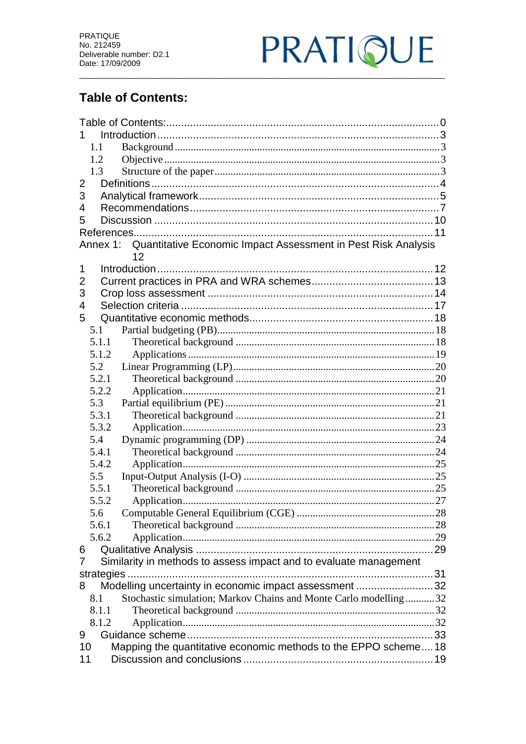

# <span id="page-2-0"></span>**Table of Contents:**

| 1.                                                                           |  |  |  |  |  |  |
|------------------------------------------------------------------------------|--|--|--|--|--|--|
| 1.1                                                                          |  |  |  |  |  |  |
| 1.2                                                                          |  |  |  |  |  |  |
| 1.3                                                                          |  |  |  |  |  |  |
| $\overline{2}$                                                               |  |  |  |  |  |  |
| 3                                                                            |  |  |  |  |  |  |
| 4                                                                            |  |  |  |  |  |  |
| 5                                                                            |  |  |  |  |  |  |
|                                                                              |  |  |  |  |  |  |
| Annex 1: Quantitative Economic Impact Assessment in Pest Risk Analysis<br>12 |  |  |  |  |  |  |
| 1                                                                            |  |  |  |  |  |  |
| 2                                                                            |  |  |  |  |  |  |
| 3                                                                            |  |  |  |  |  |  |
| 4                                                                            |  |  |  |  |  |  |
| 5                                                                            |  |  |  |  |  |  |
| 5.1                                                                          |  |  |  |  |  |  |
| 5.1.1                                                                        |  |  |  |  |  |  |
| 5.1.2                                                                        |  |  |  |  |  |  |
| 5.2                                                                          |  |  |  |  |  |  |
| 5.2.1                                                                        |  |  |  |  |  |  |
| 5.2.2                                                                        |  |  |  |  |  |  |
| 5.3                                                                          |  |  |  |  |  |  |
| 5.3.1                                                                        |  |  |  |  |  |  |
| 5.3.2                                                                        |  |  |  |  |  |  |
| 5.4                                                                          |  |  |  |  |  |  |
| 5.4.1                                                                        |  |  |  |  |  |  |
| 5.4.2                                                                        |  |  |  |  |  |  |
| 5.5                                                                          |  |  |  |  |  |  |
| 5.5.1                                                                        |  |  |  |  |  |  |
| 5.5.2                                                                        |  |  |  |  |  |  |
| 5.6                                                                          |  |  |  |  |  |  |
| 5.6.1                                                                        |  |  |  |  |  |  |
| 5.6.2                                                                        |  |  |  |  |  |  |
| 6<br>7                                                                       |  |  |  |  |  |  |
| Similarity in methods to assess impact and to evaluate management            |  |  |  |  |  |  |
| Modelling uncertainty in economic impact assessment 32<br>8                  |  |  |  |  |  |  |
| Stochastic simulation; Markov Chains and Monte Carlo modelling32<br>8.1      |  |  |  |  |  |  |
| 8.1.1                                                                        |  |  |  |  |  |  |
| 8.1.2                                                                        |  |  |  |  |  |  |
| 9                                                                            |  |  |  |  |  |  |
| Mapping the quantitative economic methods to the EPPO scheme18<br>10         |  |  |  |  |  |  |
|                                                                              |  |  |  |  |  |  |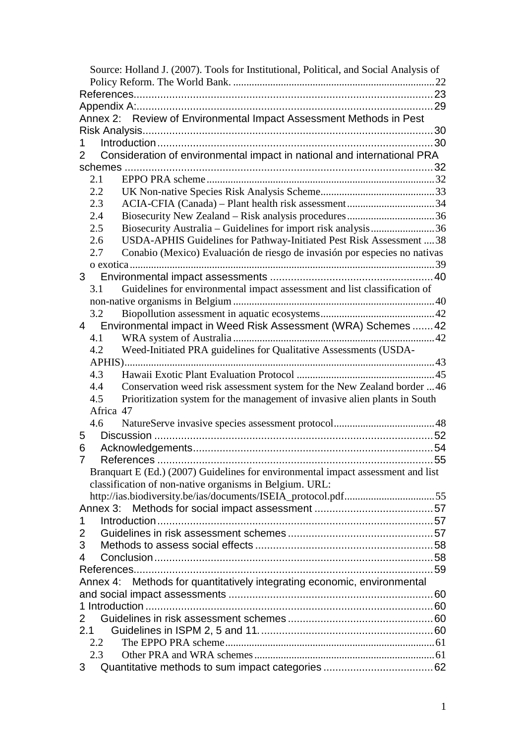| Source: Holland J. (2007). Tools for Institutional, Political, and Social Analysis of     |  |
|-------------------------------------------------------------------------------------------|--|
|                                                                                           |  |
|                                                                                           |  |
|                                                                                           |  |
| Annex 2: Review of Environmental Impact Assessment Methods in Pest                        |  |
|                                                                                           |  |
|                                                                                           |  |
| Consideration of environmental impact in national and international PRA<br>$\overline{2}$ |  |
|                                                                                           |  |
| 2.1                                                                                       |  |
| 2.2                                                                                       |  |
| 2.3                                                                                       |  |
| 2.4                                                                                       |  |
| Biosecurity Australia – Guidelines for import risk analysis36<br>2.5                      |  |
| USDA-APHIS Guidelines for Pathway-Initiated Pest Risk Assessment  38<br>2.6               |  |
| Conabio (Mexico) Evaluación de riesgo de invasión por especies no nativas<br>2.7          |  |
|                                                                                           |  |
| 3 <sup>7</sup>                                                                            |  |
| 3.1<br>Guidelines for environmental impact assessment and list classification of          |  |
|                                                                                           |  |
| 3.2                                                                                       |  |
| Environmental impact in Weed Risk Assessment (WRA) Schemes  42<br>4                       |  |
| 4.1                                                                                       |  |
| Weed-Initiated PRA guidelines for Qualitative Assessments (USDA-<br>4.2                   |  |
|                                                                                           |  |
| 4.3                                                                                       |  |
| Conservation weed risk assessment system for the New Zealand border  46<br>4.4            |  |
| Prioritization system for the management of invasive alien plants in South<br>4.5         |  |
| Africa 47                                                                                 |  |
| 4.6                                                                                       |  |
| 5                                                                                         |  |
| 6                                                                                         |  |
| 7                                                                                         |  |
| Branquart E (Ed.) (2007) Guidelines for environmental impact assessment and list          |  |
| classification of non-native organisms in Belgium. URL:                                   |  |
| http://ias.biodiversity.be/ias/documents/ISEIA_protocol.pdf55                             |  |
| Annex 3:                                                                                  |  |
| 1                                                                                         |  |
| 2                                                                                         |  |
| 3                                                                                         |  |
| 4                                                                                         |  |
|                                                                                           |  |
| Annex 4: Methods for quantitatively integrating economic, environmental                   |  |
|                                                                                           |  |
|                                                                                           |  |
| $\overline{2}$                                                                            |  |
| 2.1                                                                                       |  |
|                                                                                           |  |
| 2.2<br>2.3                                                                                |  |
|                                                                                           |  |
| 3                                                                                         |  |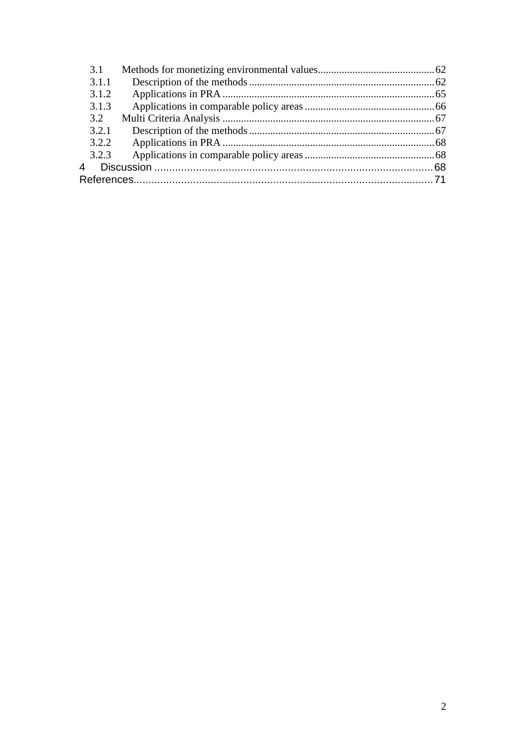| 3.1   |  |
|-------|--|
| 3.1.1 |  |
| 3.1.2 |  |
| 3.1.3 |  |
| 3.2   |  |
| 3.2.1 |  |
| 3.2.2 |  |
| 3.2.3 |  |
| 4     |  |
|       |  |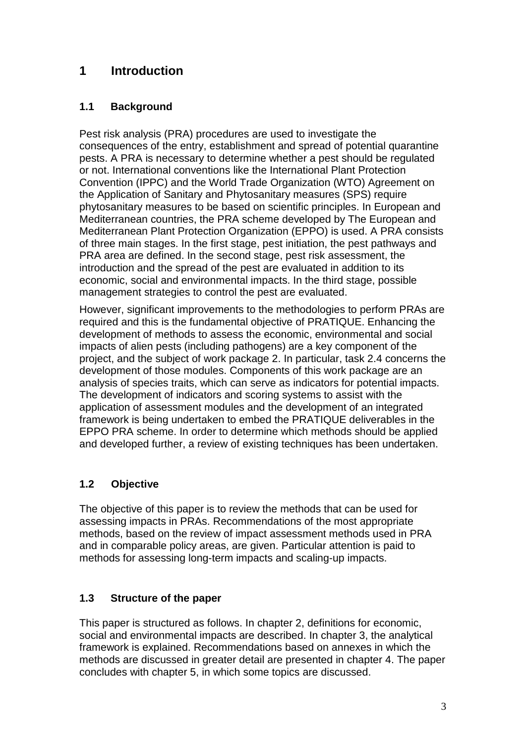# <span id="page-5-0"></span>**1 Introduction**

### <span id="page-5-1"></span>**1.1 Background**

Pest risk analysis (PRA) procedures are used to investigate the consequences of the entry, establishment and spread of potential quarantine pests. A PRA is necessary to determine whether a pest should be regulated or not. International conventions like the International Plant Protection Convention (IPPC) and the World Trade Organization (WTO) Agreement on the Application of Sanitary and Phytosanitary measures (SPS) require phytosanitary measures to be based on scientific principles. In European and Mediterranean countries, the PRA scheme developed by The European and Mediterranean Plant Protection Organization (EPPO) is used. A PRA consists of three main stages. In the first stage, pest initiation, the pest pathways and PRA area are defined. In the second stage, pest risk assessment, the introduction and the spread of the pest are evaluated in addition to its economic, social and environmental impacts. In the third stage, possible management strategies to control the pest are evaluated.

However, significant improvements to the methodologies to perform PRAs are required and this is the fundamental objective of PRATIQUE. Enhancing the development of methods to assess the economic, environmental and social impacts of alien pests (including pathogens) are a key component of the project, and the subject of work package 2. In particular, task 2.4 concerns the development of those modules. Components of this work package are an analysis of species traits, which can serve as indicators for potential impacts. The development of indicators and scoring systems to assist with the application of assessment modules and the development of an integrated framework is being undertaken to embed the PRATIQUE deliverables in the EPPO PRA scheme. In order to determine which methods should be applied and developed further, a review of existing techniques has been undertaken.

## <span id="page-5-2"></span>**1.2 Objective**

The objective of this paper is to review the methods that can be used for assessing impacts in PRAs. Recommendations of the most appropriate methods, based on the review of impact assessment methods used in PRA and in comparable policy areas, are given. Particular attention is paid to methods for assessing long-term impacts and scaling-up impacts.

### <span id="page-5-3"></span>**1.3 Structure of the paper**

This paper is structured as follows. In chapter 2, definitions for economic, social and environmental impacts are described. In chapter 3, the analytical framework is explained. Recommendations based on annexes in which the methods are discussed in greater detail are presented in chapter 4. The paper concludes with chapter 5, in which some topics are discussed.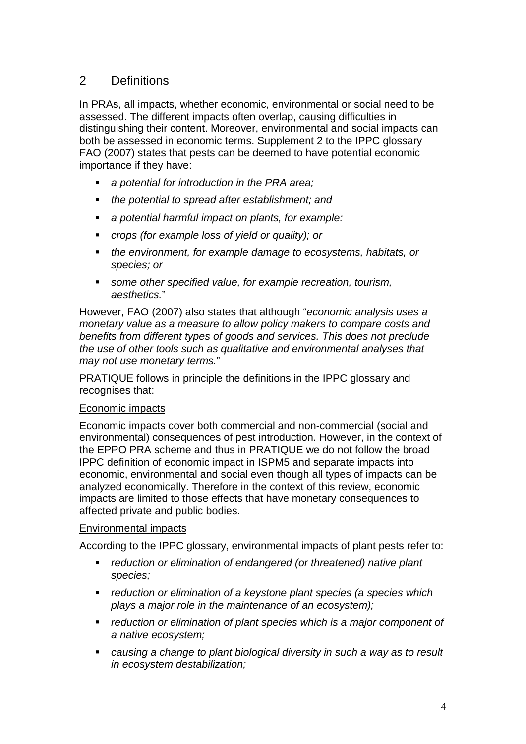## <span id="page-6-0"></span>2 Definitions

In PRAs, all impacts, whether economic, environmental or social need to be assessed. The different impacts often overlap, causing difficulties in distinguishing their content. Moreover, environmental and social impacts can both be assessed in economic terms. Supplement 2 to the IPPC glossary FAO (2007) states that pests can be deemed to have potential economic importance if they have:

- *a potential for introduction in the PRA area;*
- *the potential to spread after establishment; and*
- *a potential harmful impact on plants, for example:*
- *crops (for example loss of yield or quality); or*
- *the environment, for example damage to ecosystems, habitats, or species; or*
- *some other specified value, for example recreation, tourism, aesthetics.*"

However, FAO (2007) also states that although "*economic analysis uses a monetary value as a measure to allow policy makers to compare costs and benefits from different types of goods and services. This does not preclude the use of other tools such as qualitative and environmental analyses that may not use monetary terms.*"

PRATIQUE follows in principle the definitions in the IPPC glossary and recognises that:

#### Economic impacts

Economic impacts cover both commercial and non-commercial (social and environmental) consequences of pest introduction. However, in the context of the EPPO PRA scheme and thus in PRATIQUE we do not follow the broad IPPC definition of economic impact in ISPM5 and separate impacts into economic, environmental and social even though all types of impacts can be analyzed economically. Therefore in the context of this review, economic impacts are limited to those effects that have monetary consequences to affected private and public bodies.

#### Environmental impacts

According to the IPPC glossary, environmental impacts of plant pests refer to:

- *reduction or elimination of endangered (or threatened) native plant species;*
- *reduction or elimination of a keystone plant species (a species which plays a major role in the maintenance of an ecosystem);*
- *reduction or elimination of plant species which is a major component of a native ecosystem;*
- *causing a change to plant biological diversity in such a way as to result in ecosystem destabilization;*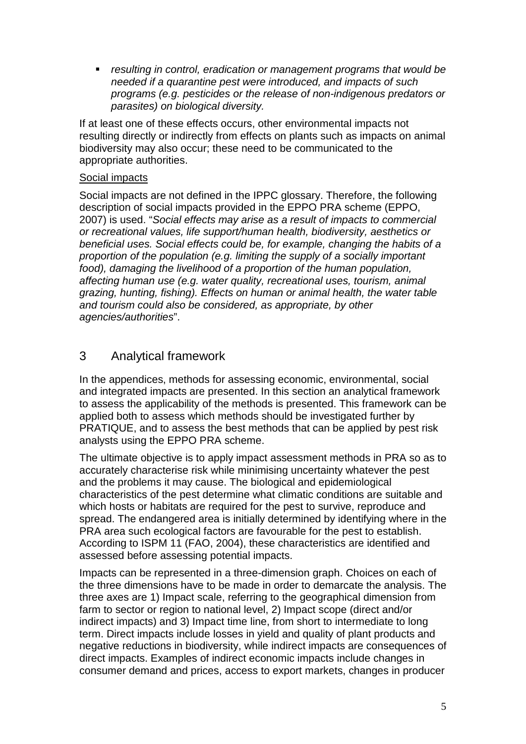*resulting in control, eradication or management programs that would be needed if a quarantine pest were introduced, and impacts of such programs (e.g. pesticides or the release of non-indigenous predators or parasites) on biological diversity.*

If at least one of these effects occurs, other environmental impacts not resulting directly or indirectly from effects on plants such as impacts on animal biodiversity may also occur; these need to be communicated to the appropriate authorities.

#### Social impacts

Social impacts are not defined in the IPPC glossary. Therefore, the following description of social impacts provided in the EPPO PRA scheme (EPPO, 2007) is used. "*Social effects may arise as a result of impacts to commercial or recreational values, life support/human health, biodiversity, aesthetics or beneficial uses. Social effects could be, for example, changing the habits of a proportion of the population (e.g. limiting the supply of a socially important food), damaging the livelihood of a proportion of the human population, affecting human use (e.g. water quality, recreational uses, tourism, animal grazing, hunting, fishing). Effects on human or animal health, the water table and tourism could also be considered, as appropriate, by other agencies/authorities*".

## <span id="page-7-0"></span>3 Analytical framework

In the appendices, methods for assessing economic, environmental, social and integrated impacts are presented. In this section an analytical framework to assess the applicability of the methods is presented. This framework can be applied both to assess which methods should be investigated further by PRATIQUE, and to assess the best methods that can be applied by pest risk analysts using the EPPO PRA scheme.

The ultimate objective is to apply impact assessment methods in PRA so as to accurately characterise risk while minimising uncertainty whatever the pest and the problems it may cause. The biological and epidemiological characteristics of the pest determine what climatic conditions are suitable and which hosts or habitats are required for the pest to survive, reproduce and spread. The endangered area is initially determined by identifying where in the PRA area such ecological factors are favourable for the pest to establish. According to ISPM 11 (FAO, 2004), these characteristics are identified and assessed before assessing potential impacts.

Impacts can be represented in a three-dimension graph. Choices on each of the three dimensions have to be made in order to demarcate the analysis. The three axes are 1) Impact scale, referring to the geographical dimension from farm to sector or region to national level, 2) Impact scope (direct and/or indirect impacts) and 3) Impact time line, from short to intermediate to long term. Direct impacts include losses in yield and quality of plant products and negative reductions in biodiversity, while indirect impacts are consequences of direct impacts. Examples of indirect economic impacts include changes in consumer demand and prices, access to export markets, changes in producer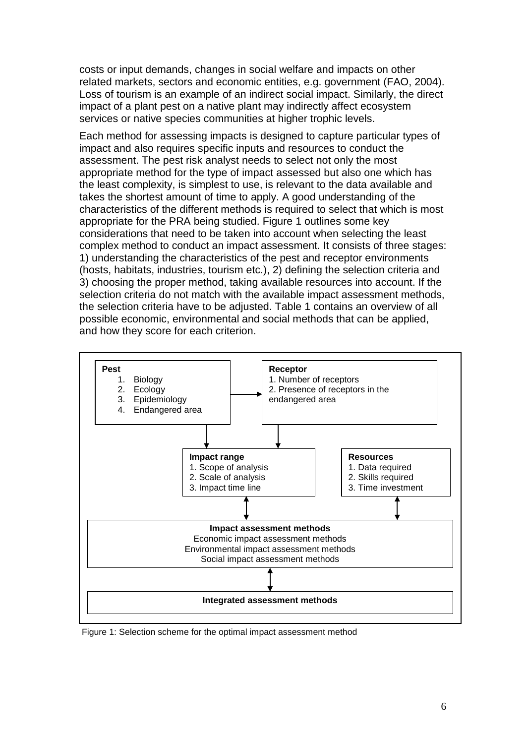costs or input demands, changes in social welfare and impacts on other related markets, sectors and economic entities, e.g. government (FAO, 2004). Loss of tourism is an example of an indirect social impact. Similarly, the direct impact of a plant pest on a native plant may indirectly affect ecosystem services or native species communities at higher trophic levels.

Each method for assessing impacts is designed to capture particular types of impact and also requires specific inputs and resources to conduct the assessment. The pest risk analyst needs to select not only the most appropriate method for the type of impact assessed but also one which has the least complexity, is simplest to use, is relevant to the data available and takes the shortest amount of time to apply. A good understanding of the characteristics of the different methods is required to select that which is most appropriate for the PRA being studied. Figure 1 outlines some key considerations that need to be taken into account when selecting the least complex method to conduct an impact assessment. It consists of three stages: 1) understanding the characteristics of the pest and receptor environments (hosts, habitats, industries, tourism etc.), 2) defining the selection criteria and 3) choosing the proper method, taking available resources into account. If the selection criteria do not match with the available impact assessment methods, the selection criteria have to be adjusted. Table 1 contains an overview of all possible economic, environmental and social methods that can be applied, and how they score for each criterion.



Figure 1: Selection scheme for the optimal impact assessment method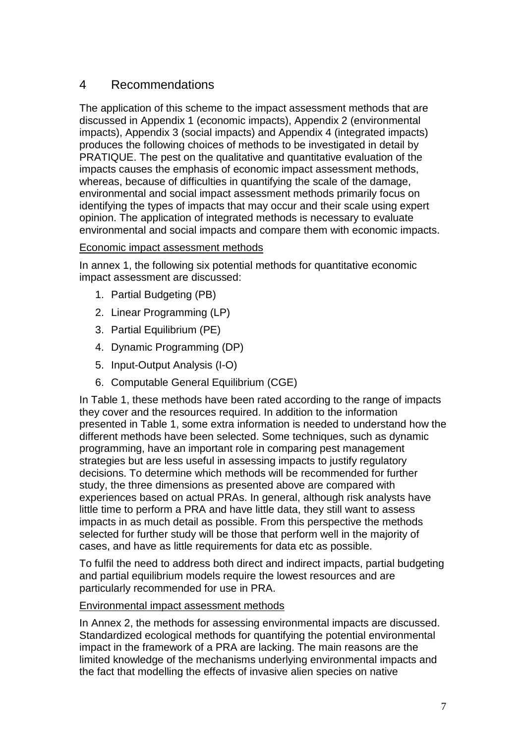# <span id="page-9-0"></span>4 Recommendations

The application of this scheme to the impact assessment methods that are discussed in Appendix 1 (economic impacts), Appendix 2 (environmental impacts), Appendix 3 (social impacts) and Appendix 4 (integrated impacts) produces the following choices of methods to be investigated in detail by PRATIQUE. The pest on the qualitative and quantitative evaluation of the impacts causes the emphasis of economic impact assessment methods, whereas, because of difficulties in quantifying the scale of the damage, environmental and social impact assessment methods primarily focus on identifying the types of impacts that may occur and their scale using expert opinion. The application of integrated methods is necessary to evaluate environmental and social impacts and compare them with economic impacts.

#### Economic impact assessment methods

In annex 1, the following six potential methods for quantitative economic impact assessment are discussed:

- 1. Partial Budgeting (PB)
- 2. Linear Programming (LP)
- 3. Partial Equilibrium (PE)
- 4. Dynamic Programming (DP)
- 5. Input-Output Analysis (I-O)
- 6. Computable General Equilibrium (CGE)

In Table 1, these methods have been rated according to the range of impacts they cover and the resources required. In addition to the information presented in Table 1, some extra information is needed to understand how the different methods have been selected. Some techniques, such as dynamic programming, have an important role in comparing pest management strategies but are less useful in assessing impacts to justify regulatory decisions. To determine which methods will be recommended for further study, the three dimensions as presented above are compared with experiences based on actual PRAs. In general, although risk analysts have little time to perform a PRA and have little data, they still want to assess impacts in as much detail as possible. From this perspective the methods selected for further study will be those that perform well in the majority of cases, and have as little requirements for data etc as possible.

To fulfil the need to address both direct and indirect impacts, partial budgeting and partial equilibrium models require the lowest resources and are particularly recommended for use in PRA.

#### Environmental impact assessment methods

In Annex 2, the methods for assessing environmental impacts are discussed. Standardized ecological methods for quantifying the potential environmental impact in the framework of a PRA are lacking. The main reasons are the limited knowledge of the mechanisms underlying environmental impacts and the fact that modelling the effects of invasive alien species on native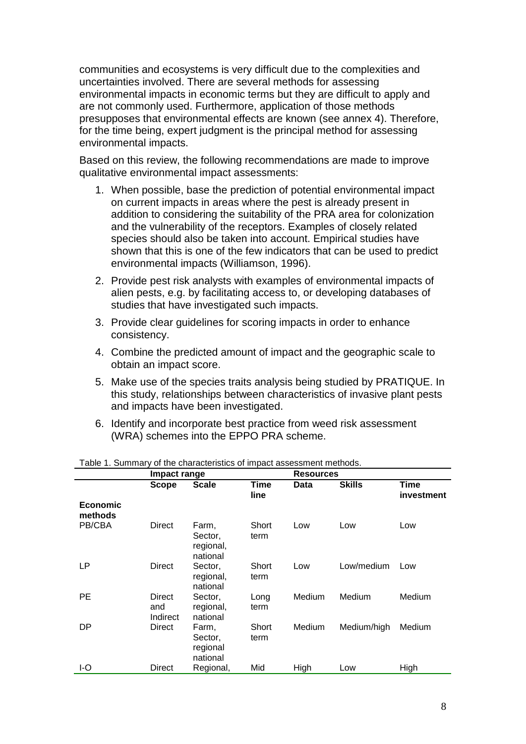communities and ecosystems is very difficult due to the complexities and uncertainties involved. There are several methods for assessing environmental impacts in economic terms but they are difficult to apply and are not commonly used. Furthermore, application of those methods presupposes that environmental effects are known (see annex 4). Therefore, for the time being, expert judgment is the principal method for assessing environmental impacts.

Based on this review, the following recommendations are made to improve qualitative environmental impact assessments:

- 1. When possible, base the prediction of potential environmental impact on current impacts in areas where the pest is already present in addition to considering the suitability of the PRA area for colonization and the vulnerability of the receptors. Examples of closely related species should also be taken into account. Empirical studies have shown that this is one of the few indicators that can be used to predict environmental impacts (Williamson, 1996).
- 2. Provide pest risk analysts with examples of environmental impacts of alien pests, e.g. by facilitating access to, or developing databases of studies that have investigated such impacts.
- 3. Provide clear guidelines for scoring impacts in order to enhance consistency.
- 4. Combine the predicted amount of impact and the geographic scale to obtain an impact score.
- 5. Make use of the species traits analysis being studied by PRATIQUE. In this study, relationships between characteristics of invasive plant pests and impacts have been investigated.
- 6. Identify and incorporate best practice from weed risk assessment (WRA) schemes into the EPPO PRA scheme.

|                            | Impact range              |                                           |               | <b>Resources</b> |               |                    |
|----------------------------|---------------------------|-------------------------------------------|---------------|------------------|---------------|--------------------|
|                            | <b>Scope</b>              | <b>Scale</b>                              | Time<br>line  | Data             | <b>Skills</b> | Time<br>investment |
| <b>Economic</b><br>methods |                           |                                           |               |                  |               |                    |
| PB/CBA                     | Direct                    | Farm,<br>Sector,<br>regional,<br>national | Short<br>term | Low              | Low           | Low                |
| LP                         | Direct                    | Sector,<br>regional,<br>national          | Short<br>term | Low              | Low/medium    | Low                |
| <b>PE</b>                  | Direct<br>and<br>Indirect | Sector,<br>regional,<br>national          | Long<br>term  | Medium           | Medium        | Medium             |
| DP                         | <b>Direct</b>             | Farm,<br>Sector,<br>regional<br>national  | Short<br>term | Medium           | Medium/high   | Medium             |
| I-O                        | Direct                    | Regional,                                 | Mid           | High             | Low           | High               |

Table 1. Summary of the characteristics of impact assessment methods.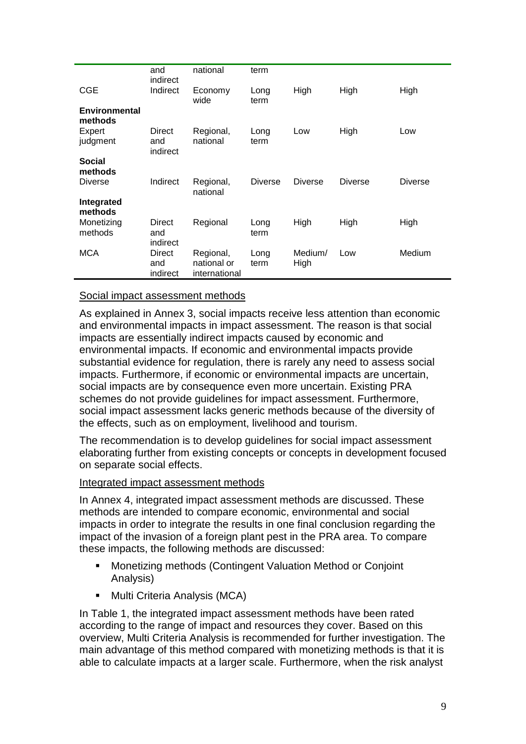|                                 | and<br>indirect           | national                                  | term           |                 |                |                |
|---------------------------------|---------------------------|-------------------------------------------|----------------|-----------------|----------------|----------------|
| <b>CGE</b>                      | Indirect                  | Economy<br>wide                           | Long<br>term   | High            | High           | High           |
| <b>Environmental</b><br>methods |                           |                                           |                |                 |                |                |
| Expert<br>judgment              | Direct<br>and<br>indirect | Regional,<br>national                     | Long<br>term   | Low             | High           | Low            |
| <b>Social</b><br>methods        |                           |                                           |                |                 |                |                |
| <b>Diverse</b>                  | Indirect                  | Regional,<br>national                     | <b>Diverse</b> | <b>Diverse</b>  | <b>Diverse</b> | <b>Diverse</b> |
| Integrated<br>methods           |                           |                                           |                |                 |                |                |
| Monetizing<br>methods           | Direct<br>and<br>indirect | Regional                                  | Long<br>term   | High            | High           | High           |
| <b>MCA</b>                      | Direct<br>and<br>indirect | Regional,<br>national or<br>international | Long<br>term   | Medium/<br>High | Low            | Medium         |

#### Social impact assessment methods

As explained in Annex 3, social impacts receive less attention than economic and environmental impacts in impact assessment. The reason is that social impacts are essentially indirect impacts caused by economic and environmental impacts. If economic and environmental impacts provide substantial evidence for regulation, there is rarely any need to assess social impacts. Furthermore, if economic or environmental impacts are uncertain, social impacts are by consequence even more uncertain. Existing PRA schemes do not provide guidelines for impact assessment. Furthermore, social impact assessment lacks generic methods because of the diversity of the effects, such as on employment, livelihood and tourism.

The recommendation is to develop guidelines for social impact assessment elaborating further from existing concepts or concepts in development focused on separate social effects.

#### Integrated impact assessment methods

In Annex 4, integrated impact assessment methods are discussed. These methods are intended to compare economic, environmental and social impacts in order to integrate the results in one final conclusion regarding the impact of the invasion of a foreign plant pest in the PRA area. To compare these impacts, the following methods are discussed:

- Monetizing methods (Contingent Valuation Method or Conjoint Analysis)
- Multi Criteria Analysis (MCA)

In Table 1, the integrated impact assessment methods have been rated according to the range of impact and resources they cover. Based on this overview, Multi Criteria Analysis is recommended for further investigation. The main advantage of this method compared with monetizing methods is that it is able to calculate impacts at a larger scale. Furthermore, when the risk analyst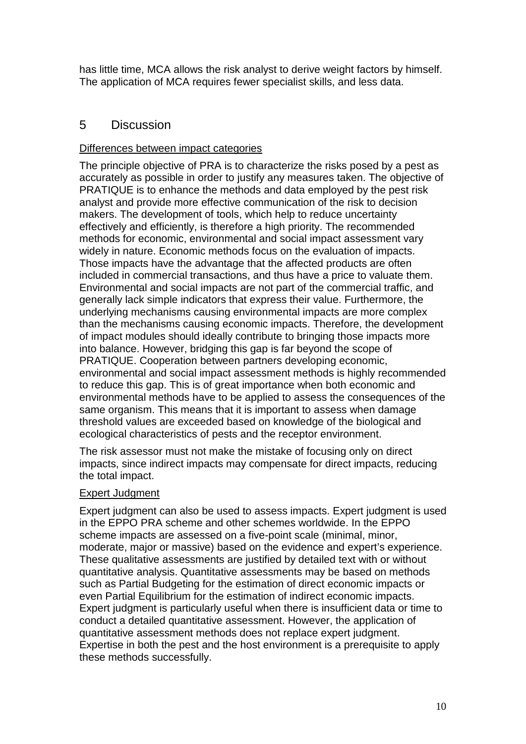has little time, MCA allows the risk analyst to derive weight factors by himself. The application of MCA requires fewer specialist skills, and less data.

## <span id="page-12-0"></span>5 Discussion

#### Differences between impact categories

The principle objective of PRA is to characterize the risks posed by a pest as accurately as possible in order to justify any measures taken. The objective of PRATIQUE is to enhance the methods and data employed by the pest risk analyst and provide more effective communication of the risk to decision makers. The development of tools, which help to reduce uncertainty effectively and efficiently, is therefore a high priority. The recommended methods for economic, environmental and social impact assessment vary widely in nature. Economic methods focus on the evaluation of impacts. Those impacts have the advantage that the affected products are often included in commercial transactions, and thus have a price to valuate them. Environmental and social impacts are not part of the commercial traffic, and generally lack simple indicators that express their value. Furthermore, the underlying mechanisms causing environmental impacts are more complex than the mechanisms causing economic impacts. Therefore, the development of impact modules should ideally contribute to bringing those impacts more into balance. However, bridging this gap is far beyond the scope of PRATIQUE. Cooperation between partners developing economic, environmental and social impact assessment methods is highly recommended to reduce this gap. This is of great importance when both economic and environmental methods have to be applied to assess the consequences of the same organism. This means that it is important to assess when damage threshold values are exceeded based on knowledge of the biological and ecological characteristics of pests and the receptor environment.

The risk assessor must not make the mistake of focusing only on direct impacts, since indirect impacts may compensate for direct impacts, reducing the total impact.

#### Expert Judgment

Expert judgment can also be used to assess impacts. Expert judgment is used in the EPPO PRA scheme and other schemes worldwide. In the EPPO scheme impacts are assessed on a five-point scale (minimal, minor, moderate, major or massive) based on the evidence and expert's experience. These qualitative assessments are justified by detailed text with or without quantitative analysis. Quantitative assessments may be based on methods such as Partial Budgeting for the estimation of direct economic impacts or even Partial Equilibrium for the estimation of indirect economic impacts. Expert judgment is particularly useful when there is insufficient data or time to conduct a detailed quantitative assessment. However, the application of quantitative assessment methods does not replace expert judgment. Expertise in both the pest and the host environment is a prerequisite to apply these methods successfully.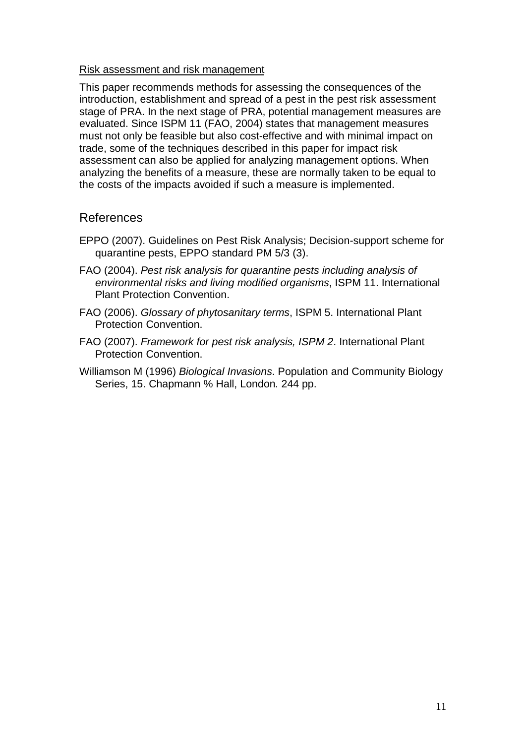#### Risk assessment and risk management

This paper recommends methods for assessing the consequences of the introduction, establishment and spread of a pest in the pest risk assessment stage of PRA. In the next stage of PRA, potential management measures are evaluated. Since ISPM 11 (FAO, 2004) states that management measures must not only be feasible but also cost-effective and with minimal impact on trade, some of the techniques described in this paper for impact risk assessment can also be applied for analyzing management options. When analyzing the benefits of a measure, these are normally taken to be equal to the costs of the impacts avoided if such a measure is implemented.

#### <span id="page-13-0"></span>References

- EPPO (2007). Guidelines on Pest Risk Analysis; Decision-support scheme for quarantine pests, EPPO standard PM 5/3 (3).
- FAO (2004). *Pest risk analysis for quarantine pests including analysis of environmental risks and living modified organisms*, ISPM 11. International Plant Protection Convention.
- FAO (2006). *Glossary of phytosanitary terms*, ISPM 5. International Plant Protection Convention.
- FAO (2007). *Framework for pest risk analysis, ISPM 2*. International Plant Protection Convention.
- Williamson M (1996) *Biological Invasions*. Population and Community Biology Series, 15. Chapmann % Hall, London*.* 244 pp.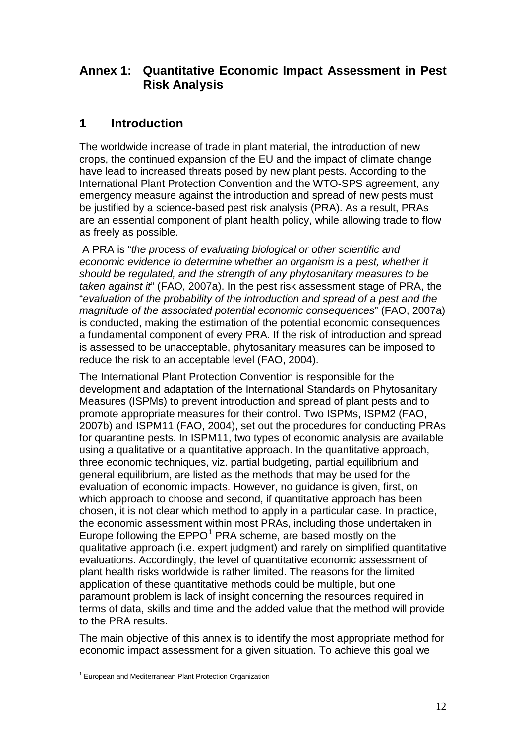# <span id="page-14-0"></span>**Annex 1: Quantitative Economic Impact Assessment in Pest Risk Analysis**

# <span id="page-14-1"></span>**1 Introduction**

The worldwide increase of trade in plant material, the introduction of new crops, the continued expansion of the EU and the impact of climate change have lead to increased threats posed by new plant pests. According to the International Plant Protection Convention and the WTO-SPS agreement, any emergency measure against the introduction and spread of new pests must be justified by a science-based pest risk analysis (PRA). As a result, PRAs are an essential component of plant health policy, while allowing trade to flow as freely as possible.

A PRA is "*the process of evaluating biological or other scientific and economic evidence to determine whether an organism is a pest, whether it should be regulated, and the strength of any phytosanitary measures to be taken against it*" (FAO, 2007a). In the pest risk assessment stage of PRA, the "*evaluation of the probability of the introduction and spread of a pest and the magnitude of the associated potential economic consequences*" (FAO, 2007a) is conducted, making the estimation of the potential economic consequences a fundamental component of every PRA. If the risk of introduction and spread is assessed to be unacceptable, phytosanitary measures can be imposed to reduce the risk to an acceptable level (FAO, 2004).

The International Plant Protection Convention is responsible for the development and adaptation of the International Standards on Phytosanitary Measures (ISPMs) to prevent introduction and spread of plant pests and to promote appropriate measures for their control. Two ISPMs, ISPM2 (FAO, 2007b) and ISPM11 (FAO, 2004), set out the procedures for conducting PRAs for quarantine pests. In ISPM11, two types of economic analysis are available using a qualitative or a quantitative approach. In the quantitative approach, three economic techniques, viz. partial budgeting, partial equilibrium and general equilibrium, are listed as the methods that may be used for the evaluation of economic impacts. However, no guidance is given, first, on which approach to choose and second, if quantitative approach has been chosen, it is not clear which method to apply in a particular case. In practice, the economic assessment within most PRAs, including those undertaken in Europe following the  $EPPO<sup>1</sup>$  $EPPO<sup>1</sup>$  $EPPO<sup>1</sup>$  PRA scheme, are based mostly on the qualitative approach (i.e. expert judgment) and rarely on simplified quantitative evaluations. Accordingly, the level of quantitative economic assessment of plant health risks worldwide is rather limited. The reasons for the limited application of these quantitative methods could be multiple, but one paramount problem is lack of insight concerning the resources required in terms of data, skills and time and the added value that the method will provide to the PRA results.

The main objective of this annex is to identify the most appropriate method for economic impact assessment for a given situation. To achieve this goal we

<span id="page-14-2"></span><sup>1</sup> European and Mediterranean Plant Protection Organization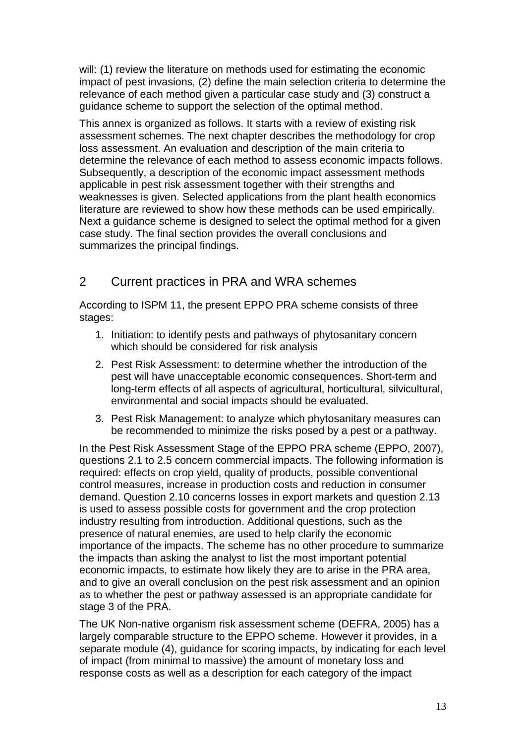will: (1) review the literature on methods used for estimating the economic impact of pest invasions, (2) define the main selection criteria to determine the relevance of each method given a particular case study and (3) construct a guidance scheme to support the selection of the optimal method.

This annex is organized as follows. It starts with a review of existing risk assessment schemes. The next chapter describes the methodology for crop loss assessment. An evaluation and description of the main criteria to determine the relevance of each method to assess economic impacts follows. Subsequently, a description of the economic impact assessment methods applicable in pest risk assessment together with their strengths and weaknesses is given. Selected applications from the plant health economics literature are reviewed to show how these methods can be used empirically. Next a guidance scheme is designed to select the optimal method for a given case study. The final section provides the overall conclusions and summarizes the principal findings.

## <span id="page-15-0"></span>2 Current practices in PRA and WRA schemes

According to ISPM 11, the present EPPO PRA scheme consists of three stages:

- 1. Initiation: to identify pests and pathways of phytosanitary concern which should be considered for risk analysis
- 2. Pest Risk Assessment: to determine whether the introduction of the pest will have unacceptable economic consequences. Short-term and long-term effects of all aspects of agricultural, horticultural, silvicultural, environmental and social impacts should be evaluated.
- 3. Pest Risk Management: to analyze which phytosanitary measures can be recommended to minimize the risks posed by a pest or a pathway.

In the Pest Risk Assessment Stage of the EPPO PRA scheme (EPPO, 2007), questions 2.1 to 2.5 concern commercial impacts. The following information is required: effects on crop yield, quality of products, possible conventional control measures, increase in production costs and reduction in consumer demand. Question 2.10 concerns losses in export markets and question 2.13 is used to assess possible costs for government and the crop protection industry resulting from introduction. Additional questions, such as the presence of natural enemies, are used to help clarify the economic importance of the impacts. The scheme has no other procedure to summarize the impacts than asking the analyst to list the most important potential economic impacts, to estimate how likely they are to arise in the PRA area, and to give an overall conclusion on the pest risk assessment and an opinion as to whether the pest or pathway assessed is an appropriate candidate for stage 3 of the PRA.

The UK Non-native organism risk assessment scheme (DEFRA, 2005) has a largely comparable structure to the EPPO scheme. However it provides, in a separate module (4), guidance for scoring impacts, by indicating for each level of impact (from minimal to massive) the amount of monetary loss and response costs as well as a description for each category of the impact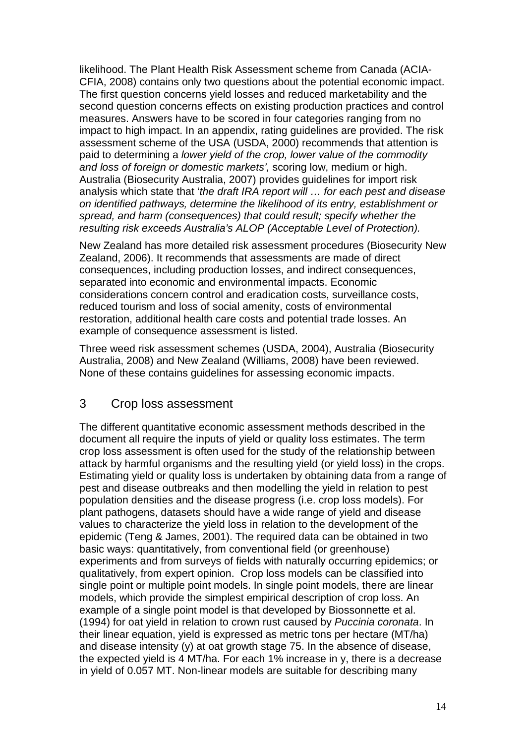likelihood. The Plant Health Risk Assessment scheme from Canada (ACIA-CFIA, 2008) contains only two questions about the potential economic impact. The first question concerns yield losses and reduced marketability and the second question concerns effects on existing production practices and control measures. Answers have to be scored in four categories ranging from no impact to high impact. In an appendix, rating guidelines are provided. The risk assessment scheme of the USA (USDA, 2000) recommends that attention is paid to determining a *lower yield of the crop, lower value of the commodity and loss of foreign or domestic markets',* scoring low, medium or high. Australia (Biosecurity Australia, 2007) provides guidelines for import risk analysis which state that '*the draft IRA report will … for each pest and disease on identified pathways, determine the likelihood of its entry, establishment or spread, and harm (consequences) that could result; specify whether the resulting risk exceeds Australia's ALOP (Acceptable Level of Protection).* 

New Zealand has more detailed risk assessment procedures (Biosecurity New Zealand, 2006). It recommends that assessments are made of direct consequences, including production losses, and indirect consequences, separated into economic and environmental impacts. Economic considerations concern control and eradication costs, surveillance costs, reduced tourism and loss of social amenity, costs of environmental restoration, additional health care costs and potential trade losses. An example of consequence assessment is listed.

Three weed risk assessment schemes (USDA, 2004), Australia (Biosecurity Australia, 2008) and New Zealand (Williams, 2008) have been reviewed. None of these contains guidelines for assessing economic impacts.

### <span id="page-16-0"></span>3 Crop loss assessment

The different quantitative economic assessment methods described in the document all require the inputs of yield or quality loss estimates. The term crop loss assessment is often used for the study of the relationship between attack by harmful organisms and the resulting yield (or yield loss) in the crops. Estimating yield or quality loss is undertaken by obtaining data from a range of pest and disease outbreaks and then modelling the yield in relation to pest population densities and the disease progress (i.e. crop loss models). For plant pathogens, datasets should have a wide range of yield and disease values to characterize the yield loss in relation to the development of the epidemic (Teng & James, 2001). The required data can be obtained in two basic ways: quantitatively, from conventional field (or greenhouse) experiments and from surveys of fields with naturally occurring epidemics; or qualitatively, from expert opinion. Crop loss models can be classified into single point or multiple point models. In single point models, there are linear models, which provide the simplest empirical description of crop loss. An example of a single point model is that developed by Biossonnette et al. (1994) for oat yield in relation to crown rust caused by *Puccinia coronata*. In their linear equation, yield is expressed as metric tons per hectare (MT/ha) and disease intensity (y) at oat growth stage 75. In the absence of disease, the expected yield is 4 MT/ha. For each 1% increase in y, there is a decrease in yield of 0.057 MT. Non-linear models are suitable for describing many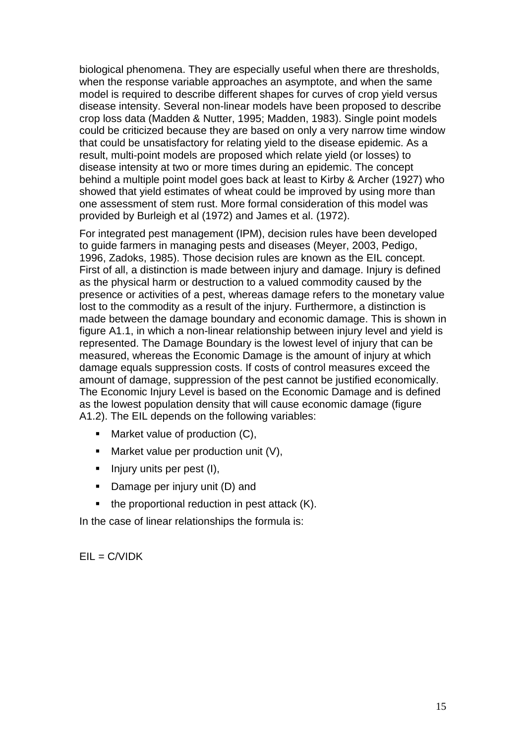biological phenomena. They are especially useful when there are thresholds, when the response variable approaches an asymptote, and when the same model is required to describe different shapes for curves of crop yield versus disease intensity. Several non-linear models have been proposed to describe crop loss data (Madden & Nutter, 1995; Madden, 1983). Single point models could be criticized because they are based on only a very narrow time window that could be unsatisfactory for relating yield to the disease epidemic. As a result, multi-point models are proposed which relate yield (or losses) to disease intensity at two or more times during an epidemic. The concept behind a multiple point model goes back at least to Kirby & Archer (1927) who showed that yield estimates of wheat could be improved by using more than one assessment of stem rust. More formal consideration of this model was provided by Burleigh et al (1972) and James et al. (1972).

For integrated pest management (IPM), decision rules have been developed to guide farmers in managing pests and diseases (Meyer, 2003, Pedigo, 1996, Zadoks, 1985). Those decision rules are known as the EIL concept. First of all, a distinction is made between injury and damage. Injury is defined as the physical harm or destruction to a valued commodity caused by the presence or activities of a pest, whereas damage refers to the monetary value lost to the commodity as a result of the injury. Furthermore, a distinction is made between the damage boundary and economic damage. This is shown in figure A1.1, in which a non-linear relationship between injury level and yield is represented. The Damage Boundary is the lowest level of injury that can be measured, whereas the Economic Damage is the amount of injury at which damage equals suppression costs. If costs of control measures exceed the amount of damage, suppression of the pest cannot be justified economically. The Economic Injury Level is based on the Economic Damage and is defined as the lowest population density that will cause economic damage (figure A1.2). The EIL depends on the following variables:

- Market value of production (C),
- **Market value per production unit (V),**
- $\blacksquare$  Injury units per pest (I),
- Damage per injury unit (D) and
- the proportional reduction in pest attack (K).

In the case of linear relationships the formula is:

 $EIL = C/VIDK$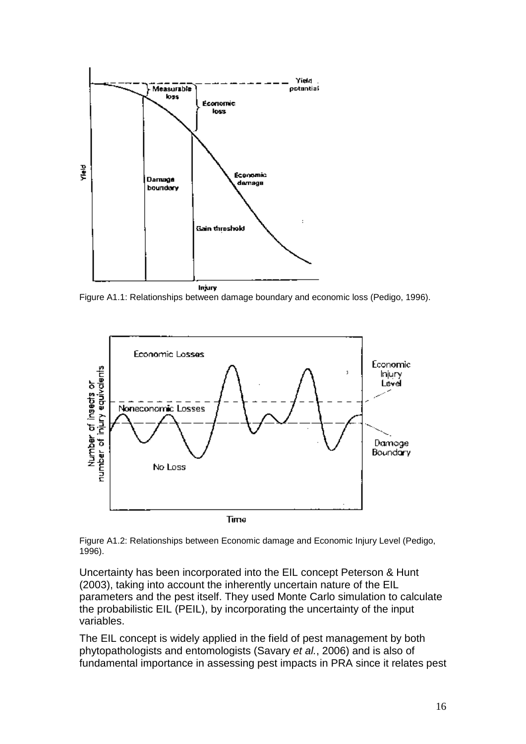

Figure A1.1: Relationships between damage boundary and economic loss (Pedigo, 1996).



Figure A1.2: Relationships between Economic damage and Economic Injury Level (Pedigo, 1996).

Uncertainty has been incorporated into the EIL concept Peterson & Hunt (2003), taking into account the inherently uncertain nature of the EIL parameters and the pest itself. They used Monte Carlo simulation to calculate the probabilistic EIL (PEIL), by incorporating the uncertainty of the input variables.

The EIL concept is widely applied in the field of pest management by both phytopathologists and entomologists (Savary *et al.*, 2006) and is also of fundamental importance in assessing pest impacts in PRA since it relates pest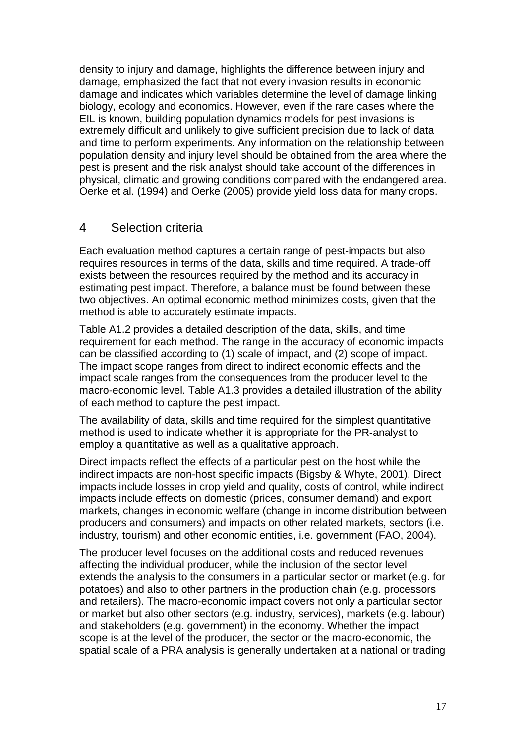density to injury and damage, highlights the difference between injury and damage, emphasized the fact that not every invasion results in economic damage and indicates which variables determine the level of damage linking biology, ecology and economics. However, even if the rare cases where the EIL is known, building population dynamics models for pest invasions is extremely difficult and unlikely to give sufficient precision due to lack of data and time to perform experiments. Any information on the relationship between population density and injury level should be obtained from the area where the pest is present and the risk analyst should take account of the differences in physical, climatic and growing conditions compared with the endangered area. Oerke et al. (1994) and Oerke (2005) provide yield loss data for many crops.

#### <span id="page-19-0"></span>4 Selection criteria

Each evaluation method captures a certain range of pest-impacts but also requires resources in terms of the data, skills and time required. A trade-off exists between the resources required by the method and its accuracy in estimating pest impact. Therefore, a balance must be found between these two objectives. An optimal economic method minimizes costs, given that the method is able to accurately estimate impacts.

Table A1.2 provides a detailed description of the data, skills, and time requirement for each method. The range in the accuracy of economic impacts can be classified according to (1) scale of impact, and (2) scope of impact. The impact scope ranges from direct to indirect economic effects and the impact scale ranges from the consequences from the producer level to the macro-economic level. Table A1.3 provides a detailed illustration of the ability of each method to capture the pest impact.

The availability of data, skills and time required for the simplest quantitative method is used to indicate whether it is appropriate for the PR-analyst to employ a quantitative as well as a qualitative approach.

Direct impacts reflect the effects of a particular pest on the host while the indirect impacts are non-host specific impacts (Bigsby & Whyte, 2001). Direct impacts include losses in crop yield and quality, costs of control, while indirect impacts include effects on domestic (prices, consumer demand) and export markets, changes in economic welfare (change in income distribution between producers and consumers) and impacts on other related markets, sectors (i.e. industry, tourism) and other economic entities, i.e. government (FAO, 2004).

The producer level focuses on the additional costs and reduced revenues affecting the individual producer, while the inclusion of the sector level extends the analysis to the consumers in a particular sector or market (e.g. for potatoes) and also to other partners in the production chain (e.g. processors and retailers). The macro-economic impact covers not only a particular sector or market but also other sectors (e.g. industry, services), markets (e.g. labour) and stakeholders (e.g. government) in the economy. Whether the impact scope is at the level of the producer, the sector or the macro-economic, the spatial scale of a PRA analysis is generally undertaken at a national or trading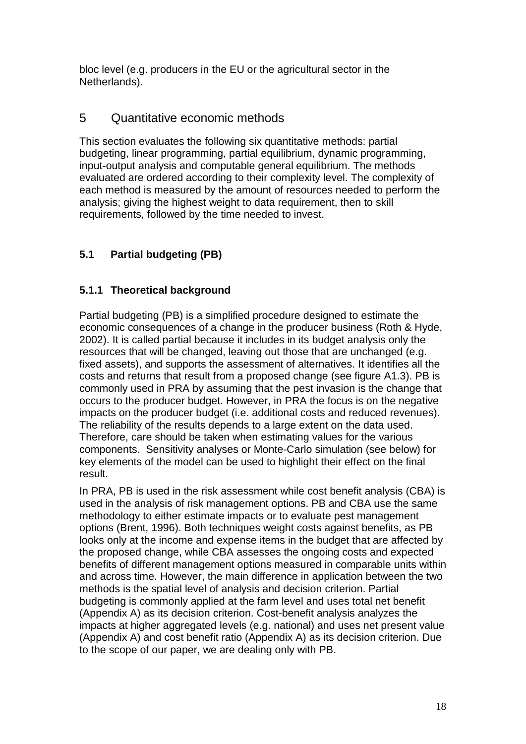bloc level (e.g. producers in the EU or the agricultural sector in the Netherlands).

## <span id="page-20-0"></span>5 Quantitative economic methods

This section evaluates the following six quantitative methods: partial budgeting, linear programming, partial equilibrium, dynamic programming, input-output analysis and computable general equilibrium. The methods evaluated are ordered according to their complexity level. The complexity of each method is measured by the amount of resources needed to perform the analysis; giving the highest weight to data requirement, then to skill requirements, followed by the time needed to invest.

## <span id="page-20-1"></span>**5.1 Partial budgeting (PB)**

### <span id="page-20-2"></span>**5.1.1 Theoretical background**

Partial budgeting (PB) is a simplified procedure designed to estimate the economic consequences of a change in the producer business (Roth & Hyde, 2002). It is called partial because it includes in its budget analysis only the resources that will be changed, leaving out those that are unchanged (e.g. fixed assets), and supports the assessment of alternatives. It identifies all the costs and returns that result from a proposed change (see figure A1.3). PB is commonly used in PRA by assuming that the pest invasion is the change that occurs to the producer budget. However, in PRA the focus is on the negative impacts on the producer budget (i.e. additional costs and reduced revenues). The reliability of the results depends to a large extent on the data used. Therefore, care should be taken when estimating values for the various components. Sensitivity analyses or Monte-Carlo simulation (see below) for key elements of the model can be used to highlight their effect on the final result.

In PRA, PB is used in the risk assessment while cost benefit analysis (CBA) is used in the analysis of risk management options. PB and CBA use the same methodology to either estimate impacts or to evaluate pest management options (Brent, 1996). Both techniques weight costs against benefits, as PB looks only at the income and expense items in the budget that are affected by the proposed change, while CBA assesses the ongoing costs and expected benefits of different management options measured in comparable units within and across time. However, the main difference in application between the two methods is the spatial level of analysis and decision criterion. Partial budgeting is commonly applied at the farm level and uses total net benefit (Appendix A) as its decision criterion. Cost-benefit analysis analyzes the impacts at higher aggregated levels (e.g. national) and uses net present value (Appendix A) and cost benefit ratio (Appendix A) as its decision criterion. Due to the scope of our paper, we are dealing only with PB.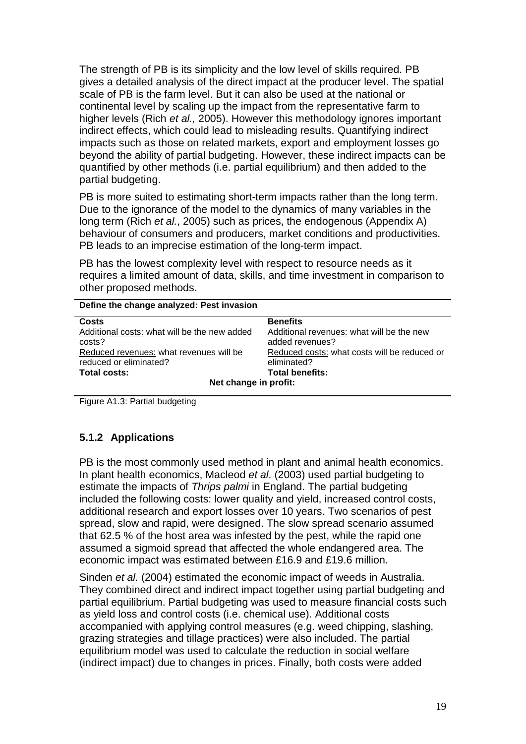The strength of PB is its simplicity and the low level of skills required. PB gives a detailed analysis of the direct impact at the producer level. The spatial scale of PB is the farm level. But it can also be used at the national or continental level by scaling up the impact from the representative farm to higher levels (Rich *et al.,* 2005). However this methodology ignores important indirect effects, which could lead to misleading results. Quantifying indirect impacts such as those on related markets, export and employment losses go beyond the ability of partial budgeting. However, these indirect impacts can be quantified by other methods (i.e. partial equilibrium) and then added to the partial budgeting.

PB is more suited to estimating short-term impacts rather than the long term. Due to the ignorance of the model to the dynamics of many variables in the long term (Rich *et al.*, 2005) such as prices, the endogenous (Appendix A) behaviour of consumers and producers, market conditions and productivities. PB leads to an imprecise estimation of the long-term impact.

PB has the lowest complexity level with respect to resource needs as it requires a limited amount of data, skills, and time investment in comparison to other proposed methods.

| Define the change analyzed: Pest invasion    |                                              |  |  |  |
|----------------------------------------------|----------------------------------------------|--|--|--|
| Costs                                        | <b>Benefits</b>                              |  |  |  |
| Additional costs: what will be the new added | Additional revenues: what will be the new    |  |  |  |
| costs?                                       | added revenues?                              |  |  |  |
| Reduced revenues: what revenues will be      | Reduced costs: what costs will be reduced or |  |  |  |
| reduced or eliminated?                       | eliminated?                                  |  |  |  |
| Total costs:                                 | <b>Total benefits:</b>                       |  |  |  |
| Net change in profit:                        |                                              |  |  |  |

Figure A1.3: Partial budgeting

#### <span id="page-21-0"></span>**5.1.2 Applications**

PB is the most commonly used method in plant and animal health economics. In plant health economics, Macleod *et al*. (2003) used partial budgeting to estimate the impacts of *Thrips palmi* in England. The partial budgeting included the following costs: lower quality and yield, increased control costs, additional research and export losses over 10 years. Two scenarios of pest spread, slow and rapid, were designed. The slow spread scenario assumed that 62.5 % of the host area was infested by the pest, while the rapid one assumed a sigmoid spread that affected the whole endangered area. The economic impact was estimated between £16.9 and £19.6 million.

Sinden *et al.* (2004) estimated the economic impact of weeds in Australia. They combined direct and indirect impact together using partial budgeting and partial equilibrium. Partial budgeting was used to measure financial costs such as yield loss and control costs (i.e. chemical use). Additional costs accompanied with applying control measures (e.g. weed chipping, slashing, grazing strategies and tillage practices) were also included. The partial equilibrium model was used to calculate the reduction in social welfare (indirect impact) due to changes in prices. Finally, both costs were added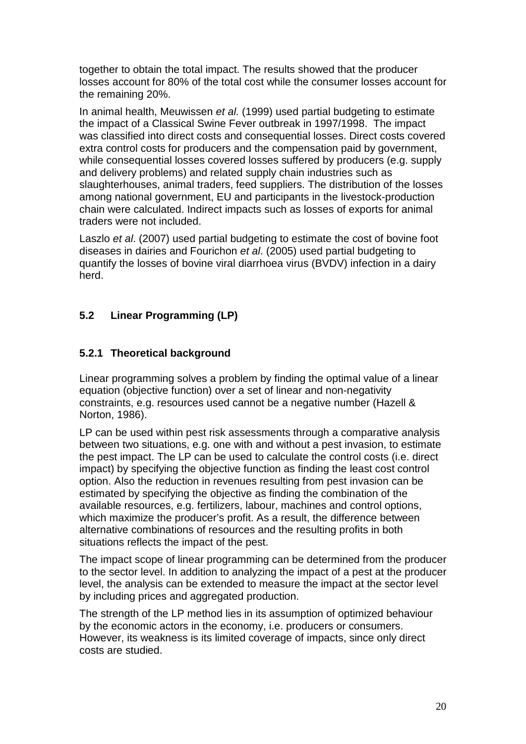together to obtain the total impact. The results showed that the producer losses account for 80% of the total cost while the consumer losses account for the remaining 20%.

In animal health, Meuwissen *et al.* (1999) used partial budgeting to estimate the impact of a Classical Swine Fever outbreak in 1997/1998. The impact was classified into direct costs and consequential losses. Direct costs covered extra control costs for producers and the compensation paid by government, while consequential losses covered losses suffered by producers (e.g. supply and delivery problems) and related supply chain industries such as slaughterhouses, animal traders, feed suppliers. The distribution of the losses among national government, EU and participants in the livestock-production chain were calculated. Indirect impacts such as losses of exports for animal traders were not included.

Laszlo *et al*. (2007) used partial budgeting to estimate the cost of bovine foot diseases in dairies and Fourichon *et al*. (2005) used partial budgeting to quantify the losses of bovine viral diarrhoea virus (BVDV) infection in a dairy herd.

### <span id="page-22-0"></span>**5.2 Linear Programming (LP)**

#### <span id="page-22-1"></span>**5.2.1 Theoretical background**

Linear programming solves a problem by finding the optimal value of a linear equation (objective function) over a set of linear and non-negativity constraints, e.g. resources used cannot be a negative number (Hazell & Norton, 1986).

LP can be used within pest risk assessments through a comparative analysis between two situations, e.g. one with and without a pest invasion, to estimate the pest impact. The LP can be used to calculate the control costs (i.e. direct impact) by specifying the objective function as finding the least cost control option. Also the reduction in revenues resulting from pest invasion can be estimated by specifying the objective as finding the combination of the available resources, e.g. fertilizers, labour, machines and control options, which maximize the producer's profit. As a result, the difference between alternative combinations of resources and the resulting profits in both situations reflects the impact of the pest.

The impact scope of linear programming can be determined from the producer to the sector level. In addition to analyzing the impact of a pest at the producer level, the analysis can be extended to measure the impact at the sector level by including prices and aggregated production.

The strength of the LP method lies in its assumption of optimized behaviour by the economic actors in the economy, i.e. producers or consumers. However, its weakness is its limited coverage of impacts, since only direct costs are studied.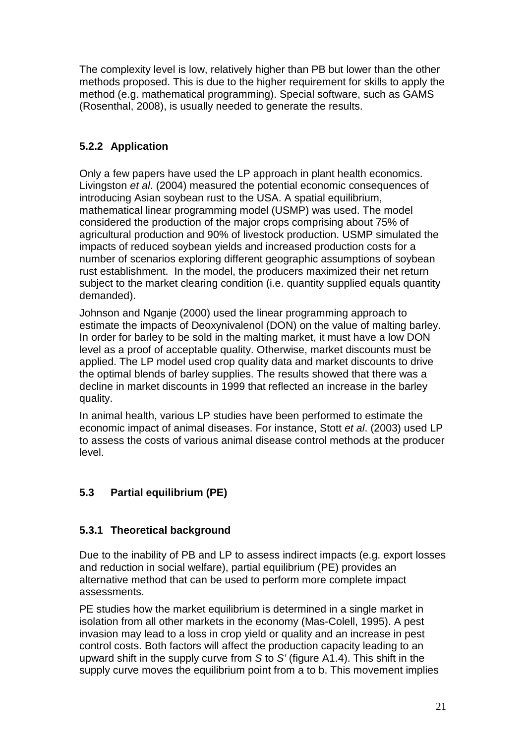The complexity level is low, relatively higher than PB but lower than the other methods proposed. This is due to the higher requirement for skills to apply the method (e.g. mathematical programming). Special software, such as GAMS (Rosenthal, 2008), is usually needed to generate the results.

#### <span id="page-23-0"></span>**5.2.2 Application**

Only a few papers have used the LP approach in plant health economics. Livingston *et al*. (2004) measured the potential economic consequences of introducing Asian soybean rust to the USA. A spatial equilibrium, mathematical linear programming model (USMP) was used. The model considered the production of the major crops comprising about 75% of agricultural production and 90% of livestock production. USMP simulated the impacts of reduced soybean yields and increased production costs for a number of scenarios exploring different geographic assumptions of soybean rust establishment. In the model, the producers maximized their net return subject to the market clearing condition (i.e. quantity supplied equals quantity demanded).

Johnson and Nganje (2000) used the linear programming approach to estimate the impacts of Deoxynivalenol (DON) on the value of malting barley. In order for barley to be sold in the malting market, it must have a low DON level as a proof of acceptable quality. Otherwise, market discounts must be applied. The LP model used crop quality data and market discounts to drive the optimal blends of barley supplies. The results showed that there was a decline in market discounts in 1999 that reflected an increase in the barley quality.

In animal health, various LP studies have been performed to estimate the economic impact of animal diseases. For instance, Stott *et al*. (2003) used LP to assess the costs of various animal disease control methods at the producer level.

### <span id="page-23-1"></span>**5.3 Partial equilibrium (PE)**

#### <span id="page-23-2"></span>**5.3.1 Theoretical background**

Due to the inability of PB and LP to assess indirect impacts (e.g. export losses and reduction in social welfare), partial equilibrium (PE) provides an alternative method that can be used to perform more complete impact assessments.

PE studies how the market equilibrium is determined in a single market in isolation from all other markets in the economy (Mas-Colell, 1995). A pest invasion may lead to a loss in crop yield or quality and an increase in pest control costs. Both factors will affect the production capacity leading to an upward shift in the supply curve from *S* to *S'* (figure A1.4). This shift in the supply curve moves the equilibrium point from a to b. This movement implies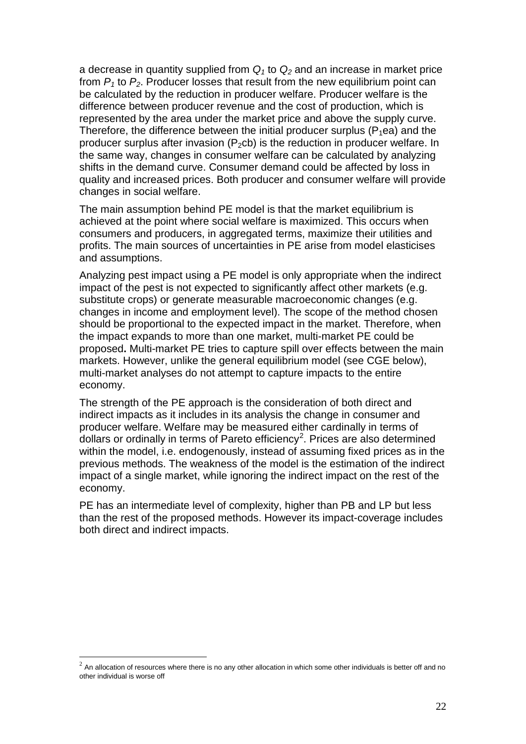a decrease in quantity supplied from  $Q_1$  to  $Q_2$  and an increase in market price from  $P_1$  to  $P_2$ . Producer losses that result from the new equilibrium point can be calculated by the reduction in producer welfare. Producer welfare is the difference between producer revenue and the cost of production, which is represented by the area under the market price and above the supply curve. Therefore, the difference between the initial producer surplus  $(P_1ea)$  and the producer surplus after invasion  $(P_2cb)$  is the reduction in producer welfare. In the same way, changes in consumer welfare can be calculated by analyzing shifts in the demand curve. Consumer demand could be affected by loss in quality and increased prices. Both producer and consumer welfare will provide changes in social welfare.

The main assumption behind PE model is that the market equilibrium is achieved at the point where social welfare is maximized. This occurs when consumers and producers, in aggregated terms, maximize their utilities and profits. The main sources of uncertainties in PE arise from model elasticises and assumptions.

Analyzing pest impact using a PE model is only appropriate when the indirect impact of the pest is not expected to significantly affect other markets (e.g. substitute crops) or generate measurable macroeconomic changes (e.g. changes in income and employment level). The scope of the method chosen should be proportional to the expected impact in the market. Therefore, when the impact expands to more than one market, multi-market PE could be proposed**.** Multi-market PE tries to capture spill over effects between the main markets. However, unlike the general equilibrium model (see CGE below), multi-market analyses do not attempt to capture impacts to the entire economy.

The strength of the PE approach is the consideration of both direct and indirect impacts as it includes in its analysis the change in consumer and producer welfare. Welfare may be measured either cardinally in terms of dollars or ordinally in terms of Pareto efficiency<sup>[2](#page-24-0)</sup>. Prices are also determined within the model, i.e. endogenously, instead of assuming fixed prices as in the previous methods. The weakness of the model is the estimation of the indirect impact of a single market, while ignoring the indirect impact on the rest of the economy.

PE has an intermediate level of complexity, higher than PB and LP but less than the rest of the proposed methods. However its impact-coverage includes both direct and indirect impacts.

<span id="page-24-0"></span> $2$  An allocation of resources where there is no any other allocation in which some other individuals is better off and no other individual is worse off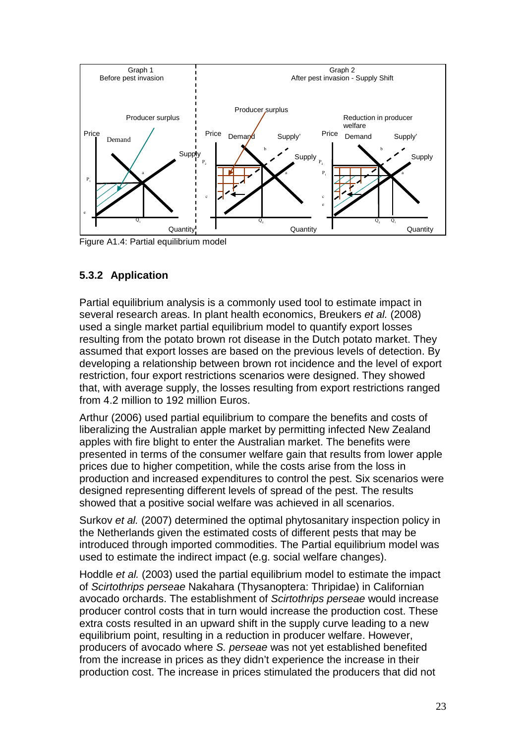

Figure A1.4: Partial equilibrium model

## <span id="page-25-0"></span>**5.3.2 Application**

Partial equilibrium analysis is a commonly used tool to estimate impact in several research areas. In plant health economics, Breukers *et al.* (2008) used a single market partial equilibrium model to quantify export losses resulting from the potato brown rot disease in the Dutch potato market. They assumed that export losses are based on the previous levels of detection. By developing a relationship between brown rot incidence and the level of export restriction, four export restrictions scenarios were designed. They showed that, with average supply, the losses resulting from export restrictions ranged from 4.2 million to 192 million Euros.

Arthur (2006) used partial equilibrium to compare the benefits and costs of liberalizing the Australian apple market by permitting infected New Zealand apples with fire blight to enter the Australian market. The benefits were presented in terms of the consumer welfare gain that results from lower apple prices due to higher competition, while the costs arise from the loss in production and increased expenditures to control the pest. Six scenarios were designed representing different levels of spread of the pest. The results showed that a positive social welfare was achieved in all scenarios.

Surkov *et al.* (2007) determined the optimal phytosanitary inspection policy in the Netherlands given the estimated costs of different pests that may be introduced through imported commodities. The Partial equilibrium model was used to estimate the indirect impact (e.g. social welfare changes).

Hoddle *et al.* (2003) used the partial equilibrium model to estimate the impact of *Scirtothrips perseae* Nakahara (Thysanoptera: Thripidae) in Californian avocado orchards. The establishment of *Scirtothrips perseae* would increase producer control costs that in turn would increase the production cost. These extra costs resulted in an upward shift in the supply curve leading to a new equilibrium point, resulting in a reduction in producer welfare. However, producers of avocado where *S. perseae* was not yet established benefited from the increase in prices as they didn't experience the increase in their production cost. The increase in prices stimulated the producers that did not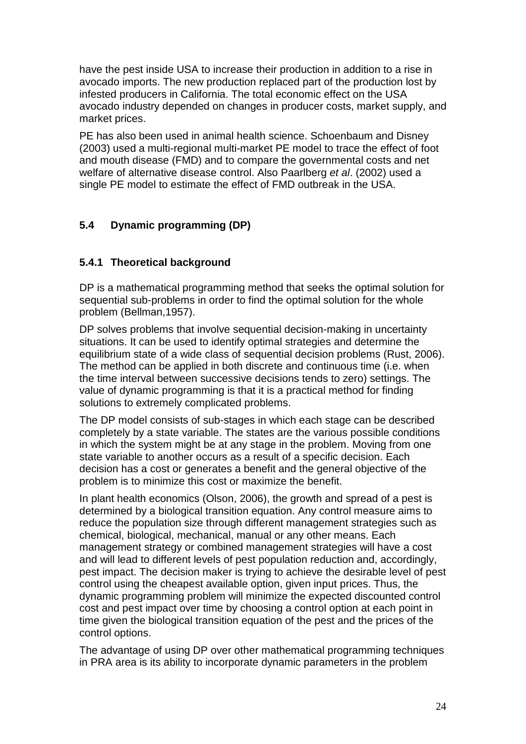have the pest inside USA to increase their production in addition to a rise in avocado imports. The new production replaced part of the production lost by infested producers in California. The total economic effect on the USA avocado industry depended on changes in producer costs, market supply, and market prices.

PE has also been used in animal health science. Schoenbaum and Disney (2003) used a multi-regional multi-market PE model to trace the effect of foot and mouth disease (FMD) and to compare the governmental costs and net welfare of alternative disease control. Also Paarlberg *et al*. (2002) used a single PE model to estimate the effect of FMD outbreak in the USA.

## <span id="page-26-0"></span>**5.4 Dynamic programming (DP)**

### <span id="page-26-1"></span>**5.4.1 Theoretical background**

DP is a mathematical programming method that seeks the optimal solution for sequential sub-problems in order to find the optimal solution for the whole problem (Bellman,1957).

DP solves problems that involve sequential decision-making in uncertainty situations. It can be used to identify optimal strategies and determine the equilibrium state of a wide class of sequential decision problems (Rust, 2006). The method can be applied in both discrete and continuous time (i.e. when the time interval between successive decisions tends to zero) settings. The value of dynamic programming is that it is a practical method for finding solutions to extremely complicated problems.

The DP model consists of sub-stages in which each stage can be described completely by a state variable. The states are the various possible conditions in which the system might be at any stage in the problem. Moving from one state variable to another occurs as a result of a specific decision. Each decision has a cost or generates a benefit and the general objective of the problem is to minimize this cost or maximize the benefit.

In plant health economics (Olson, 2006), the growth and spread of a pest is determined by a biological transition equation. Any control measure aims to reduce the population size through different management strategies such as chemical, biological, mechanical, manual or any other means. Each management strategy or combined management strategies will have a cost and will lead to different levels of pest population reduction and, accordingly, pest impact. The decision maker is trying to achieve the desirable level of pest control using the cheapest available option, given input prices. Thus, the dynamic programming problem will minimize the expected discounted control cost and pest impact over time by choosing a control option at each point in time given the biological transition equation of the pest and the prices of the control options.

The advantage of using DP over other mathematical programming techniques in PRA area is its ability to incorporate dynamic parameters in the problem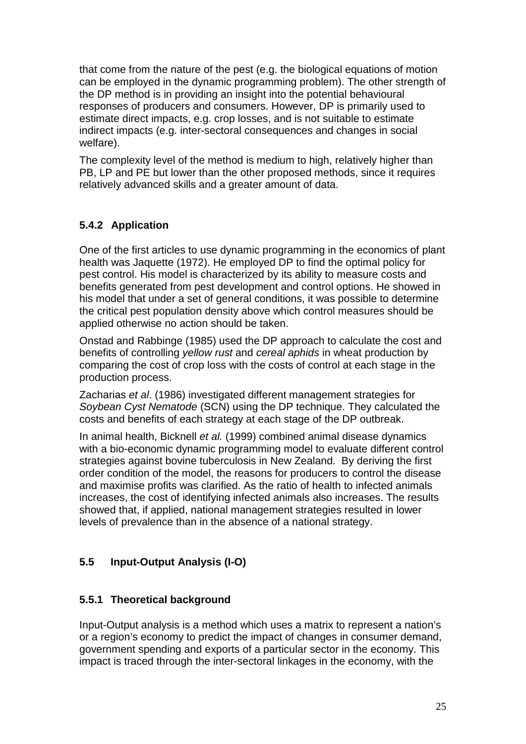that come from the nature of the pest (e.g. the biological equations of motion can be employed in the dynamic programming problem). The other strength of the DP method is in providing an insight into the potential behavioural responses of producers and consumers. However, DP is primarily used to estimate direct impacts, e.g. crop losses, and is not suitable to estimate indirect impacts (e.g. inter-sectoral consequences and changes in social welfare).

The complexity level of the method is medium to high, relatively higher than PB, LP and PE but lower than the other proposed methods, since it requires relatively advanced skills and a greater amount of data.

### <span id="page-27-0"></span>**5.4.2 Application**

One of the first articles to use dynamic programming in the economics of plant health was Jaquette (1972). He employed DP to find the optimal policy for pest control. His model is characterized by its ability to measure costs and benefits generated from pest development and control options. He showed in his model that under a set of general conditions, it was possible to determine the critical pest population density above which control measures should be applied otherwise no action should be taken.

Onstad and Rabbinge (1985) used the DP approach to calculate the cost and benefits of controlling *yellow rust* and *cereal aphids* in wheat production by comparing the cost of crop loss with the costs of control at each stage in the production process.

Zacharias *et al*. (1986) investigated different management strategies for *Soybean Cyst Nematode* (SCN) using the DP technique. They calculated the costs and benefits of each strategy at each stage of the DP outbreak.

In animal health, Bicknell *et al.* (1999) combined animal disease dynamics with a bio-economic dynamic programming model to evaluate different control strategies against bovine tuberculosis in New Zealand. By deriving the first order condition of the model, the reasons for producers to control the disease and maximise profits was clarified. As the ratio of health to infected animals increases, the cost of identifying infected animals also increases. The results showed that, if applied, national management strategies resulted in lower levels of prevalence than in the absence of a national strategy.

## <span id="page-27-1"></span>**5.5 Input-Output Analysis (I-O)**

### <span id="page-27-2"></span>**5.5.1 Theoretical background**

Input-Output analysis is a method which uses a matrix to represent a nation's or a region's economy to predict the impact of changes in consumer demand, government spending and exports of a particular sector in the economy. This impact is traced through the inter-sectoral linkages in the economy, with the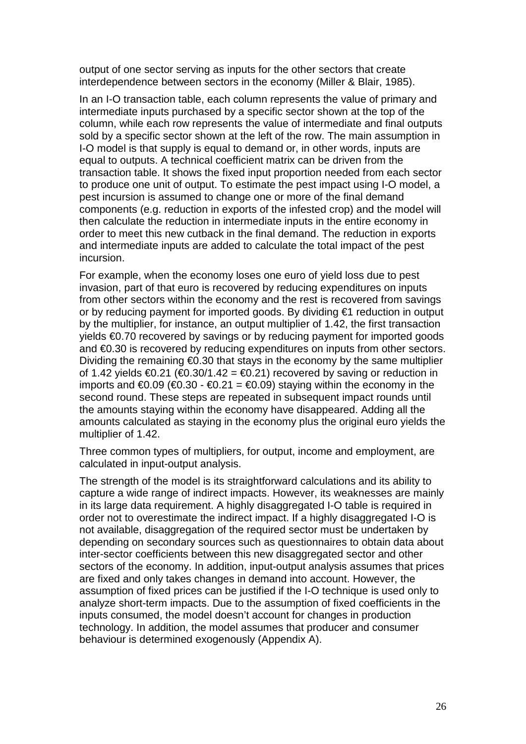output of one sector serving as inputs for the other sectors that create interdependence between sectors in the economy (Miller & Blair, 1985).

In an I-O transaction table, each column represents the value of primary and intermediate inputs purchased by a specific sector shown at the top of the column, while each row represents the value of intermediate and final outputs sold by a specific sector shown at the left of the row. The main assumption in I-O model is that supply is equal to demand or, in other words, inputs are equal to outputs. A technical coefficient matrix can be driven from the transaction table. It shows the fixed input proportion needed from each sector to produce one unit of output. To estimate the pest impact using I-O model, a pest incursion is assumed to change one or more of the final demand components (e.g. reduction in exports of the infested crop) and the model will then calculate the reduction in intermediate inputs in the entire economy in order to meet this new cutback in the final demand. The reduction in exports and intermediate inputs are added to calculate the total impact of the pest incursion.

For example, when the economy loses one euro of yield loss due to pest invasion, part of that euro is recovered by reducing expenditures on inputs from other sectors within the economy and the rest is recovered from savings or by reducing payment for imported goods. By dividing €1 reduction in output by the multiplier, for instance, an output multiplier of 1.42, the first transaction yields €0.70 recovered by savings or by reducing payment for imported goods and €0.30 is recovered by reducing expenditures on inputs from other sectors. Dividing the remaining €0.30 that stays in the economy by the same multiplier of 1.42 yields  $\bigoplus$  21 ( $\bigoplus$  30/1.42 =  $\bigoplus$  21) recovered by saving or reduction in imports and  $€0.09$  (€0.30 - €0.21 = €0.09) staying within the economy in the second round. These steps are repeated in subsequent impact rounds until the amounts staying within the economy have disappeared. Adding all the amounts calculated as staying in the economy plus the original euro yields the multiplier of 1.42.

Three common types of multipliers, for output, income and employment, are calculated in input-output analysis.

The strength of the model is its straightforward calculations and its ability to capture a wide range of indirect impacts. However, its weaknesses are mainly in its large data requirement. A highly disaggregated I-O table is required in order not to overestimate the indirect impact. If a highly disaggregated I-O is not available, disaggregation of the required sector must be undertaken by depending on secondary sources such as questionnaires to obtain data about inter-sector coefficients between this new disaggregated sector and other sectors of the economy. In addition, input-output analysis assumes that prices are fixed and only takes changes in demand into account. However, the assumption of fixed prices can be justified if the I-O technique is used only to analyze short-term impacts. Due to the assumption of fixed coefficients in the inputs consumed, the model doesn't account for changes in production technology. In addition, the model assumes that producer and consumer behaviour is determined exogenously (Appendix A).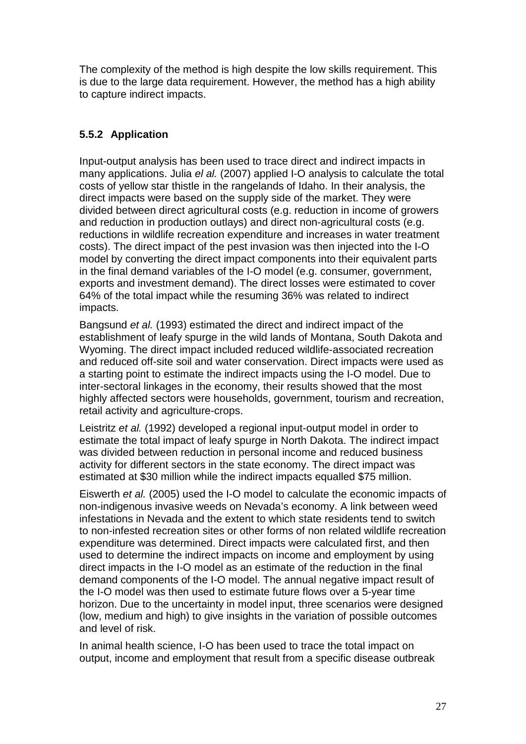The complexity of the method is high despite the low skills requirement. This is due to the large data requirement. However, the method has a high ability to capture indirect impacts.

## <span id="page-29-0"></span>**5.5.2 Application**

Input-output analysis has been used to trace direct and indirect impacts in many applications. Julia *el al.* (2007) applied I-O analysis to calculate the total costs of yellow star thistle in the rangelands of Idaho. In their analysis, the direct impacts were based on the supply side of the market. They were divided between direct agricultural costs (e.g. reduction in income of growers and reduction in production outlays) and direct non-agricultural costs (e.g. reductions in wildlife recreation expenditure and increases in water treatment costs). The direct impact of the pest invasion was then injected into the I-O model by converting the direct impact components into their equivalent parts in the final demand variables of the I-O model (e.g. consumer, government, exports and investment demand). The direct losses were estimated to cover 64% of the total impact while the resuming 36% was related to indirect impacts.

Bangsund *et al.* (1993) estimated the direct and indirect impact of the establishment of leafy spurge in the wild lands of Montana, South Dakota and Wyoming. The direct impact included reduced wildlife-associated recreation and reduced off-site soil and water conservation. Direct impacts were used as a starting point to estimate the indirect impacts using the I-O model. Due to inter-sectoral linkages in the economy, their results showed that the most highly affected sectors were households, government, tourism and recreation, retail activity and agriculture-crops.

Leistritz *et al.* (1992) developed a regional input-output model in order to estimate the total impact of leafy spurge in North Dakota. The indirect impact was divided between reduction in personal income and reduced business activity for different sectors in the state economy. The direct impact was estimated at \$30 million while the indirect impacts equalled \$75 million.

Eiswerth *et al.* (2005) used the I-O model to calculate the economic impacts of non-indigenous invasive weeds on Nevada's economy. A link between weed infestations in Nevada and the extent to which state residents tend to switch to non-infested recreation sites or other forms of non related wildlife recreation expenditure was determined. Direct impacts were calculated first, and then used to determine the indirect impacts on income and employment by using direct impacts in the I-O model as an estimate of the reduction in the final demand components of the I-O model. The annual negative impact result of the I-O model was then used to estimate future flows over a 5-year time horizon. Due to the uncertainty in model input, three scenarios were designed (low, medium and high) to give insights in the variation of possible outcomes and level of risk.

In animal health science, I-O has been used to trace the total impact on output, income and employment that result from a specific disease outbreak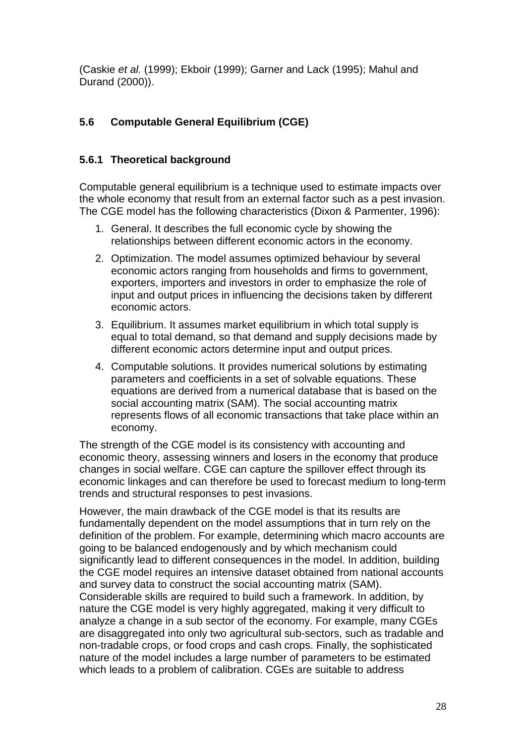(Caskie *et al.* (1999); Ekboir (1999); Garner and Lack (1995); Mahul and Durand (2000)).

## <span id="page-30-0"></span>**5.6 Computable General Equilibrium (CGE)**

#### <span id="page-30-1"></span>**5.6.1 Theoretical background**

Computable general equilibrium is a technique used to estimate impacts over the whole economy that result from an external factor such as a pest invasion. The CGE model has the following characteristics (Dixon & Parmenter, 1996):

- 1. General. It describes the full economic cycle by showing the relationships between different economic actors in the economy.
- 2. Optimization. The model assumes optimized behaviour by several economic actors ranging from households and firms to government, exporters, importers and investors in order to emphasize the role of input and output prices in influencing the decisions taken by different economic actors.
- 3. Equilibrium. It assumes market equilibrium in which total supply is equal to total demand, so that demand and supply decisions made by different economic actors determine input and output prices.
- 4. Computable solutions. It provides numerical solutions by estimating parameters and coefficients in a set of solvable equations. These equations are derived from a numerical database that is based on the social accounting matrix (SAM). The social accounting matrix represents flows of all economic transactions that take place within an economy.

The strength of the CGE model is its consistency with accounting and economic theory, assessing winners and losers in the economy that produce changes in social welfare. CGE can capture the spillover effect through its economic linkages and can therefore be used to forecast medium to long-term trends and structural responses to pest invasions.

However, the main drawback of the CGE model is that its results are fundamentally dependent on the model assumptions that in turn rely on the definition of the problem. For example, determining which macro accounts are going to be balanced endogenously and by which mechanism could significantly lead to different consequences in the model. In addition, building the CGE model requires an intensive dataset obtained from national accounts and survey data to construct the social accounting matrix (SAM). Considerable skills are required to build such a framework. In addition, by nature the CGE model is very highly aggregated, making it very difficult to analyze a change in a sub sector of the economy. For example, many CGEs are disaggregated into only two agricultural sub-sectors, such as tradable and non-tradable crops, or food crops and cash crops. Finally, the sophisticated nature of the model includes a large number of parameters to be estimated which leads to a problem of calibration. CGEs are suitable to address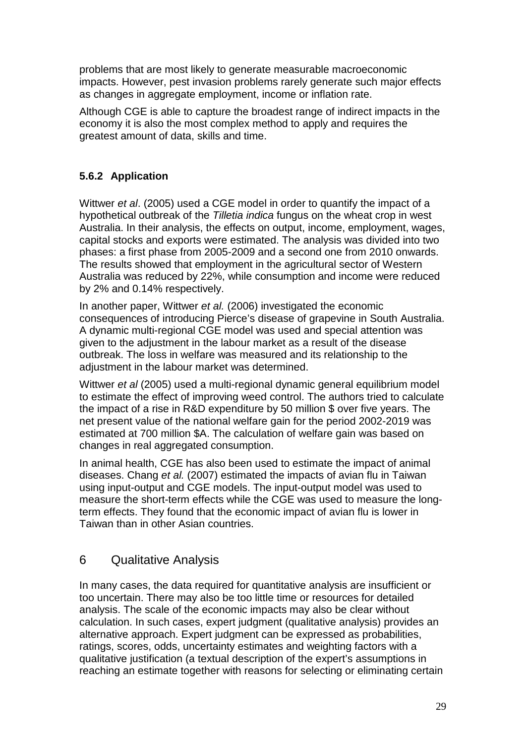problems that are most likely to generate measurable macroeconomic impacts. However, pest invasion problems rarely generate such major effects as changes in aggregate employment, income or inflation rate.

Although CGE is able to capture the broadest range of indirect impacts in the economy it is also the most complex method to apply and requires the greatest amount of data, skills and time.

### <span id="page-31-0"></span>**5.6.2 Application**

Wittwer *et al*. (2005) used a CGE model in order to quantify the impact of a hypothetical outbreak of the *Tilletia indica* fungus on the wheat crop in west Australia. In their analysis, the effects on output, income, employment, wages, capital stocks and exports were estimated. The analysis was divided into two phases: a first phase from 2005-2009 and a second one from 2010 onwards. The results showed that employment in the agricultural sector of Western Australia was reduced by 22%, while consumption and income were reduced by 2% and 0.14% respectively.

In another paper, Wittwer *et al.* (2006) investigated the economic consequences of introducing Pierce's disease of grapevine in South Australia. A dynamic multi-regional CGE model was used and special attention was given to the adjustment in the labour market as a result of the disease outbreak. The loss in welfare was measured and its relationship to the adjustment in the labour market was determined.

Wittwer *et al* (2005) used a multi-regional dynamic general equilibrium model to estimate the effect of improving weed control. The authors tried to calculate the impact of a rise in R&D expenditure by 50 million \$ over five years. The net present value of the national welfare gain for the period 2002-2019 was estimated at 700 million \$A. The calculation of welfare gain was based on changes in real aggregated consumption.

In animal health, CGE has also been used to estimate the impact of animal diseases. Chang *et al.* (2007) estimated the impacts of avian flu in Taiwan using input-output and CGE models. The input-output model was used to measure the short-term effects while the CGE was used to measure the longterm effects. They found that the economic impact of avian flu is lower in Taiwan than in other Asian countries.

## <span id="page-31-1"></span>6 Qualitative Analysis

In many cases, the data required for quantitative analysis are insufficient or too uncertain. There may also be too little time or resources for detailed analysis. The scale of the economic impacts may also be clear without calculation. In such cases, expert judgment (qualitative analysis) provides an alternative approach. Expert judgment can be expressed as probabilities, ratings, scores, odds, uncertainty estimates and weighting factors with a qualitative justification (a textual description of the expert's assumptions in reaching an estimate together with reasons for selecting or eliminating certain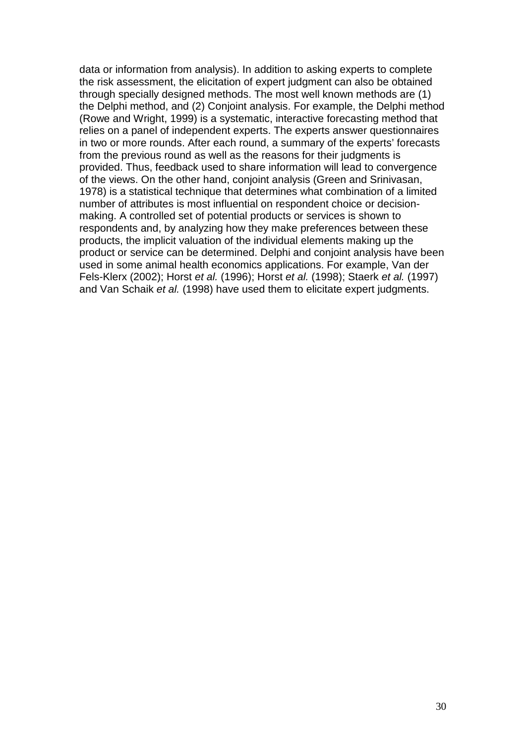data or information from analysis). In addition to asking experts to complete the risk assessment, the elicitation of expert judgment can also be obtained through specially designed methods. The most well known methods are (1) the Delphi method, and (2) Conjoint analysis. For example, the Delphi method (Rowe and Wright, 1999) is a systematic, interactive forecasting method that relies on a panel of independent experts. The experts answer questionnaires in two or more rounds. After each round, a summary of the experts' forecasts from the previous round as well as the reasons for their judgments is provided. Thus, feedback used to share information will lead to convergence of the views. On the other hand, conjoint analysis (Green and Srinivasan, 1978) is a statistical technique that determines what combination of a limited number of attributes is most influential on respondent choice or decisionmaking. A controlled set of potential products or services is shown to respondents and, by analyzing how they make preferences between these products, the implicit valuation of the individual elements making up the product or service can be determined. Delphi and conjoint analysis have been used in some animal health economics applications. For example, Van der Fels-Klerx (2002); Horst *et al.* (1996); Horst *et al.* (1998); Staerk *et al.* (1997) and Van Schaik *et al.* (1998) have used them to elicitate expert judgments.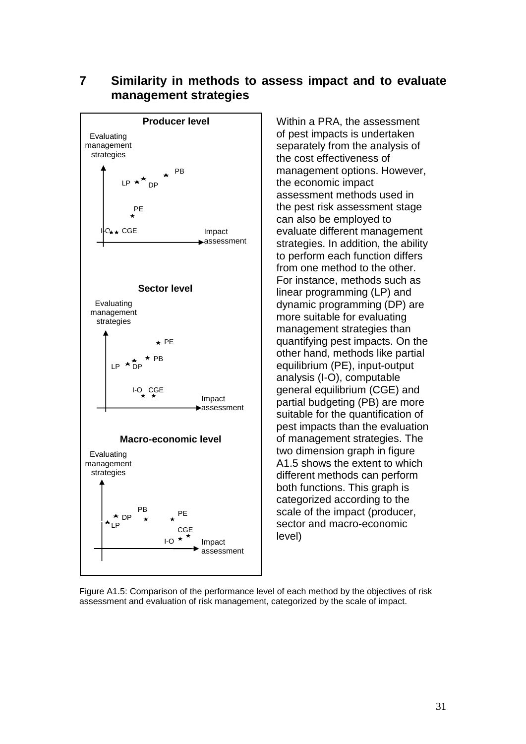#### <span id="page-33-0"></span>**7 Similarity in methods to assess impact and to evaluate management strategies**



Within a PRA, the assessment of pest impacts is undertaken separately from the analysis of the cost effectiveness of management options. However, the economic impact assessment methods used in the pest risk assessment stage can also be employed to evaluate different management strategies. In addition, the ability to perform each function differs from one method to the other. For instance, methods such as linear programming (LP) and dynamic programming (DP) are more suitable for evaluating management strategies than quantifying pest impacts. On the other hand, methods like partial equilibrium (PE), input-output analysis (I-O), computable general equilibrium (CGE) and partial budgeting (PB) are more suitable for the quantification of pest impacts than the evaluation of management strategies. The two dimension graph in figure A1.5 shows the extent to which different methods can perform both functions. This graph is categorized according to the scale of the impact (producer, sector and macro-economic level)

Figure A1.5: Comparison of the performance level of each method by the objectives of risk assessment and evaluation of risk management, categorized by the scale of impact.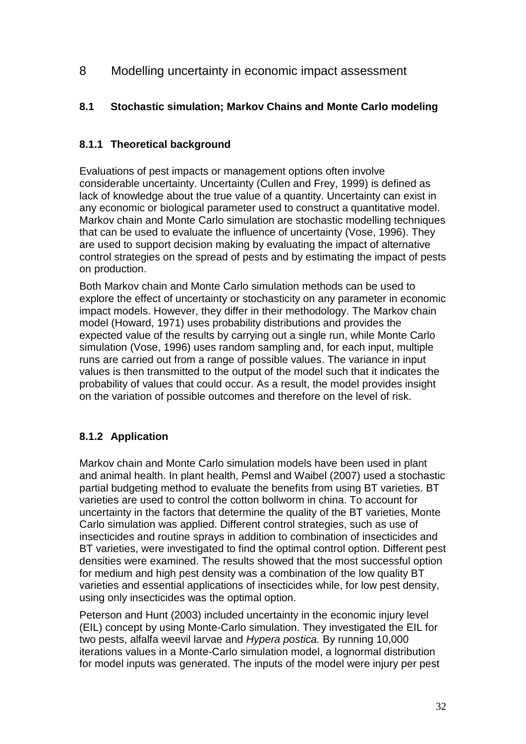<span id="page-34-0"></span>8 Modelling uncertainty in economic impact assessment

#### <span id="page-34-1"></span>**8.1 Stochastic simulation; Markov Chains and Monte Carlo modeling**

#### <span id="page-34-2"></span>**8.1.1 Theoretical background**

Evaluations of pest impacts or management options often involve considerable uncertainty. Uncertainty (Cullen and Frey, 1999) is defined as lack of knowledge about the true value of a quantity. Uncertainty can exist in any economic or biological parameter used to construct a quantitative model. Markov chain and Monte Carlo simulation are stochastic modelling techniques that can be used to evaluate the influence of uncertainty (Vose, 1996). They are used to support decision making by evaluating the impact of alternative control strategies on the spread of pests and by estimating the impact of pests on production.

Both Markov chain and Monte Carlo simulation methods can be used to explore the effect of uncertainty or stochasticity on any parameter in economic impact models. However, they differ in their methodology. The Markov chain model (Howard, 1971) uses probability distributions and provides the expected value of the results by carrying out a single run, while Monte Carlo simulation (Vose, 1996) uses random sampling and, for each input, multiple runs are carried out from a range of possible values. The variance in input values is then transmitted to the output of the model such that it indicates the probability of values that could occur. As a result, the model provides insight on the variation of possible outcomes and therefore on the level of risk.

### <span id="page-34-3"></span>**8.1.2 Application**

Markov chain and Monte Carlo simulation models have been used in plant and animal health. In plant health, Pemsl and Waibel (2007) used a stochastic partial budgeting method to evaluate the benefits from using BT varieties. BT varieties are used to control the cotton bollworm in china. To account for uncertainty in the factors that determine the quality of the BT varieties, Monte Carlo simulation was applied. Different control strategies, such as use of insecticides and routine sprays in addition to combination of insecticides and BT varieties, were investigated to find the optimal control option. Different pest densities were examined. The results showed that the most successful option for medium and high pest density was a combination of the low quality BT varieties and essential applications of insecticides while, for low pest density, using only insecticides was the optimal option.

Peterson and Hunt (2003) included uncertainty in the economic injury level (EIL) concept by using Monte-Carlo simulation. They investigated the EIL for two pests, alfalfa weevil larvae and *Hypera postica.* By running 10,000 iterations values in a Monte-Carlo simulation model, a lognormal distribution for model inputs was generated. The inputs of the model were injury per pest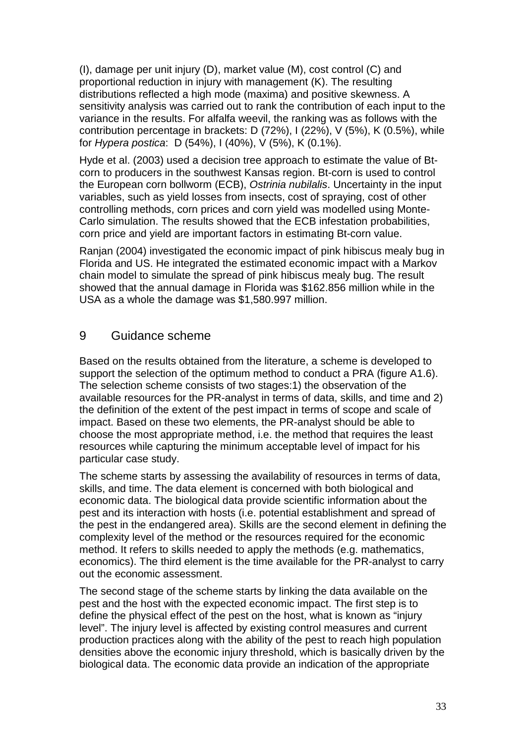(I), damage per unit injury (D), market value (M), cost control (C) and proportional reduction in injury with management (K). The resulting distributions reflected a high mode (maxima) and positive skewness. A sensitivity analysis was carried out to rank the contribution of each input to the variance in the results. For alfalfa weevil, the ranking was as follows with the contribution percentage in brackets: D (72%), I (22%), V (5%), K (0.5%), while for *Hypera postica*: D (54%), I (40%), V (5%), K (0.1%).

Hyde et al. (2003) used a decision tree approach to estimate the value of Btcorn to producers in the southwest Kansas region. Bt-corn is used to control the European corn bollworm (ECB), *Ostrinia nubilalis*. Uncertainty in the input variables, such as yield losses from insects, cost of spraying, cost of other controlling methods, corn prices and corn yield was modelled using Monte-Carlo simulation. The results showed that the ECB infestation probabilities, corn price and yield are important factors in estimating Bt-corn value.

Ranjan (2004) investigated the economic impact of pink hibiscus mealy bug in Florida and US. He integrated the estimated economic impact with a Markov chain model to simulate the spread of pink hibiscus mealy bug. The result showed that the annual damage in Florida was \$162.856 million while in the USA as a whole the damage was \$1,580.997 million.

## <span id="page-35-0"></span>9 Guidance scheme

Based on the results obtained from the literature, a scheme is developed to support the selection of the optimum method to conduct a PRA (figure A1.6). The selection scheme consists of two stages:1) the observation of the available resources for the PR-analyst in terms of data, skills, and time and 2) the definition of the extent of the pest impact in terms of scope and scale of impact. Based on these two elements, the PR-analyst should be able to choose the most appropriate method, i.e. the method that requires the least resources while capturing the minimum acceptable level of impact for his particular case study.

The scheme starts by assessing the availability of resources in terms of data, skills, and time. The data element is concerned with both biological and economic data. The biological data provide scientific information about the pest and its interaction with hosts (i.e. potential establishment and spread of the pest in the endangered area). Skills are the second element in defining the complexity level of the method or the resources required for the economic method. It refers to skills needed to apply the methods (e.g. mathematics, economics). The third element is the time available for the PR-analyst to carry out the economic assessment.

The second stage of the scheme starts by linking the data available on the pest and the host with the expected economic impact. The first step is to define the physical effect of the pest on the host, what is known as "injury level". The injury level is affected by existing control measures and current production practices along with the ability of the pest to reach high population densities above the economic injury threshold, which is basically driven by the biological data. The economic data provide an indication of the appropriate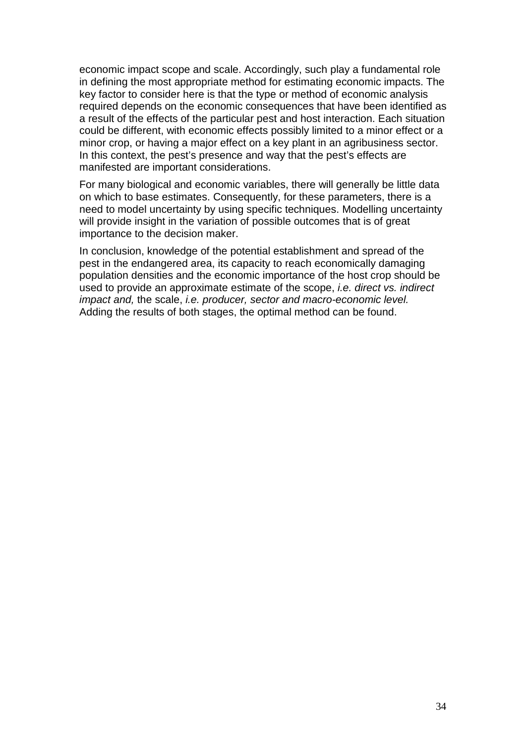economic impact scope and scale. Accordingly, such play a fundamental role in defining the most appropriate method for estimating economic impacts. The key factor to consider here is that the type or method of economic analysis required depends on the economic consequences that have been identified as a result of the effects of the particular pest and host interaction. Each situation could be different, with economic effects possibly limited to a minor effect or a minor crop, or having a major effect on a key plant in an agribusiness sector. In this context, the pest's presence and way that the pest's effects are manifested are important considerations.

For many biological and economic variables, there will generally be little data on which to base estimates. Consequently, for these parameters, there is a need to model uncertainty by using specific techniques. Modelling uncertainty will provide insight in the variation of possible outcomes that is of great importance to the decision maker.

In conclusion, knowledge of the potential establishment and spread of the pest in the endangered area, its capacity to reach economically damaging population densities and the economic importance of the host crop should be used to provide an approximate estimate of the scope, *i.e. direct vs. indirect impact and,* the scale, *i.e. producer, sector and macro-economic level.*  Adding the results of both stages, the optimal method can be found.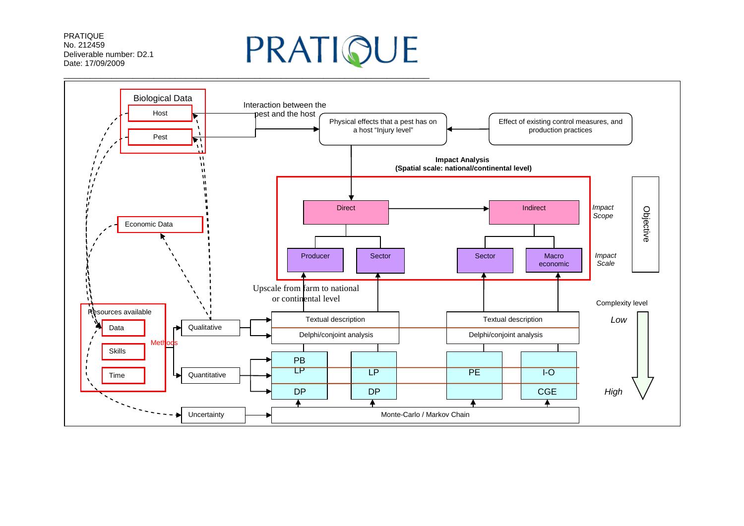PRATIQUE No. 212459 Deliverable number: D2.1 Date: 17/09/2009

# PRATIQUE

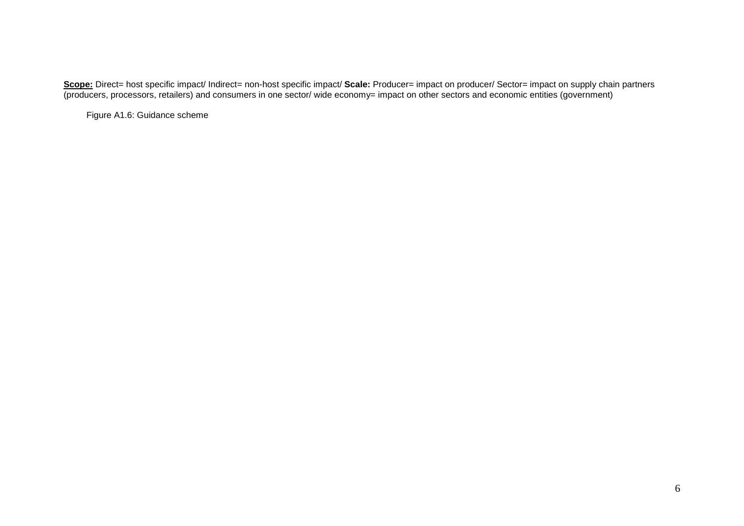**Scope:** Direct= host specific impact/ Indirect= non-host specific impact/ **Scale:** Producer= impact on producer/ Sector= impact on supply chain partners (producers, processors, retailers) and consumers in one sector/ wide economy= impact on other sectors and economic entities (government)

Figure A1.6: Guidance scheme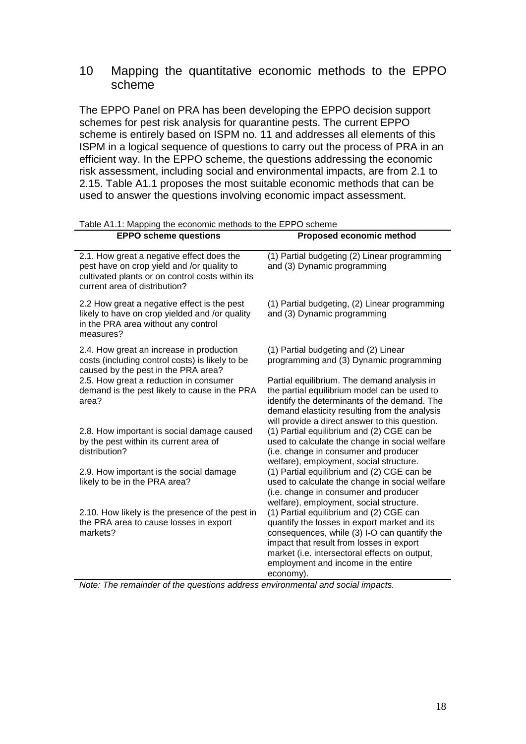# 10 Mapping the quantitative economic methods to the EPPO scheme

The EPPO Panel on PRA has been developing the EPPO decision support schemes for pest risk analysis for quarantine pests. The current EPPO scheme is entirely based on ISPM no. 11 and addresses all elements of this ISPM in a logical sequence of questions to carry out the process of PRA in an efficient way. In the EPPO scheme, the questions addressing the economic risk assessment, including social and environmental impacts, are from 2.1 to 2.15. Table A1.1 proposes the most suitable economic methods that can be used to answer the questions involving economic impact assessment.

| <b>EPPO scheme questions</b>                                                                                                                                                 | <b>Proposed economic method</b>                                                                                                                                                                                                                                                          |
|------------------------------------------------------------------------------------------------------------------------------------------------------------------------------|------------------------------------------------------------------------------------------------------------------------------------------------------------------------------------------------------------------------------------------------------------------------------------------|
| 2.1. How great a negative effect does the<br>pest have on crop yield and /or quality to<br>cultivated plants or on control costs within its<br>current area of distribution? | (1) Partial budgeting (2) Linear programming<br>and (3) Dynamic programming                                                                                                                                                                                                              |
| 2.2 How great a negative effect is the pest<br>likely to have on crop yielded and /or quality<br>in the PRA area without any control<br>measures?                            | (1) Partial budgeting, (2) Linear programming<br>and (3) Dynamic programming                                                                                                                                                                                                             |
| 2.4. How great an increase in production<br>costs (including control costs) is likely to be<br>caused by the pest in the PRA area?                                           | (1) Partial budgeting and (2) Linear<br>programming and (3) Dynamic programming                                                                                                                                                                                                          |
| 2.5. How great a reduction in consumer<br>demand is the pest likely to cause in the PRA<br>area?                                                                             | Partial equilibrium. The demand analysis in<br>the partial equilibrium model can be used to<br>identify the determinants of the demand. The<br>demand elasticity resulting from the analysis<br>will provide a direct answer to this question.                                           |
| 2.8. How important is social damage caused<br>by the pest within its current area of<br>distribution?                                                                        | (1) Partial equilibrium and (2) CGE can be<br>used to calculate the change in social welfare<br>(i.e. change in consumer and producer<br>welfare), employment, social structure.                                                                                                         |
| 2.9. How important is the social damage<br>likely to be in the PRA area?                                                                                                     | (1) Partial equilibrium and (2) CGE can be<br>used to calculate the change in social welfare<br>(i.e. change in consumer and producer<br>welfare), employment, social structure.                                                                                                         |
| 2.10. How likely is the presence of the pest in<br>the PRA area to cause losses in export<br>markets?                                                                        | (1) Partial equilibrium and (2) CGE can<br>quantify the losses in export market and its<br>consequences, while (3) I-O can quantify the<br>impact that result from losses in export<br>market (i.e. intersectoral effects on output,<br>employment and income in the entire<br>economy). |

Table A1.1: Mapping the economic methods to the EPPO scheme

*Note: The remainder of the questions address environmental and social impacts.*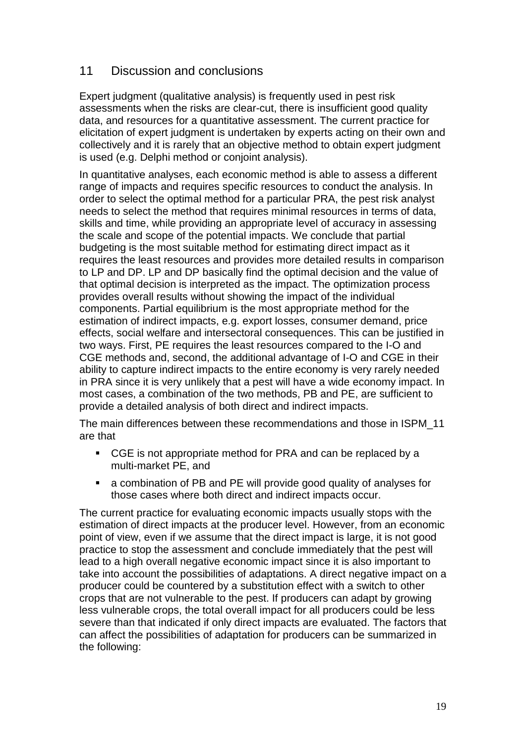# 11 Discussion and conclusions

Expert judgment (qualitative analysis) is frequently used in pest risk assessments when the risks are clear-cut, there is insufficient good quality data, and resources for a quantitative assessment. The current practice for elicitation of expert judgment is undertaken by experts acting on their own and collectively and it is rarely that an objective method to obtain expert judgment is used (e.g. Delphi method or conjoint analysis).

In quantitative analyses, each economic method is able to assess a different range of impacts and requires specific resources to conduct the analysis. In order to select the optimal method for a particular PRA, the pest risk analyst needs to select the method that requires minimal resources in terms of data, skills and time, while providing an appropriate level of accuracy in assessing the scale and scope of the potential impacts. We conclude that partial budgeting is the most suitable method for estimating direct impact as it requires the least resources and provides more detailed results in comparison to LP and DP. LP and DP basically find the optimal decision and the value of that optimal decision is interpreted as the impact. The optimization process provides overall results without showing the impact of the individual components. Partial equilibrium is the most appropriate method for the estimation of indirect impacts, e.g. export losses, consumer demand, price effects, social welfare and intersectoral consequences. This can be justified in two ways. First, PE requires the least resources compared to the I-O and CGE methods and, second, the additional advantage of I-O and CGE in their ability to capture indirect impacts to the entire economy is very rarely needed in PRA since it is very unlikely that a pest will have a wide economy impact. In most cases, a combination of the two methods, PB and PE, are sufficient to provide a detailed analysis of both direct and indirect impacts.

The main differences between these recommendations and those in ISPM\_11 are that

- CGE is not appropriate method for PRA and can be replaced by a multi-market PE, and
- a combination of PB and PE will provide good quality of analyses for those cases where both direct and indirect impacts occur.

The current practice for evaluating economic impacts usually stops with the estimation of direct impacts at the producer level. However, from an economic point of view, even if we assume that the direct impact is large, it is not good practice to stop the assessment and conclude immediately that the pest will lead to a high overall negative economic impact since it is also important to take into account the possibilities of adaptations. A direct negative impact on a producer could be countered by a substitution effect with a switch to other crops that are not vulnerable to the pest. If producers can adapt by growing less vulnerable crops, the total overall impact for all producers could be less severe than that indicated if only direct impacts are evaluated. The factors that can affect the possibilities of adaptation for producers can be summarized in the following: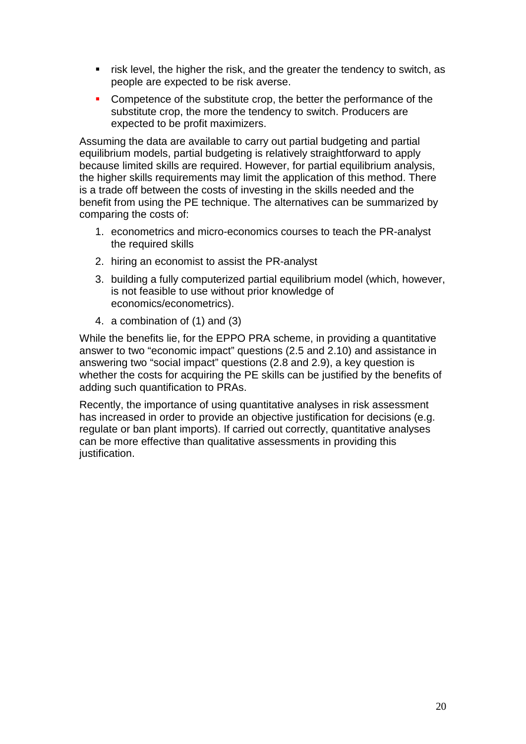- **Fight** risk level, the higher the risk, and the greater the tendency to switch, as people are expected to be risk averse.
- Competence of the substitute crop, the better the performance of the substitute crop, the more the tendency to switch. Producers are expected to be profit maximizers.

Assuming the data are available to carry out partial budgeting and partial equilibrium models, partial budgeting is relatively straightforward to apply because limited skills are required. However, for partial equilibrium analysis, the higher skills requirements may limit the application of this method. There is a trade off between the costs of investing in the skills needed and the benefit from using the PE technique. The alternatives can be summarized by comparing the costs of:

- 1. econometrics and micro-economics courses to teach the PR-analyst the required skills
- 2. hiring an economist to assist the PR-analyst
- 3. building a fully computerized partial equilibrium model (which, however, is not feasible to use without prior knowledge of economics/econometrics).
- 4. a combination of (1) and (3)

While the benefits lie, for the EPPO PRA scheme, in providing a quantitative answer to two "economic impact" questions (2.5 and 2.10) and assistance in answering two "social impact" questions (2.8 and 2.9), a key question is whether the costs for acquiring the PE skills can be justified by the benefits of adding such quantification to PRAs.

Recently, the importance of using quantitative analyses in risk assessment has increased in order to provide an objective justification for decisions (e.g. regulate or ban plant imports). If carried out correctly, quantitative analyses can be more effective than qualitative assessments in providing this justification.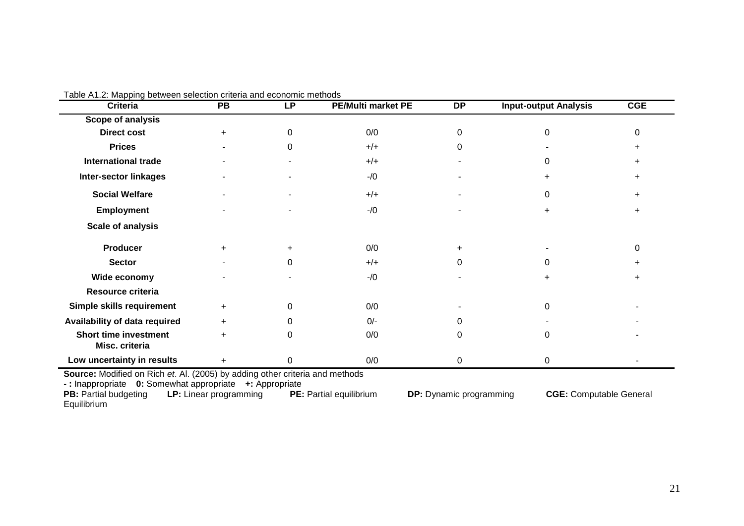| i able A1.∠: Mapping between selection criteria and economic methods<br><b>Criteria</b> | <b>PB</b> | <b>LP</b> | <b>PE/Multi market PE</b> | <b>DP</b> | <b>Input-output Analysis</b> | <b>CGE</b> |
|-----------------------------------------------------------------------------------------|-----------|-----------|---------------------------|-----------|------------------------------|------------|
| Scope of analysis                                                                       |           |           |                           |           |                              |            |
| <b>Direct cost</b>                                                                      | $+$       | 0         | 0/0                       | 0         | 0                            | ი          |
| <b>Prices</b>                                                                           |           | 0         | $+/+$                     | 0         |                              |            |
| <b>International trade</b>                                                              |           |           | $+/+$                     |           | 0                            |            |
| <b>Inter-sector linkages</b>                                                            |           |           | $-1/0$                    |           | $\ddot{}$                    |            |
| <b>Social Welfare</b>                                                                   |           |           | $+/+$                     |           | 0                            |            |
| <b>Employment</b>                                                                       |           |           | $-1/0$                    |           |                              |            |
| <b>Scale of analysis</b>                                                                |           |           |                           |           |                              |            |
| <b>Producer</b>                                                                         | ÷.        |           | 0/0                       | $\ddot{}$ |                              | 0          |
| <b>Sector</b>                                                                           |           | 0         | $+/+$                     | 0         | 0                            |            |
| Wide economy                                                                            |           |           | $-1/0$                    |           |                              |            |
| Resource criteria                                                                       |           |           |                           |           |                              |            |
| Simple skills requirement                                                               | $+$       | 0         | 0/0                       |           | 0                            |            |
| Availability of data required                                                           | ÷.        |           | $0/-$                     | 0         |                              |            |
| <b>Short time investment</b><br>Misc. criteria                                          | $+$       | 0         | 0/0                       | 0         | 0                            |            |
| Low uncertainty in results                                                              | +         | 0         | 0/0                       | 0         | 0                            |            |

Table A1.2: Mapping between selection criteria and economic methods

**Source:** Modified on Rich *et*. Al. (2005) by adding other criteria and methods

**- :** Inappropriate **0:** Somewhat appropriate **+:** Appropriate

**PB:** Partial budgeting **LP:** Linear programming **PE:** Partial equilibrium **DP:** Dynamic programming **CGE:** Computable General Equilibrium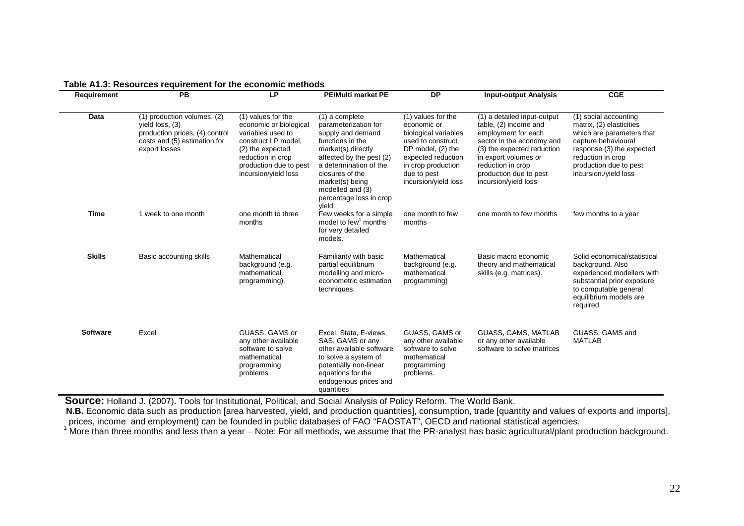| Requirement     | PB                                                                                                                                | <b>LP</b>                                                                                                                                                                           | <b>PE/Multi market PE</b>                                                                                                                                                                                                                                  | <b>DP</b>                                                                                                                                                                              | <b>Input-output Analysis</b>                                                                                                                                                                                                          | <b>CGE</b>                                                                                                                                                                                                 |
|-----------------|-----------------------------------------------------------------------------------------------------------------------------------|-------------------------------------------------------------------------------------------------------------------------------------------------------------------------------------|------------------------------------------------------------------------------------------------------------------------------------------------------------------------------------------------------------------------------------------------------------|----------------------------------------------------------------------------------------------------------------------------------------------------------------------------------------|---------------------------------------------------------------------------------------------------------------------------------------------------------------------------------------------------------------------------------------|------------------------------------------------------------------------------------------------------------------------------------------------------------------------------------------------------------|
| Data            | (1) production volumes, (2)<br>yield loss, (3)<br>production prices, (4) control<br>costs and (5) estimation for<br>export losses | (1) values for the<br>economic or biological<br>variables used to<br>construct LP model,<br>(2) the expected<br>reduction in crop<br>production due to pest<br>incursion/yield loss | (1) a complete<br>parameterization for<br>supply and demand<br>functions in the<br>market(s) directly<br>affected by the pest (2)<br>a determination of the<br>closures of the<br>market(s) being<br>modelled and (3)<br>percentage loss in crop<br>vield. | (1) values for the<br>economic or<br>biological variables<br>used to construct<br>DP model, (2) the<br>expected reduction<br>in crop production<br>due to pest<br>incursion/yield loss | (1) a detailed input-output<br>table, (2) income and<br>employment for each<br>sector in the economy and<br>(3) the expected reduction<br>in export volumes or<br>reduction in crop<br>production due to pest<br>incursion/yield loss | (1) social accounting<br>matrix, (2) elasticities<br>which are parameters that<br>capture behavioural<br>response (3) the expected<br>reduction in crop<br>production due to pest<br>incursion./yield loss |
| <b>Time</b>     | 1 week to one month                                                                                                               | one month to three<br>months                                                                                                                                                        | Few weeks for a simple<br>model to few <sup>1</sup> months<br>for very detailed<br>models.                                                                                                                                                                 | one month to few<br>months                                                                                                                                                             | one month to few months                                                                                                                                                                                                               | few months to a year                                                                                                                                                                                       |
| <b>Skills</b>   | Basic accounting skills                                                                                                           | Mathematical<br>background (e.g.<br>mathematical<br>programming).                                                                                                                   | Familiarity with basic<br>partial equilibrium<br>modelling and micro-<br>econometric estimation<br>techniques.                                                                                                                                             | Mathematical<br>background (e.g.<br>mathematical<br>programming)                                                                                                                       | Basic macro economic<br>theory and mathematical<br>skills (e.g. matrices).                                                                                                                                                            | Solid economical/statistical<br>background. Also<br>experienced modellers with<br>substantial prior exposure<br>to computable general<br>equilibrium models are<br>required                                |
| <b>Software</b> | Excel                                                                                                                             | GUASS, GAMS or<br>any other available<br>software to solve<br>mathematical<br>programming<br>problems                                                                               | Excel, Stata, E-views,<br>SAS, GAMS or any<br>other available software<br>to solve a system of<br>potentially non-linear<br>equations for the<br>endogenous prices and<br>quantities                                                                       | GUASS, GAMS or<br>any other available<br>software to solve<br>mathematical<br>programming<br>problems.                                                                                 | GUASS, GAMS, MATLAB<br>or any other available<br>software to solve matrices                                                                                                                                                           | GUASS, GAMS and<br><b>MATLAB</b>                                                                                                                                                                           |

#### **Table A1.3: Resources requirement for the economic methods**

**Source:** Holland J. (2007). Tools for Institutional, Political, and Social Analysis of Policy Reform. The World Bank.

**N.B.** Economic data such as production [area harvested, yield, and production quantities], consumption, trade [quantity and values of exports and imports], prices, income and employment) can be founded in public databases

 $1$  More than three months and less than a year  $-$  Note: For all methods, we assume that the PR-analyst has basic agricultural/plant production background.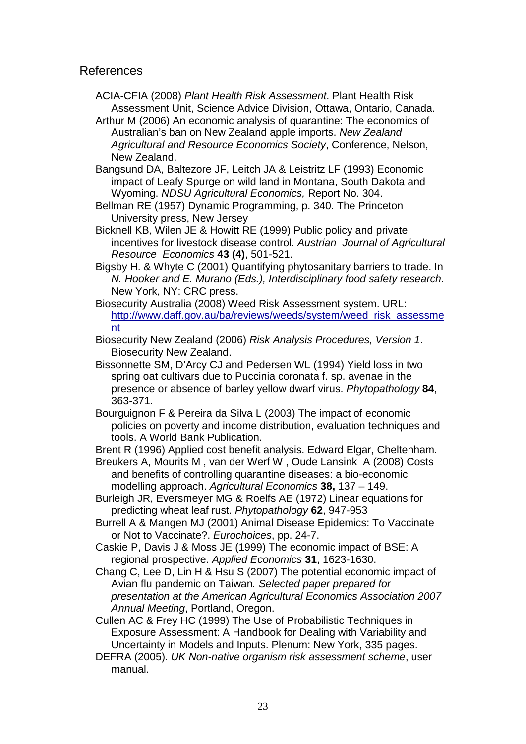## References

- ACIA-CFIA (2008) *Plant Health Risk Assessment*. Plant Health Risk Assessment Unit, Science Advice Division, Ottawa, Ontario, Canada.
- Arthur M (2006) An economic analysis of quarantine: The economics of Australian's ban on New Zealand apple imports. *New Zealand Agricultural and Resource Economics Society*, Conference, Nelson, New Zealand.
- Bangsund DA, Baltezore JF, Leitch JA & Leistritz LF (1993) Economic impact of Leafy Spurge on wild land in Montana, South Dakota and Wyoming. *NDSU Agricultural Economics,* Report No. 304.
- Bellman RE (1957) Dynamic Programming, p. 340. The Princeton University press, New Jersey
- Bicknell KB, Wilen JE & Howitt RE (1999) Public policy and private incentives for livestock disease control. *Austrian Journal of Agricultural Resource Economics* **43 (4)**, 501-521.
- Bigsby H. & Whyte C (2001) Quantifying phytosanitary barriers to trade. In *N. Hooker and E. Murano (Eds.), Interdisciplinary food safety research.*  New York, NY: CRC press.
- Biosecurity Australia (2008) Weed Risk Assessment system. URL: [http://www.daff.gov.au/ba/reviews/weeds/system/weed\\_risk\\_assessme](http://www.daff.gov.au/ba/reviews/weeds/system/weed_risk_assessment) [nt](http://www.daff.gov.au/ba/reviews/weeds/system/weed_risk_assessment)
- Biosecurity New Zealand (2006) *Risk Analysis Procedures, Version 1*. Biosecurity New Zealand.
- Bissonnette SM, D'Arcy CJ and Pedersen WL (1994) Yield loss in two spring oat cultivars due to Puccinia coronata f. sp. avenae in the presence or absence of barley yellow dwarf virus. *Phytopathology* **84**, 363-371.
- Bourguignon F & Pereira da Silva L (2003) The impact of economic policies on poverty and income distribution, evaluation techniques and tools. A World Bank Publication.
- Brent R (1996) Applied cost benefit analysis. Edward Elgar, Cheltenham.
- Breukers A, Mourits M , van der Werf W , Oude Lansink A (2008) Costs and benefits of controlling quarantine diseases: a bio-economic modelling approach. *[Agricultural Economics](http://www3.interscience.wiley.com/journal/117962754/home)* **[38,](http://www3.interscience.wiley.com/journal/119400062/issue)** 137 – 149.
- Burleigh JR, Eversmeyer MG & Roelfs AE (1972) Linear equations for predicting wheat leaf rust. *Phytopathology* **62**, 947-953
- Burrell A & Mangen MJ (2001) Animal Disease Epidemics: To Vaccinate or Not to Vaccinate?. *Eurochoices*, pp. 24-7.
- Caskie P, Davis J & Moss JE (1999) The economic impact of BSE: A regional prospective. *Applied Economics* **31**, 1623-1630.
- Chang C, Lee D, Lin H & Hsu S (2007) The potential economic impact of Avian flu pandemic on Taiwan*. Selected paper prepared for presentation at the American Agricultural Economics Association 2007 Annual Meeting*, Portland, Oregon.

Cullen AC & Frey HC (1999) The Use of Probabilistic Techniques in Exposure Assessment: A Handbook for Dealing with Variability and Uncertainty in Models and Inputs. Plenum: New York, 335 pages.

DEFRA (2005). *UK Non-native organism risk assessment scheme*, user manual.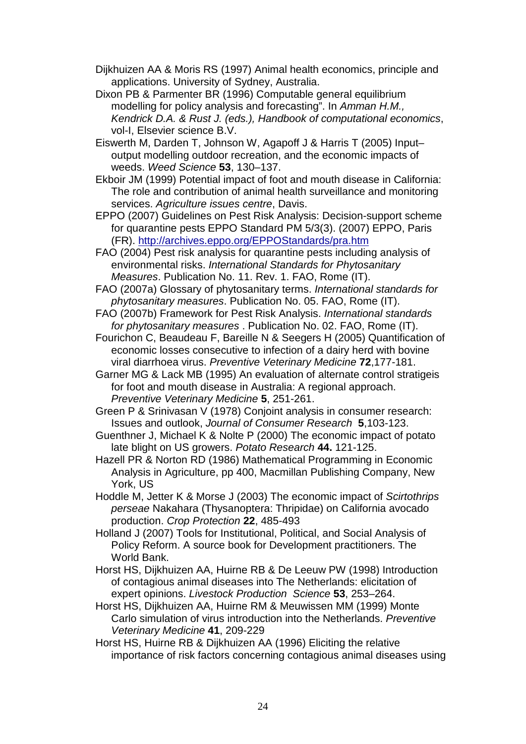Dijkhuizen AA & Moris RS (1997) Animal health economics, principle and applications. University of Sydney, Australia.

- Dixon PB & Parmenter BR (1996) Computable general equilibrium modelling for policy analysis and forecasting". In *Amman H.M., Kendrick D.A. & Rust J. (eds.), Handbook of computational economics*, vol-I, Elsevier science B.V.
- Eiswerth M, Darden T, Johnson W, Agapoff J & Harris T (2005) Input– output modelling outdoor recreation, and the economic impacts of weeds. *Weed Science* **53**, 130–137.
- Ekboir JM (1999) Potential impact of foot and mouth disease in California: The role and contribution of animal health surveillance and monitoring services. *Agriculture issues centre*, Davis.
- EPPO (2007) Guidelines on Pest Risk Analysis: Decision-support scheme for quarantine pests EPPO Standard PM 5/3(3). (2007) EPPO, Paris (FR).<http://archives.eppo.org/EPPOStandards/pra.htm>
- FAO (2004) Pest risk analysis for quarantine pests including analysis of environmental risks. *International Standards for Phytosanitary Measures*. Publication No. 11. Rev. 1. FAO, Rome (IT).
- FAO (2007a) Glossary of phytosanitary terms. *International standards for phytosanitary measures*. Publication No. 05. FAO, Rome (IT).
- FAO (2007b) Framework for Pest Risk Analysis. *International standards for phytosanitary measures* . Publication No. 02. FAO, Rome (IT).
- [Fourichon C,](http://www.scopus.com/scopus/search/submit/author.url?author=Fourichon%2c+C.&origin=resultslist&authorId=6701334129&src=s) [Beaudeau F,](http://www.scopus.com/scopus/search/submit/author.url?author=Beaudeau%2c+F.&origin=resultslist&authorId=9247098500&src=s) [Bareille N](http://www.scopus.com/scopus/search/submit/author.url?author=Bareille%2c+N.&origin=resultslist&authorId=9247098600&src=s) & [Seegers H](http://www.scopus.com/scopus/search/submit/author.url?author=Seegers%2c+H.&origin=resultslist&authorId=7004190672&src=s) (2005) Quantification of economic losses consecutive to infection of a dairy herd with bovine viral diarrhoea virus. *Preventive Veterinary Medicine* **72**,177-181.
- Garner MG & Lack MB (1995) An evaluation of alternate control stratigeis for foot and mouth disease in Australia: A regional approach. *Preventive Veterinary Medicine* **5**, 251-261.
- Green P & Srinivasan V (1978) Conjoint analysis in consumer research: Issues and outlook, *Journal of Consumer Research* **5**,103-123.
- Guenthner J, Michael K & Nolte P (2000) The economic impact of potato late blight on US growers. *Potato Research* **44.** 121-125.
- Hazell PR & Norton RD (1986) Mathematical Programming in Economic Analysis in Agriculture, pp 400, Macmillan Publishing Company, New York, US
- Hoddle M, Jetter K & Morse J (2003) The economic impact of *Scirtothrips perseae* Nakahara (Thysanoptera: Thripidae) on California avocado production. *Crop Protection* **22**, 485-493
- Holland J (2007) Tools for Institutional, Political, and Social Analysis of Policy Reform. A source book for Development practitioners. The World Bank.
- Horst HS, Dijkhuizen AA, Huirne RB & De Leeuw PW (1998) Introduction of contagious animal diseases into The Netherlands: elicitation of expert opinions. *Livestock Production Science* **53**, 253–264.
- Horst HS, Dijkhuizen AA, Huirne RM & Meuwissen MM (1999) Monte Carlo simulation of virus introduction into the Netherlands. *[Preventive](http://www.sciencedirect.com/science/journal/01675877)  [Veterinary Medicine](http://www.sciencedirect.com/science/journal/01675877)* **[41](http://www.sciencedirect.com/science?_ob=PublicationURL&_tockey=%23TOC%235145%231999%23999589997%23108769%23FLA%23&_cdi=5145&_pubType=J&view=c&_auth=y&_acct=C000026798&_version=1&_urlVersion=0&_userid=533256&md5=50ebef9aec4856fcd0fa281d0b16cff2)**, 209-229
- Horst HS, Huirne RB & Dijkhuizen AA (1996) Eliciting the relative importance of risk factors concerning contagious animal diseases using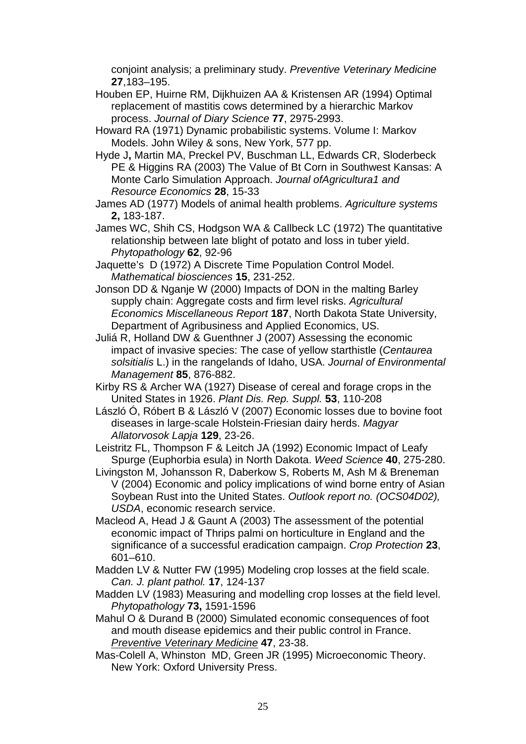conjoint analysis; a preliminary study. *Preventive Veterinary Medicine* **27**,183–195.

- Houben EP, Huirne RM, Dijkhuizen AA & Kristensen AR (1994) Optimal replacement of mastitis cows determined by a hierarchic Markov process. *Journal of Diary Science* **77**, 2975-2993.
- Howard RA (1971) Dynamic probabilistic systems. Volume I: Markov Models. John Wiley & sons, New York, 577 pp.
- Hyde J**,** Martin MA, Preckel PV, Buschman LL, Edwards CR, Sloderbeck PE & Higgins RA (2003) The Value of Bt Corn in Southwest Kansas: A Monte Carlo Simulation Approach. *Journal ofAgricultura1 and Resource Economics* **28**, 15-33
- James AD (1977) Models of animal health problems. *Agriculture systems* **2,** 183-187.
- James WC, Shih CS, Hodgson WA & Callbeck LC (1972) The quantitative relationship between late blight of potato and loss in tuber yield. *Phytopathology* **62**, 92-96
- Jaquette's D (1972) A Discrete Time Population Control Model. *Mathematical biosciences* **15**, 231-252.
- Jonson DD & Nganje W (2000) Impacts of DON in the malting Barley supply chain: Aggregate costs and firm level risks. *Agricultural Economics Miscellaneous Report* **187**, North Dakota State University, Department of Agribusiness and Applied Economics, US.
- Juliá R, Holland DW & Guenthner J (2007) Assessing the economic impact of invasive species: The case of yellow starthistle (*Centaurea solsitialis* L.) in the rangelands of Idaho, USA. *[Journal of Environmental](http://www.sciencedirect.com/science/journal/03014797)  [Management](http://www.sciencedirect.com/science/journal/03014797)* **[85](http://www.sciencedirect.com/science?_ob=PublicationURL&_tockey=%23TOC%236871%232007%23999149995%23670995%23FLA%23&_cdi=6871&_pubType=J&_auth=y&_acct=C000026798&_version=1&_urlVersion=0&_userid=533256&md5=c2ab4bcf7195721bf30a7e8b4c66111c)**, 876-882.
- Kirby RS & Archer WA (1927) Disease of cereal and forage crops in the United States in 1926. *Plant Dis. Rep. Suppl.* **53**, 110-208
- [László Ó,](http://www.scopus.com/scopus/search/submit/author.url?author=La%cc%81szlo%cc%81%2c+O%cc%81.&origin=resultslist&authorId=21739578100&src=s) [Róbert B](http://www.scopus.com/scopus/search/submit/author.url?author=Ro%cc%81bert%2c+B.&origin=resultslist&authorId=21739785400&src=s) & [László V \(2007\)](http://www.scopus.com/scopus/search/submit/author.url?author=La%cc%81szlo%cc%81%2c+V.&origin=resultslist&authorId=21739934800&src=s) Economic losses due to bovine foot diseases in large-scale Holstein-Friesian dairy herds. *Magyar Allatorvosok Lapja* **129**, 23-26.

Leistritz FL, Thompson F & Leitch JA (1992) Economic Impact of Leafy Spurge (Euphorbia esula) in North Dakota. *Weed Science* **40**, 275-280.

- Livingston M, Johansson R, Daberkow S, Roberts M, Ash M & Breneman V (2004) Economic and policy implications of wind borne entry of Asian Soybean Rust into the United States. *Outlook report no. (OCS04D02), USDA*, economic research service.
- Macleod A, Head J & Gaunt A (2003) The assessment of the potential economic impact of Thrips palmi on horticulture in England and the significance of a successful eradication campaign. *Crop Protection* **23**, 601–610.
- Madden LV & Nutter FW (1995) Modeling crop losses at the field scale. *Can. J. plant pathol.* **17**, 124-137
- Madden LV (1983) Measuring and modelling crop losses at the field level. *Phytopathology* **73,** 1591-1596
- Mahul O & Durand B (2000) Simulated economic consequences of foot and mouth disease epidemics and their public control in France. *[Preventive Veterinary Medicine](http://www.sciencedirect.com/science/journal/01675877)* **47**, 23-38.
- Mas-Colell A, Whinston MD, Green JR (1995) Microeconomic Theory. New York: Oxford University Press.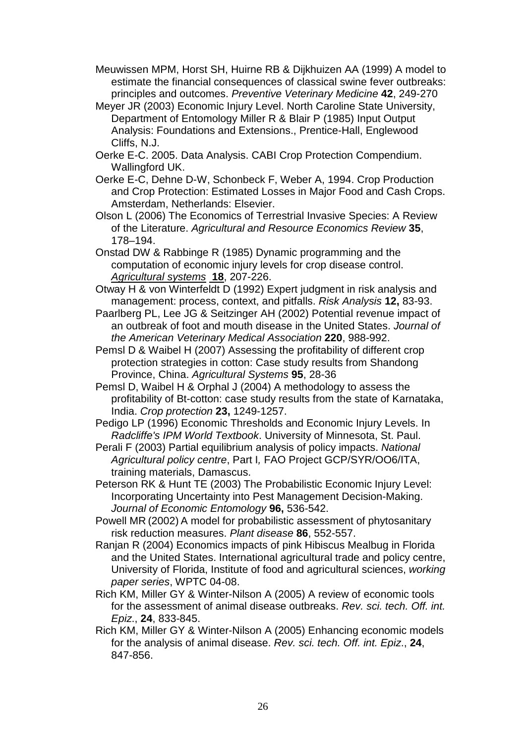- Meuwissen MPM, Horst SH, Huirne RB & Dijkhuizen AA (1999) A model to estimate the financial consequences of classical swine fever outbreaks: principles and outcomes. *Preventive Veterinary Medicine* **42**, 249-270
- Meyer JR (2003) Economic Injury Level. North Caroline State University, Department of Entomology Miller R & Blair P (1985) Input Output Analysis: Foundations and Extensions., Prentice-Hall, Englewood Cliffs, N.J.
- Oerke E-C. 2005. Data Analysis. CABI Crop Protection Compendium. Wallingford UK.
- Oerke E-C, Dehne D-W, Schonbeck F, Weber A, 1994. Crop Production and Crop Protection: Estimated Losses in Major Food and Cash Crops. Amsterdam, Netherlands: Elsevier.
- Olson L (2006) The Economics of Terrestrial Invasive Species: A Review of the Literature. *Agricultural and Resource Economics Review* **35**, 178–194.
- Onstad DW & Rabbinge R (1985) Dynamic programming and the computation of economic injury levels for crop disease control. *[Agricultural systems](http://www.sciencedirect.com/science/journal/0308521X)* **[18](http://www.sciencedirect.com/science?_ob=PublicationURL&_tockey=%23TOC%234957%231985%23999819995%23461112%23FLP%23&_cdi=4957&_pubType=J&_auth=y&_acct=C000026798&_version=1&_urlVersion=0&_userid=533256&md5=464227c0b977d6d05bf9228baa2ad493)**, 207-226.
- Otway H & von Winterfeldt D (1992) Expert judgment in risk analysis and management: process, context, and pitfalls. *Risk Analysis* **12,** 83-93.
- Paarlberg PL, Lee JG & Seitzinger AH (2002) Potential revenue impact of an outbreak of foot and mouth disease in the United States. *Journal of the American Veterinary Medical Association* **220**, 988-992.
- Pemsl D & Waibel H (2007) Assessing the profitability of different crop protection strategies in cotton: Case study results from Shandong Province, China. *Agricultural Systems* **95**, 28-36
- Pemsl D, Waibel H & Orphal J (2004) A methodology to assess the profitability of Bt-cotton: case study results from the state of Karnataka, India. *Crop protection* **23,** 1249-1257.
- Pedigo LP (1996) Economic Thresholds and Economic Injury Levels. In *Radcliffe's IPM World Textbook*. University of Minnesota, St. Paul.
- Perali F (2003) Partial equilibrium analysis of policy impacts. *National Agricultural policy centre*, Part I*,* FAO Project GCP/SYR/OO6/ITA, training materials, Damascus.
- Peterson RK & Hunt TE (2003) The Probabilistic Economic Injury Level: Incorporating Uncertainty into Pest Management Decision-Making. *Journal of Economic Entomology* **96,** 536-542.
- Powell MR (2002) A model for probabilistic assessment of phytosanitary risk reduction measures. *Plant disease* **86**, 552-557.
- Ranjan R (2004) Economics impacts of pink Hibiscus Mealbug in Florida and the United States. International agricultural trade and policy centre, University of Florida, Institute of food and agricultural sciences, *working paper series*, WPTC 04-08.
- Rich KM, Miller GY & Winter-Nilson A (2005) A review of economic tools for the assessment of animal disease outbreaks. *Rev. sci. tech. Off. int. Epiz*., **24**, 833-845.
- Rich KM, Miller GY & Winter-Nilson A (2005) Enhancing economic models for the analysis of animal disease. *Rev. sci. tech. Off. int. Epiz*., **24**, 847-856.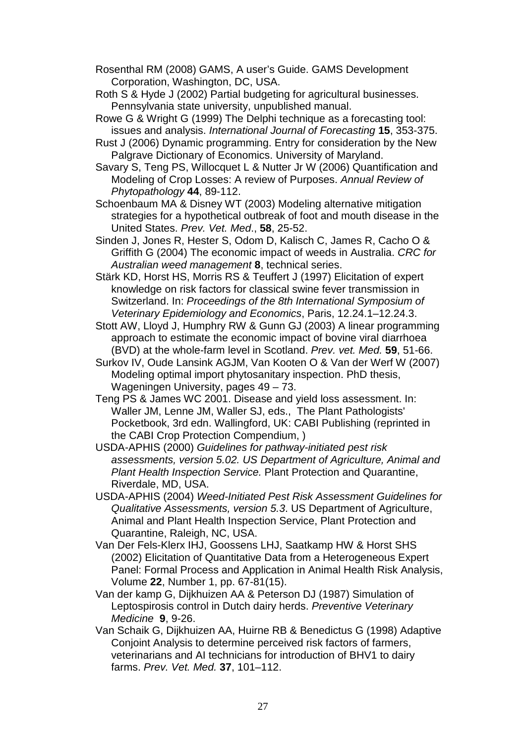- Rosenthal RM (2008) GAMS, A user's Guide. GAMS Development Corporation, Washington, DC, USA.
- Roth S & Hyde J (2002) Partial budgeting for agricultural businesses. Pennsylvania state university, unpublished manual.
- Rowe G & Wright G (1999) The Delphi technique as a forecasting tool: issues and analysis. *International Journal of Forecasting* **15**, 353-375.
- Rust J (2006) Dynamic programming. Entry for consideration by the New Palgrave Dictionary of Economics. University of Maryland.
- Savary S, Teng PS, Willocquet L & Nutter Jr W (2006) Quantification and Modeling of Crop Losses: A review of Purposes. *Annual Review of Phytopathology* **44**, 89-112.
- Schoenbaum MA & Disney WT (2003) Modeling alternative mitigation strategies for a hypothetical outbreak of foot and mouth disease in the United States. *Prev. Vet. Med*., **58**, 25-52.
- Sinden J, Jones R, Hester S, Odom D, Kalisch C, James R, Cacho O & Griffith G (2004) The economic impact of weeds in Australia. *CRC for Australian weed management* **8**, technical series.
- Stärk KD, Horst HS, Morris RS & Teuffert J (1997) Elicitation of expert knowledge on risk factors for classical swine fever transmission in Switzerland. In: *Proceedings of the 8th International Symposium of Veterinary Epidemiology and Economics*, Paris, 12.24.1–12.24.3.
- Stott AW, Lloyd J, Humphry RW & Gunn GJ (2003) A linear programming approach to estimate the economic impact of bovine viral diarrhoea (BVD) at the whole-farm level in Scotland. *Prev. vet. Med.* **59**, 51-66.
- Surkov IV, Oude Lansink AGJM, Van Kooten O & Van der Werf W (2007) Modeling optimal import phytosanitary inspection. PhD thesis, Wageningen University, pages 49 – 73.
- Teng PS & James WC 2001. Disease and yield loss assessment. In: Waller JM, Lenne JM, Waller SJ, eds., The Plant Pathologists' Pocketbook, 3rd edn. Wallingford, UK: CABI Publishing (reprinted in the CABI Crop Protection Compendium, )
- USDA-APHIS (2000) *Guidelines for pathway-initiated pest risk assessments, version 5.02. US Department of Agriculture, Animal and Plant Health Inspection Service.* Plant Protection and Quarantine, Riverdale, MD, USA.
- USDA-APHIS (2004) *Weed-Initiated Pest Risk Assessment Guidelines for Qualitative Assessments, version 5.3*. US Department of Agriculture, Animal and Plant Health Inspection Service, Plant Protection and Quarantine, Raleigh, NC, USA.
- Van Der Fels-Klerx IHJ, Goossens LHJ, Saatkamp HW & Horst SHS (2002) Elicitation of Quantitative Data from a Heterogeneous Expert Panel: Formal Process and Application in Animal Health Risk Analysis, Volume **22**, Number 1, pp. 67-81(15).
- Van der kamp G, Dijkhuizen AA & Peterson DJ (1987) Simulation of Leptospirosis control in Dutch dairy herds. *Preventive Veterinary Medicine* **9**, 9-26.
- Van Schaik G, Dijkhuizen AA, Huirne RB & Benedictus G (1998) Adaptive Conjoint Analysis to determine perceived risk factors of farmers, veterinarians and AI technicians for introduction of BHV1 to dairy farms. *Prev. Vet. Med.* **37**, 101–112.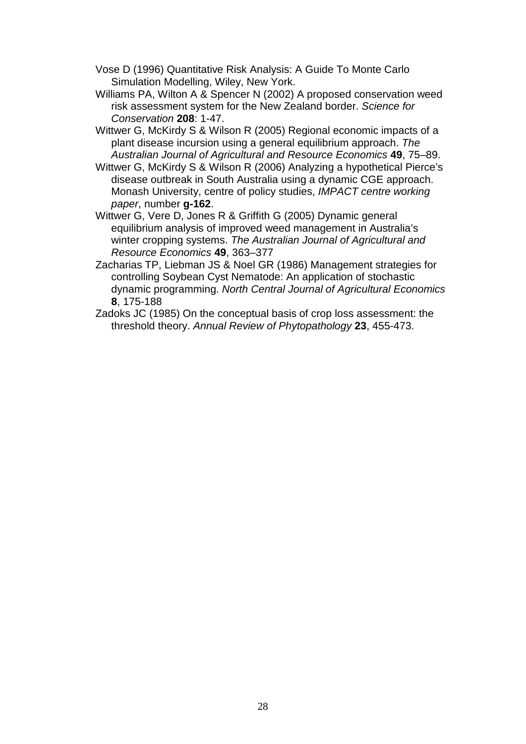- Vose D (1996) Quantitative Risk Analysis: A Guide To Monte Carlo Simulation Modelling, Wiley, New York.
- Williams PA, Wilton A & Spencer N (2002) A proposed conservation weed risk assessment system for the New Zealand border. *Science for Conservation* **208**: 1-47.
- Wittwer G, McKirdy S & Wilson R (2005) Regional economic impacts of a plant disease incursion using a general equilibrium approach. *The Australian Journal of Agricultural and Resource Economics* **49**, 75–89.
- Wittwer G, McKirdy S & Wilson R (2006) Analyzing a hypothetical Pierce's disease outbreak in South Australia using a dynamic CGE approach. Monash University, centre of policy studies, *IMPACT centre working paper*, number **g-162**.
- Wittwer G, Vere D, Jones R & Griffith G (2005) Dynamic general equilibrium analysis of improved weed management in Australia's winter cropping systems. *The Australian Journal of Agricultural and Resource Economics* **49**, 363–377
- Zacharias TP, Liebman JS & Noel GR (1986) Management strategies for controlling Soybean Cyst Nematode: An application of stochastic dynamic programming. *North Central Journal of Agricultural Economics* **8**, 175-188
- Zadoks JC (1985) On the conceptual basis of crop loss assessment: the threshold theory. *Annual Review of Phytopathology* **23**, 455-473.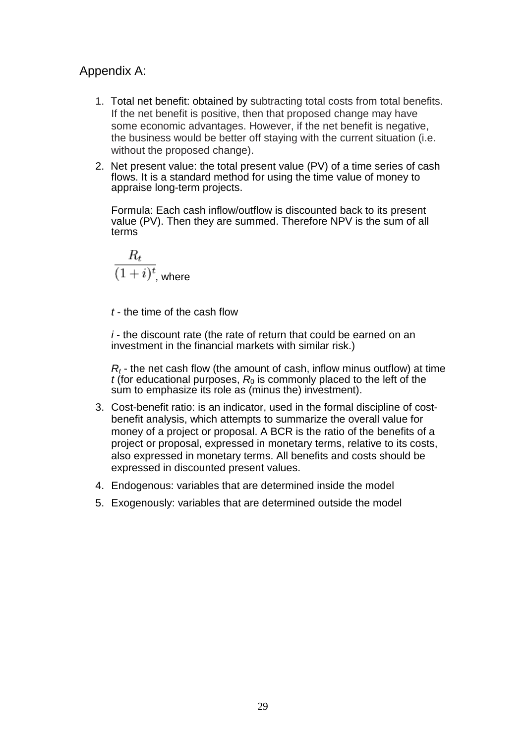# Appendix A:

- 1. Total net benefit: obtained by subtracting total costs from total benefits. If the net benefit is positive, then that proposed change may have some economic advantages. However, if the net benefit is negative, the business would be better off staying with the current situation (i.e. without the proposed change).
- 2. Net present value: the total present value (PV) of a time series of cash flows. It is a standard method for using the time value of money to appraise long-term projects.

Formula: Each cash inflow/outflow is discounted back to its present value (PV). Then they are summed. Therefore NPV is the sum of all terms

$$
\frac{R_t}{(1+i)^t}
$$
, where

*t* - the time of the cash flow

*i* - the discount rate (the rate of return that could be earned on an investment in the financial markets with similar risk.)

*Rt* - the net cash flow (the amount of cash, inflow minus outflow) at time *t* (for educational purposes,  $R_0$  is commonly placed to the left of the sum to emphasize its role as (minus the) investment).

- 3. Cost-benefit ratio: is an indicator, used in the formal discipline of costbenefit analysis, which attempts to summarize the overall value for money of a project or proposal. A BCR is the ratio of the benefits of a project or proposal, expressed in monetary terms, relative to its costs, also expressed in monetary terms. All benefits and costs should be expressed in discounted present values.
- 4. Endogenous: variables that are determined inside the model
- 5. Exogenously: variables that are determined outside the model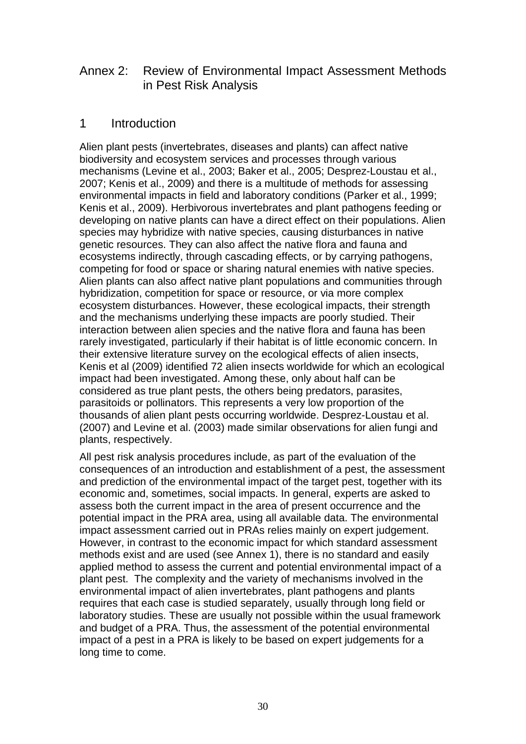# Annex 2: Review of Environmental Impact Assessment Methods in Pest Risk Analysis

# 1 Introduction

Alien plant pests (invertebrates, diseases and plants) can affect native biodiversity and ecosystem services and processes through various mechanisms (Levine et al., 2003; Baker et al., 2005; Desprez-Loustau et al., 2007; Kenis et al., 2009) and there is a multitude of methods for assessing environmental impacts in field and laboratory conditions (Parker et al., 1999; Kenis et al., 2009). Herbivorous invertebrates and plant pathogens feeding or developing on native plants can have a direct effect on their populations. Alien species may hybridize with native species, causing disturbances in native genetic resources. They can also affect the native flora and fauna and ecosystems indirectly, through cascading effects, or by carrying pathogens, competing for food or space or sharing natural enemies with native species. Alien plants can also affect native plant populations and communities through hybridization, competition for space or resource, or via more complex ecosystem disturbances. However, these ecological impacts, their strength and the mechanisms underlying these impacts are poorly studied. Their interaction between alien species and the native flora and fauna has been rarely investigated, particularly if their habitat is of little economic concern. In their extensive literature survey on the ecological effects of alien insects, Kenis et al (2009) identified 72 alien insects worldwide for which an ecological impact had been investigated. Among these, only about half can be considered as true plant pests, the others being predators, parasites, parasitoids or pollinators. This represents a very low proportion of the thousands of alien plant pests occurring worldwide. Desprez-Loustau et al. (2007) and Levine et al. (2003) made similar observations for alien fungi and plants, respectively.

All pest risk analysis procedures include, as part of the evaluation of the consequences of an introduction and establishment of a pest, the assessment and prediction of the environmental impact of the target pest, together with its economic and, sometimes, social impacts. In general, experts are asked to assess both the current impact in the area of present occurrence and the potential impact in the PRA area, using all available data. The environmental impact assessment carried out in PRAs relies mainly on expert judgement. However, in contrast to the economic impact for which standard assessment methods exist and are used (see Annex 1), there is no standard and easily applied method to assess the current and potential environmental impact of a plant pest. The complexity and the variety of mechanisms involved in the environmental impact of alien invertebrates, plant pathogens and plants requires that each case is studied separately, usually through long field or laboratory studies. These are usually not possible within the usual framework and budget of a PRA. Thus, the assessment of the potential environmental impact of a pest in a PRA is likely to be based on expert judgements for a long time to come.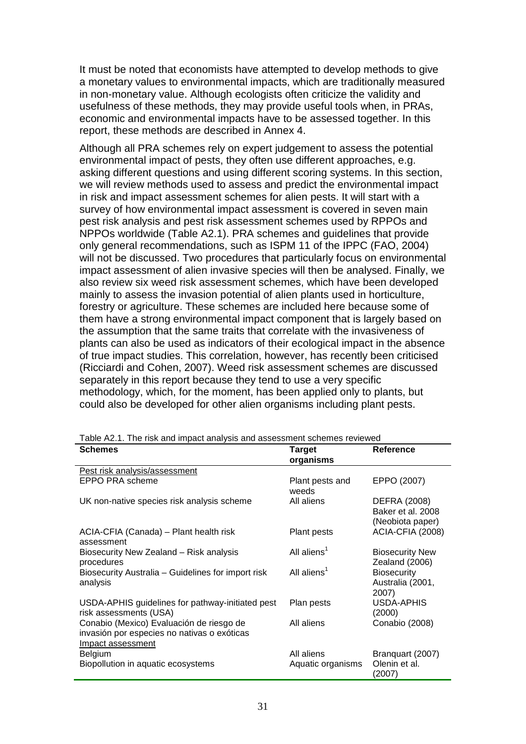It must be noted that economists have attempted to develop methods to give a monetary values to environmental impacts, which are traditionally measured in non-monetary value. Although ecologists often criticize the validity and usefulness of these methods, they may provide useful tools when, in PRAs, economic and environmental impacts have to be assessed together. In this report, these methods are described in Annex 4.

Although all PRA schemes rely on expert judgement to assess the potential environmental impact of pests, they often use different approaches, e.g. asking different questions and using different scoring systems. In this section, we will review methods used to assess and predict the environmental impact in risk and impact assessment schemes for alien pests. It will start with a survey of how environmental impact assessment is covered in seven main pest risk analysis and pest risk assessment schemes used by RPPOs and NPPOs worldwide (Table A2.1). PRA schemes and guidelines that provide only general recommendations, such as ISPM 11 of the IPPC (FAO, 2004) will not be discussed. Two procedures that particularly focus on environmental impact assessment of alien invasive species will then be analysed. Finally, we also review six weed risk assessment schemes, which have been developed mainly to assess the invasion potential of alien plants used in horticulture, forestry or agriculture. These schemes are included here because some of them have a strong environmental impact component that is largely based on the assumption that the same traits that correlate with the invasiveness of plants can also be used as indicators of their ecological impact in the absence of true impact studies. This correlation, however, has recently been criticised (Ricciardi and Cohen, 2007). Weed risk assessment schemes are discussed separately in this report because they tend to use a very specific methodology, which, for the moment, has been applied only to plants, but could also be developed for other alien organisms including plant pests.

| <b>Schemes</b>                                                                                               | <b>Target</b><br>organisms      | Reference                                                    |
|--------------------------------------------------------------------------------------------------------------|---------------------------------|--------------------------------------------------------------|
| Pest risk analysis/assessment                                                                                |                                 |                                                              |
| EPPO PRA scheme                                                                                              | Plant pests and<br>weeds        | EPPO (2007)                                                  |
| UK non-native species risk analysis scheme                                                                   | All aliens                      | <b>DEFRA (2008)</b><br>Baker et al. 2008<br>(Neobiota paper) |
| ACIA-CFIA (Canada) - Plant health risk<br>assessment                                                         | Plant pests                     | ACIA-CFIA (2008)                                             |
| Biosecurity New Zealand - Risk analysis<br>procedures                                                        | All aliens <sup>1</sup>         | <b>Biosecurity New</b><br>Zealand (2006)                     |
| Biosecurity Australia – Guidelines for import risk<br>analysis                                               | All aliens <sup>1</sup>         | <b>Biosecurity</b><br>Australia (2001,<br>2007)              |
| USDA-APHIS guidelines for pathway-initiated pest<br>risk assessments (USA)                                   | Plan pests                      | USDA-APHIS<br>(2000)                                         |
| Conabio (Mexico) Evaluación de riesgo de<br>invasión por especies no nativas o exóticas<br>Impact assessment | All aliens                      | Conabio (2008)                                               |
| <b>Belgium</b><br>Biopollution in aquatic ecosystems                                                         | All aliens<br>Aquatic organisms | Branquart (2007)<br>Olenin et al.<br>(2007)                  |

Table A2.1. The risk and impact analysis and assessment schemes reviewed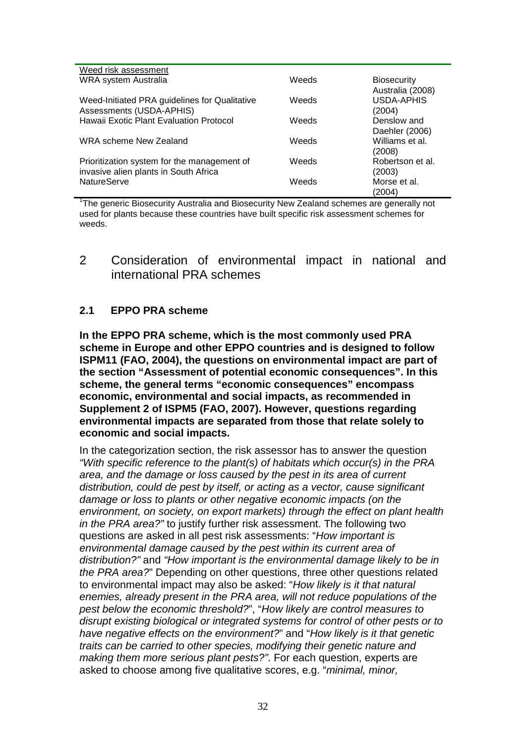| Weed risk assessment                                                                 |       |                                        |
|--------------------------------------------------------------------------------------|-------|----------------------------------------|
| WRA system Australia                                                                 | Weeds | <b>Biosecurity</b><br>Australia (2008) |
| Weed-Initiated PRA guidelines for Qualitative<br>Assessments (USDA-APHIS)            | Weeds | <b>USDA-APHIS</b><br>(2004)            |
| Hawaii Exotic Plant Evaluation Protocol                                              | Weeds | Denslow and<br>Daehler (2006)          |
| WRA scheme New Zealand                                                               | Weeds | Williams et al.<br>(2008)              |
| Prioritization system for the management of<br>invasive alien plants in South Africa | Weeds | Robertson et al.<br>(2003)             |
| <b>NatureServe</b>                                                                   | Weeds | Morse et al.<br>(2004)                 |

<sup>1</sup>The generic Biosecurity Australia and Biosecurity New Zealand schemes are generally not used for plants because these countries have built specific risk assessment schemes for weeds.

## 2 Consideration of environmental impact in national and international PRA schemes

## **2.1 EPPO PRA scheme**

**In the EPPO PRA scheme, which is the most commonly used PRA scheme in Europe and other EPPO countries and is designed to follow ISPM11 (FAO, 2004), the questions on environmental impact are part of the section "Assessment of potential economic consequences". In this scheme, the general terms "economic consequences" encompass economic, environmental and social impacts, as recommended in Supplement 2 of ISPM5 (FAO, 2007). However, questions regarding environmental impacts are separated from those that relate solely to economic and social impacts.**

In the categorization section, the risk assessor has to answer the question *"With specific reference to the plant(s) of habitats which occur(s) in the PRA area, and the damage or loss caused by the pest in its area of current distribution, could de pest by itself, or acting as a vector, cause significant damage or loss to plants or other negative economic impacts (on the environment, on society, on export markets) through the effect on plant health in the PRA area?"* to justify further risk assessment. The following two questions are asked in all pest risk assessments: "*How important is environmental damage caused by the pest within its current area of distribution?"* and *"How important is the environmental damage likely to be in the PRA area?*" Depending on other questions, three other questions related to environmental impact may also be asked: "*How likely is it that natural enemies, already present in the PRA area, will not reduce populations of the pest below the economic threshold?*", "*How likely are control measures to disrupt existing biological or integrated systems for control of other pests or to have negative effects on the environment?*" and "*How likely is it that genetic traits can be carried to other species, modifying their genetic nature and making them more serious plant pests?"*. For each question, experts are asked to choose among five qualitative scores, e.g. "*minimal, minor,*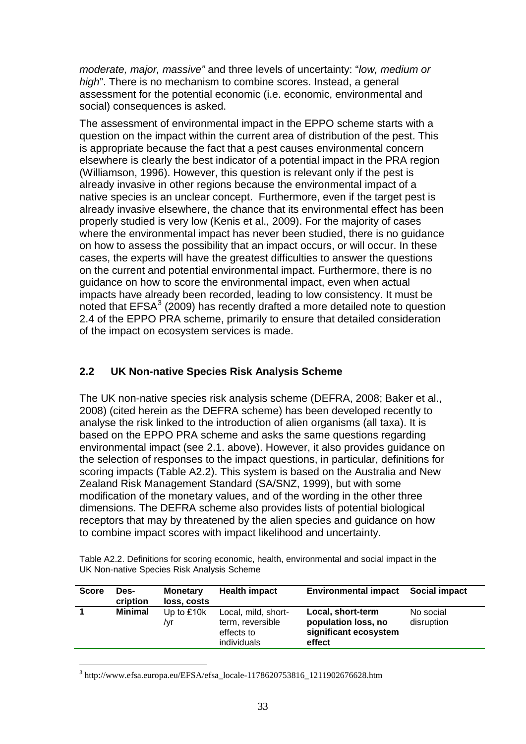*moderate, major, massive"* and three levels of uncertainty: "*low, medium or high*". There is no mechanism to combine scores. Instead, a general assessment for the potential economic (i.e. economic, environmental and social) consequences is asked.

The assessment of environmental impact in the EPPO scheme starts with a question on the impact within the current area of distribution of the pest. This is appropriate because the fact that a pest causes environmental concern elsewhere is clearly the best indicator of a potential impact in the PRA region (Williamson, 1996). However, this question is relevant only if the pest is already invasive in other regions because the environmental impact of a native species is an unclear concept. Furthermore, even if the target pest is already invasive elsewhere, the chance that its environmental effect has been properly studied is very low (Kenis et al., 2009). For the majority of cases where the environmental impact has never been studied, there is no guidance on how to assess the possibility that an impact occurs, or will occur. In these cases, the experts will have the greatest difficulties to answer the questions on the current and potential environmental impact. Furthermore, there is no guidance on how to score the environmental impact, even when actual impacts have already been recorded, leading to low consistency. It must be noted that  $EFSA<sup>3</sup>$  $EFSA<sup>3</sup>$  $EFSA<sup>3</sup>$  (2009) has recently drafted a more detailed note to question 2.4 of the EPPO PRA scheme, primarily to ensure that detailed consideration of the impact on ecosystem services is made.

## **2.2 UK Non-native Species Risk Analysis Scheme**

The UK non-native species risk analysis scheme (DEFRA, 2008; Baker et al., 2008) (cited herein as the DEFRA scheme) has been developed recently to analyse the risk linked to the introduction of alien organisms (all taxa). It is based on the EPPO PRA scheme and asks the same questions regarding environmental impact (see 2.1. above). However, it also provides guidance on the selection of responses to the impact questions, in particular, definitions for scoring impacts (Table A2.2). This system is based on the Australia and New Zealand Risk Management Standard (SA/SNZ, 1999), but with some modification of the monetary values, and of the wording in the other three dimensions. The DEFRA scheme also provides lists of potential biological receptors that may by threatened by the alien species and guidance on how to combine impact scores with impact likelihood and uncertainty.

Table A2.2. Definitions for scoring economic, health, environmental and social impact in the UK Non-native Species Risk Analysis Scheme

| <b>Score</b> | Des-<br>cription | <b>Monetary</b><br>loss, costs | <b>Health impact</b>                                                 | <b>Environmental impact</b>                                                 | <b>Social impact</b>    |
|--------------|------------------|--------------------------------|----------------------------------------------------------------------|-----------------------------------------------------------------------------|-------------------------|
|              | <b>Minimal</b>   | Up to $£10k$<br>/yr            | Local, mild, short-<br>term, reversible<br>effects to<br>individuals | Local, short-term<br>population loss, no<br>significant ecosystem<br>effect | No social<br>disruption |

<span id="page-54-0"></span> $3$  http://www.efsa.europa.eu/EFSA/efsa\_locale-1178620753816\_1211902676628.htm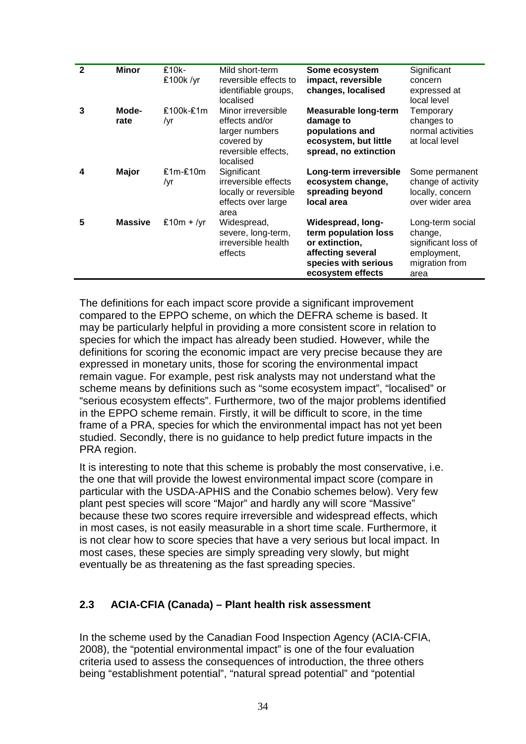| $\mathbf{2}$ | <b>Minor</b>   | $£10k -$<br>£100k /yr | Mild short-term<br>reversible effects to<br>identifiable groups,<br>localised                            | Some ecosystem<br>impact, reversible<br>changes, localised                                                                    | Significant<br>concern<br>expressed at<br>local level                                       |
|--------------|----------------|-----------------------|----------------------------------------------------------------------------------------------------------|-------------------------------------------------------------------------------------------------------------------------------|---------------------------------------------------------------------------------------------|
| 3            | Mode-<br>rate  | £100k-£1m<br>/yr      | Minor irreversible<br>effects and/or<br>larger numbers<br>covered by<br>reversible effects,<br>localised | <b>Measurable long-term</b><br>damage to<br>populations and<br>ecosystem, but little<br>spread, no extinction                 | Temporary<br>changes to<br>normal activities<br>at local level                              |
| 4            | Major          | $£1m-E10m$<br>/yr     | Significant<br>irreversible effects<br>locally or reversible<br>effects over large<br>area               | Long-term irreversible<br>ecosystem change,<br>spreading beyond<br>local area                                                 | Some permanent<br>change of activity<br>locally, concern<br>over wider area                 |
| 5            | <b>Massive</b> | £10m + /yr            | Widespread,<br>severe, long-term,<br>irreversible health<br>effects                                      | Widespread, long-<br>term population loss<br>or extinction,<br>affecting several<br>species with serious<br>ecosystem effects | Long-term social<br>change,<br>significant loss of<br>employment,<br>migration from<br>area |

The definitions for each impact score provide a significant improvement compared to the EPPO scheme, on which the DEFRA scheme is based. It may be particularly helpful in providing a more consistent score in relation to species for which the impact has already been studied. However, while the definitions for scoring the economic impact are very precise because they are expressed in monetary units, those for scoring the environmental impact remain vague. For example, pest risk analysts may not understand what the scheme means by definitions such as "some ecosystem impact", "localised" or "serious ecosystem effects". Furthermore, two of the major problems identified in the EPPO scheme remain. Firstly, it will be difficult to score, in the time frame of a PRA, species for which the environmental impact has not yet been studied. Secondly, there is no guidance to help predict future impacts in the PRA region.

It is interesting to note that this scheme is probably the most conservative, i.e. the one that will provide the lowest environmental impact score (compare in particular with the USDA-APHIS and the Conabio schemes below). Very few plant pest species will score "Major" and hardly any will score "Massive" because these two scores require irreversible and widespread effects, which in most cases, is not easily measurable in a short time scale. Furthermore, it is not clear how to score species that have a very serious but local impact. In most cases, these species are simply spreading very slowly, but might eventually be as threatening as the fast spreading species.

## **2.3 ACIA-CFIA (Canada) – Plant health risk assessment**

In the scheme used by the Canadian Food Inspection Agency (ACIA-CFIA, 2008), the "potential environmental impact" is one of the four evaluation criteria used to assess the consequences of introduction, the three others being "establishment potential", "natural spread potential" and "potential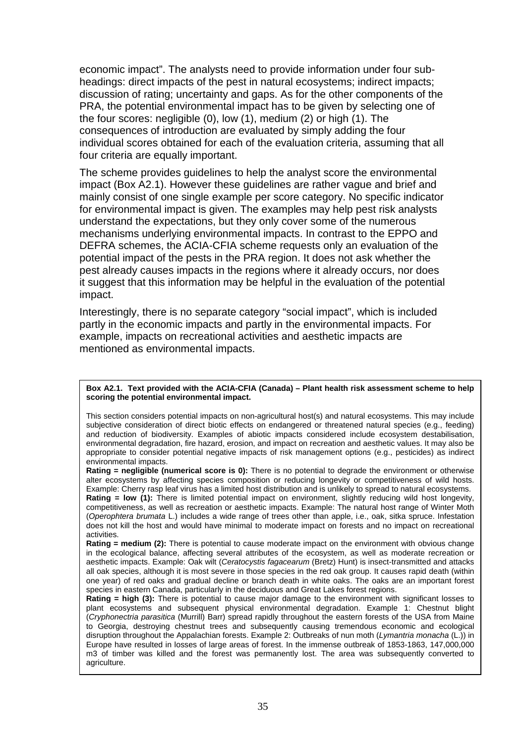economic impact". The analysts need to provide information under four subheadings: direct impacts of the pest in natural ecosystems; indirect impacts; discussion of rating; uncertainty and gaps. As for the other components of the PRA, the potential environmental impact has to be given by selecting one of the four scores: negligible (0), low (1), medium (2) or high (1). The consequences of introduction are evaluated by simply adding the four individual scores obtained for each of the evaluation criteria, assuming that all four criteria are equally important.

The scheme provides guidelines to help the analyst score the environmental impact (Box A2.1). However these guidelines are rather vague and brief and mainly consist of one single example per score category. No specific indicator for environmental impact is given. The examples may help pest risk analysts understand the expectations, but they only cover some of the numerous mechanisms underlying environmental impacts. In contrast to the EPPO and DEFRA schemes, the ACIA-CFIA scheme requests only an evaluation of the potential impact of the pests in the PRA region. It does not ask whether the pest already causes impacts in the regions where it already occurs, nor does it suggest that this information may be helpful in the evaluation of the potential impact.

Interestingly, there is no separate category "social impact", which is included partly in the economic impacts and partly in the environmental impacts. For example, impacts on recreational activities and aesthetic impacts are mentioned as environmental impacts.

#### **Box A2.1. Text provided with the ACIA-CFIA (Canada) – Plant health risk assessment scheme to help scoring the potential environmental impact.**

This section considers potential impacts on non-agricultural host(s) and natural ecosystems. This may include subjective consideration of direct biotic effects on endangered or threatened natural species (e.g., feeding) and reduction of biodiversity. Examples of abiotic impacts considered include ecosystem destabilisation, environmental degradation, fire hazard, erosion, and impact on recreation and aesthetic values. It may also be appropriate to consider potential negative impacts of risk management options (e.g., pesticides) as indirect environmental impacts.

**Rating = negligible (numerical score is 0):** There is no potential to degrade the environment or otherwise alter ecosystems by affecting species composition or reducing longevity or competitiveness of wild hosts. Example: Cherry rasp leaf virus has a limited host distribution and is unlikely to spread to natural ecosystems. **Rating = low (1):** There is limited potential impact on environment, slightly reducing wild host longevity, competitiveness, as well as recreation or aesthetic impacts. Example: The natural host range of Winter Moth (*Operophtera brumata* L.) includes a wide range of trees other than apple, i.e., oak, sitka spruce. Infestation does not kill the host and would have minimal to moderate impact on forests and no impact on recreational activities.

**Rating = medium (2):** There is potential to cause moderate impact on the environment with obvious change in the ecological balance, affecting several attributes of the ecosystem, as well as moderate recreation or aesthetic impacts. Example: Oak wilt (*Ceratocystis fagacearum* (Bretz) Hunt) is insect-transmitted and attacks all oak species, although it is most severe in those species in the red oak group. It causes rapid death (within one year) of red oaks and gradual decline or branch death in white oaks. The oaks are an important forest species in eastern Canada, particularly in the deciduous and Great Lakes forest regions.

**Rating = high (3):** There is potential to cause major damage to the environment with significant losses to plant ecosystems and subsequent physical environmental degradation. Example 1: Chestnut blight (*Cryphonectria parasitica* (Murrill) Barr) spread rapidly throughout the eastern forests of the USA from Maine to Georgia, destroying chestnut trees and subsequently causing tremendous economic and ecological disruption throughout the Appalachian forests. Example 2: Outbreaks of nun moth (*Lymantria monacha* (L.)) in Europe have resulted in losses of large areas of forest. In the immense outbreak of 1853-1863, 147,000,000 m3 of timber was killed and the forest was permanently lost. The area was subsequently converted to agriculture.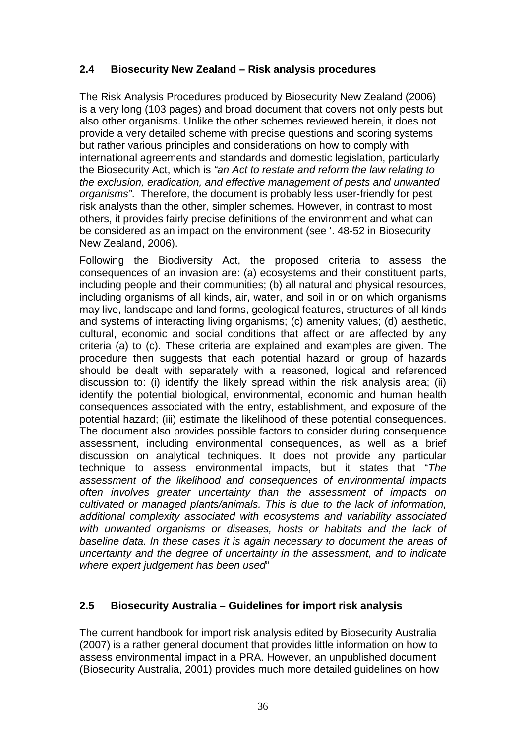## **2.4 Biosecurity New Zealand – Risk analysis procedures**

The Risk Analysis Procedures produced by Biosecurity New Zealand (2006) is a very long (103 pages) and broad document that covers not only pests but also other organisms. Unlike the other schemes reviewed herein, it does not provide a very detailed scheme with precise questions and scoring systems but rather various principles and considerations on how to comply with international agreements and standards and domestic legislation, particularly the Biosecurity Act, which is *"an Act to restate and reform the law relating to the exclusion, eradication, and effective management of pests and unwanted organisms"*. Therefore, the document is probably less user-friendly for pest risk analysts than the other, simpler schemes. However, in contrast to most others, it provides fairly precise definitions of the environment and what can be considered as an impact on the environment (see '. 48-52 in Biosecurity New Zealand, 2006).

Following the Biodiversity Act, the proposed criteria to assess the consequences of an invasion are: (a) ecosystems and their constituent parts, including people and their communities; (b) all natural and physical resources, including organisms of all kinds, air, water, and soil in or on which organisms may live, landscape and land forms, geological features, structures of all kinds and systems of interacting living organisms; (c) amenity values; (d) aesthetic, cultural, economic and social conditions that affect or are affected by any criteria (a) to (c). These criteria are explained and examples are given. The procedure then suggests that each potential hazard or group of hazards should be dealt with separately with a reasoned, logical and referenced discussion to: (i) identify the likely spread within the risk analysis area; (ii) identify the potential biological, environmental, economic and human health consequences associated with the entry, establishment, and exposure of the potential hazard; (iii) estimate the likelihood of these potential consequences. The document also provides possible factors to consider during consequence assessment, including environmental consequences, as well as a brief discussion on analytical techniques. It does not provide any particular technique to assess environmental impacts, but it states that "*The assessment of the likelihood and consequences of environmental impacts often involves greater uncertainty than the assessment of impacts on cultivated or managed plants/animals. This is due to the lack of information, additional complexity associated with ecosystems and variability associated with unwanted organisms or diseases, hosts or habitats and the lack of baseline data. In these cases it is again necessary to document the areas of uncertainty and the degree of uncertainty in the assessment, and to indicate where expert judgement has been used*"

## **2.5 Biosecurity Australia – Guidelines for import risk analysis**

The current handbook for import risk analysis edited by Biosecurity Australia (2007) is a rather general document that provides little information on how to assess environmental impact in a PRA. However, an unpublished document (Biosecurity Australia, 2001) provides much more detailed guidelines on how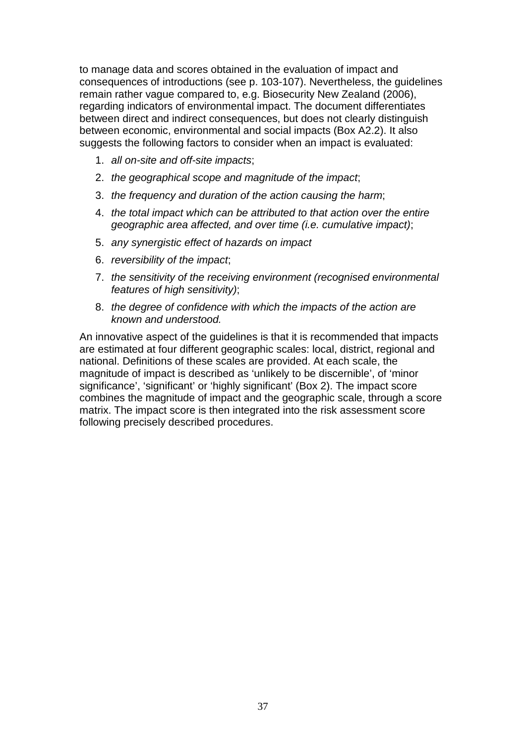to manage data and scores obtained in the evaluation of impact and consequences of introductions (see p. 103-107). Nevertheless, the guidelines remain rather vague compared to, e.g. Biosecurity New Zealand (2006), regarding indicators of environmental impact. The document differentiates between direct and indirect consequences, but does not clearly distinguish between economic, environmental and social impacts (Box A2.2). It also suggests the following factors to consider when an impact is evaluated:

- 1. *all on-site and off-site impacts*;
- 2. *the geographical scope and magnitude of the impact*;
- 3. *the frequency and duration of the action causing the harm*;
- 4. *the total impact which can be attributed to that action over the entire geographic area affected, and over time (i.e. cumulative impact)*;
- 5. *any synergistic effect of hazards on impact*
- 6. *reversibility of the impact*;
- 7. *the sensitivity of the receiving environment (recognised environmental features of high sensitivity)*;
- 8. *the degree of confidence with which the impacts of the action are known and understood.*

An innovative aspect of the guidelines is that it is recommended that impacts are estimated at four different geographic scales: local, district, regional and national. Definitions of these scales are provided. At each scale, the magnitude of impact is described as 'unlikely to be discernible', of 'minor significance', 'significant' or 'highly significant' (Box 2). The impact score combines the magnitude of impact and the geographic scale, through a score matrix. The impact score is then integrated into the risk assessment score following precisely described procedures.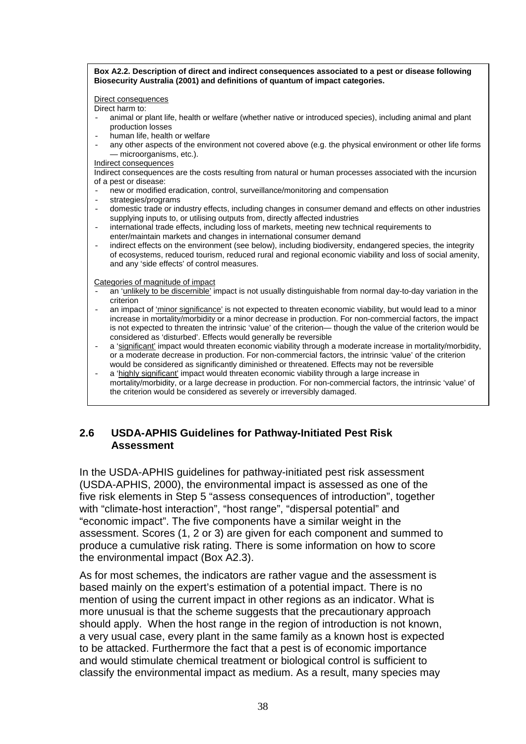**Box A2.2. Description of direct and indirect consequences associated to a pest or disease following Biosecurity Australia (2001) and definitions of quantum of impact categories.** 

Direct consequences

Direct harm to:

- animal or plant life, health or welfare (whether native or introduced species), including animal and plant production losses
- human life, health or welfare
- any other aspects of the environment not covered above (e.g. the physical environment or other life forms — microorganisms, etc.).

#### Indirect consequences

Indirect consequences are the costs resulting from natural or human processes associated with the incursion of a pest or disease:

- new or modified eradication, control, surveillance/monitoring and compensation<br>- strategies/programs
- strategies/programs
- domestic trade or industry effects, including changes in consumer demand and effects on other industries supplying inputs to, or utilising outputs from, directly affected industries
- international trade effects, including loss of markets, meeting new technical requirements to enter/maintain markets and changes in international consumer demand
- indirect effects on the environment (see below), including biodiversity, endangered species, the integrity of ecosystems, reduced tourism, reduced rural and regional economic viability and loss of social amenity, and any 'side effects' of control measures.

Categories of magnitude of impact

- an 'unlikely to be discernible' impact is not usually distinguishable from normal day-to-day variation in the criterion
- an impact of 'minor significance' is not expected to threaten economic viability, but would lead to a minor increase in mortality/morbidity or a minor decrease in production. For non-commercial factors, the impact is not expected to threaten the intrinsic 'value' of the criterion— though the value of the criterion would be considered as 'disturbed'. Effects would generally be reversible
- a 'significant' impact would threaten economic viability through a moderate increase in mortality/morbidity, or a moderate decrease in production. For non-commercial factors, the intrinsic 'value' of the criterion would be considered as significantly diminished or threatened. Effects may not be reversible
- a 'highly significant' impact would threaten economic viability through a large increase in mortality/morbidity, or a large decrease in production. For non-commercial factors, the intrinsic 'value' of the criterion would be considered as severely or irreversibly damaged.

## **2.6 USDA-APHIS Guidelines for Pathway-Initiated Pest Risk Assessment**

In the USDA-APHIS guidelines for pathway-initiated pest risk assessment (USDA-APHIS, 2000), the environmental impact is assessed as one of the five risk elements in Step 5 "assess consequences of introduction", together with "climate-host interaction", "host range", "dispersal potential" and "economic impact". The five components have a similar weight in the assessment. Scores (1, 2 or 3) are given for each component and summed to produce a cumulative risk rating. There is some information on how to score the environmental impact (Box A2.3).

As for most schemes, the indicators are rather vague and the assessment is based mainly on the expert's estimation of a potential impact. There is no mention of using the current impact in other regions as an indicator. What is more unusual is that the scheme suggests that the precautionary approach should apply. When the host range in the region of introduction is not known, a very usual case, every plant in the same family as a known host is expected to be attacked. Furthermore the fact that a pest is of economic importance and would stimulate chemical treatment or biological control is sufficient to classify the environmental impact as medium. As a result, many species may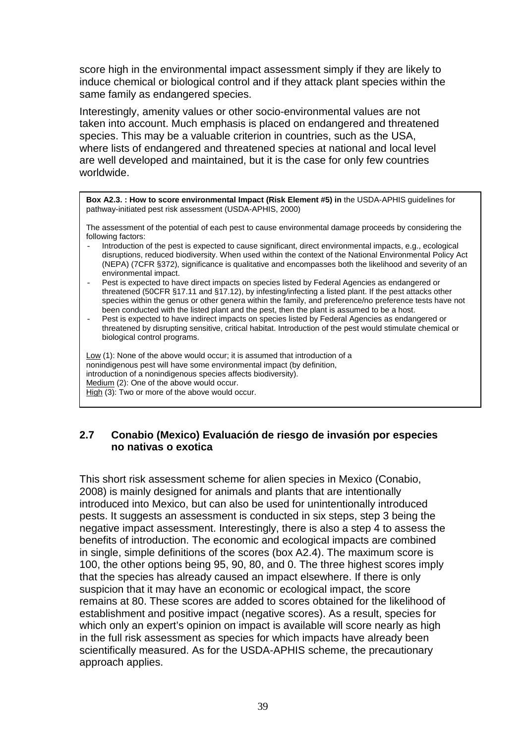score high in the environmental impact assessment simply if they are likely to induce chemical or biological control and if they attack plant species within the same family as endangered species.

Interestingly, amenity values or other socio-environmental values are not taken into account. Much emphasis is placed on endangered and threatened species. This may be a valuable criterion in countries, such as the USA, where lists of endangered and threatened species at national and local level are well developed and maintained, but it is the case for only few countries worldwide.

**Box A2.3. : How to score environmental Impact (Risk Element #5) in** the USDA-APHIS guidelines for pathway-initiated pest risk assessment (USDA-APHIS, 2000)

The assessment of the potential of each pest to cause environmental damage proceeds by considering the following factors:

- Introduction of the pest is expected to cause significant, direct environmental impacts, e.g., ecological disruptions, reduced biodiversity. When used within the context of the National Environmental Policy Act (NEPA) (7CFR §372), significance is qualitative and encompasses both the likelihood and severity of an environmental impact.
- Pest is expected to have direct impacts on species listed by Federal Agencies as endangered or threatened (50CFR §17.11 and §17.12), by infesting/infecting a listed plant. If the pest attacks other species within the genus or other genera within the family, and preference/no preference tests have not been conducted with the listed plant and the pest, then the plant is assumed to be a host.
- Pest is expected to have indirect impacts on species listed by Federal Agencies as endangered or threatened by disrupting sensitive, critical habitat. Introduction of the pest would stimulate chemical or biological control programs.

Low (1): None of the above would occur; it is assumed that introduction of a nonindigenous pest will have some environmental impact (by definition, introduction of a nonindigenous species affects biodiversity). Medium (2): One of the above would occur. High (3): Two or more of the above would occur.

## **2.7 Conabio (Mexico) Evaluación de riesgo de invasión por especies no nativas o exotica**

This short risk assessment scheme for alien species in Mexico (Conabio, 2008) is mainly designed for animals and plants that are intentionally introduced into Mexico, but can also be used for unintentionally introduced pests. It suggests an assessment is conducted in six steps, step 3 being the negative impact assessment. Interestingly, there is also a step 4 to assess the benefits of introduction. The economic and ecological impacts are combined in single, simple definitions of the scores (box A2.4). The maximum score is 100, the other options being 95, 90, 80, and 0. The three highest scores imply that the species has already caused an impact elsewhere. If there is only suspicion that it may have an economic or ecological impact, the score remains at 80. These scores are added to scores obtained for the likelihood of establishment and positive impact (negative scores). As a result, species for which only an expert's opinion on impact is available will score nearly as high in the full risk assessment as species for which impacts have already been scientifically measured. As for the USDA-APHIS scheme, the precautionary approach applies.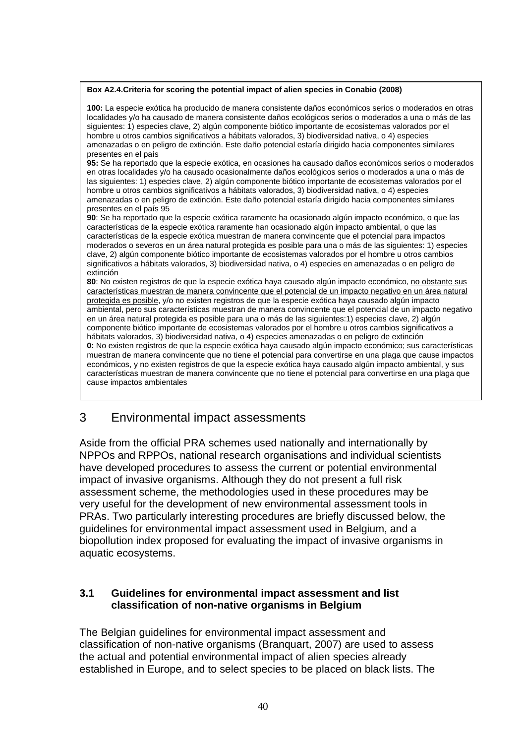#### **Box A2.4.Criteria for scoring the potential impact of alien species in Conabio (2008)**

**100:** La especie exótica ha producido de manera consistente daños económicos serios o moderados en otras localidades y/o ha causado de manera consistente daños ecológicos serios o moderados a una o más de las siguientes: 1) especies clave, 2) algún componente biótico importante de ecosistemas valorados por el hombre u otros cambios significativos a hábitats valorados, 3) biodiversidad nativa, o 4) especies amenazadas o en peligro de extinción. Este daño potencial estaría dirigido hacia componentes similares presentes en el país

**95:** Se ha reportado que la especie exótica, en ocasiones ha causado daños económicos serios o moderados en otras localidades y/o ha causado ocasionalmente daños ecológicos serios o moderados a una o más de las siguientes: 1) especies clave, 2) algún componente biótico importante de ecosistemas valorados por el hombre u otros cambios significativos a hábitats valorados, 3) biodiversidad nativa, o 4) especies amenazadas o en peligro de extinción. Este daño potencial estaría dirigido hacia componentes similares presentes en el país 95

**90**: Se ha reportado que la especie exótica raramente ha ocasionado algún impacto económico, o que las características de la especie exótica raramente han ocasionado algún impacto ambiental, o que las características de la especie exótica muestran de manera convincente que el potencial para impactos moderados o severos en un área natural protegida es posible para una o más de las siguientes: 1) especies clave, 2) algún componente biótico importante de ecosistemas valorados por el hombre u otros cambios significativos a hábitats valorados, 3) biodiversidad nativa, o 4) especies en amenazadas o en peligro de extinción

**80**: No existen registros de que la especie exótica haya causado algún impacto económico, no obstante sus características muestran de manera convincente que el potencial de un impacto negativo en un área natural protegida es posible, y/o no existen registros de que la especie exótica haya causado algún impacto ambiental, pero sus características muestran de manera convincente que el potencial de un impacto negativo en un área natural protegida es posible para una o más de las siguientes:1) especies clave, 2) algún componente biótico importante de ecosistemas valorados por el hombre u otros cambios significativos a hábitats valorados, 3) biodiversidad nativa, o 4) especies amenazadas o en peligro de extinción **0:** No existen registros de que la especie exótica haya causado algún impacto económico; sus características muestran de manera convincente que no tiene el potencial para convertirse en una plaga que cause impactos económicos, y no existen registros de que la especie exótica haya causado algún impacto ambiental, y sus características muestran de manera convincente que no tiene el potencial para convertirse en una plaga que cause impactos ambientales

# 3 Environmental impact assessments

Aside from the official PRA schemes used nationally and internationally by NPPOs and RPPOs, national research organisations and individual scientists have developed procedures to assess the current or potential environmental impact of invasive organisms. Although they do not present a full risk assessment scheme, the methodologies used in these procedures may be very useful for the development of new environmental assessment tools in PRAs. Two particularly interesting procedures are briefly discussed below, the guidelines for environmental impact assessment used in Belgium, and a biopollution index proposed for evaluating the impact of invasive organisms in aquatic ecosystems.

## **3.1 Guidelines for environmental impact assessment and list classification of non-native organisms in Belgium**

The Belgian guidelines for environmental impact assessment and classification of non-native organisms (Branquart, 2007) are used to assess the actual and potential environmental impact of alien species already established in Europe, and to select species to be placed on black lists. The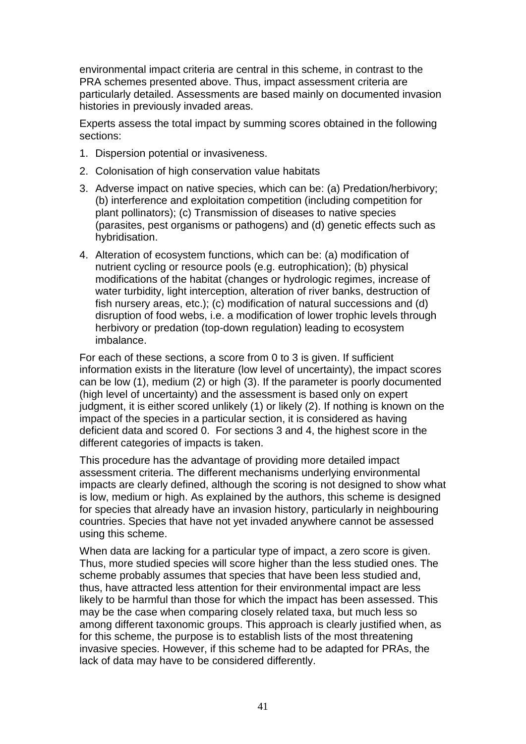environmental impact criteria are central in this scheme, in contrast to the PRA schemes presented above. Thus, impact assessment criteria are particularly detailed. Assessments are based mainly on documented invasion histories in previously invaded areas.

Experts assess the total impact by summing scores obtained in the following sections:

- 1. Dispersion potential or invasiveness.
- 2. Colonisation of high conservation value habitats
- 3. Adverse impact on native species, which can be: (a) Predation/herbivory; (b) interference and exploitation competition (including competition for plant pollinators); (c) Transmission of diseases to native species (parasites, pest organisms or pathogens) and (d) genetic effects such as hybridisation.
- 4. Alteration of ecosystem functions, which can be: (a) modification of nutrient cycling or resource pools (e.g. eutrophication); (b) physical modifications of the habitat (changes or hydrologic regimes, increase of water turbidity, light interception, alteration of river banks, destruction of fish nursery areas, etc.); (c) modification of natural successions and (d) disruption of food webs, i.e. a modification of lower trophic levels through herbivory or predation (top-down regulation) leading to ecosystem imbalance.

For each of these sections, a score from 0 to 3 is given. If sufficient information exists in the literature (low level of uncertainty), the impact scores can be low (1), medium (2) or high (3). If the parameter is poorly documented (high level of uncertainty) and the assessment is based only on expert judgment, it is either scored unlikely (1) or likely (2). If nothing is known on the impact of the species in a particular section, it is considered as having deficient data and scored 0. For sections 3 and 4, the highest score in the different categories of impacts is taken.

This procedure has the advantage of providing more detailed impact assessment criteria. The different mechanisms underlying environmental impacts are clearly defined, although the scoring is not designed to show what is low, medium or high. As explained by the authors, this scheme is designed for species that already have an invasion history, particularly in neighbouring countries. Species that have not yet invaded anywhere cannot be assessed using this scheme.

When data are lacking for a particular type of impact, a zero score is given. Thus, more studied species will score higher than the less studied ones. The scheme probably assumes that species that have been less studied and, thus, have attracted less attention for their environmental impact are less likely to be harmful than those for which the impact has been assessed. This may be the case when comparing closely related taxa, but much less so among different taxonomic groups. This approach is clearly justified when, as for this scheme, the purpose is to establish lists of the most threatening invasive species. However, if this scheme had to be adapted for PRAs, the lack of data may have to be considered differently.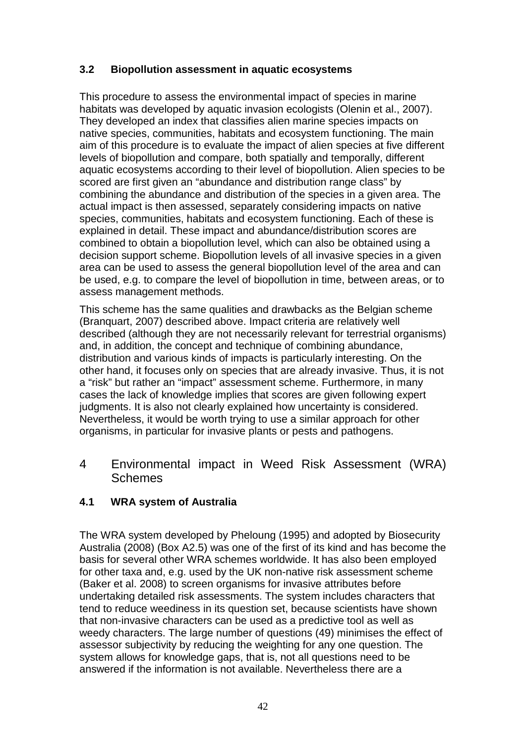## **3.2 Biopollution assessment in aquatic ecosystems**

This procedure to assess the environmental impact of species in marine habitats was developed by aquatic invasion ecologists (Olenin et al., 2007). They developed an index that classifies alien marine species impacts on native species, communities, habitats and ecosystem functioning. The main aim of this procedure is to evaluate the impact of alien species at five different levels of biopollution and compare, both spatially and temporally, different aquatic ecosystems according to their level of biopollution. Alien species to be scored are first given an "abundance and distribution range class" by combining the abundance and distribution of the species in a given area. The actual impact is then assessed, separately considering impacts on native species, communities, habitats and ecosystem functioning. Each of these is explained in detail. These impact and abundance/distribution scores are combined to obtain a biopollution level, which can also be obtained using a decision support scheme. Biopollution levels of all invasive species in a given area can be used to assess the general biopollution level of the area and can be used, e.g. to compare the level of biopollution in time, between areas, or to assess management methods.

This scheme has the same qualities and drawbacks as the Belgian scheme (Branquart, 2007) described above. Impact criteria are relatively well described (although they are not necessarily relevant for terrestrial organisms) and, in addition, the concept and technique of combining abundance, distribution and various kinds of impacts is particularly interesting. On the other hand, it focuses only on species that are already invasive. Thus, it is not a "risk" but rather an "impact" assessment scheme. Furthermore, in many cases the lack of knowledge implies that scores are given following expert judgments. It is also not clearly explained how uncertainty is considered. Nevertheless, it would be worth trying to use a similar approach for other organisms, in particular for invasive plants or pests and pathogens.

4 Environmental impact in Weed Risk Assessment (WRA) **Schemes** 

## **4.1 WRA system of Australia**

The WRA system developed by Pheloung (1995) and adopted by Biosecurity Australia (2008) (Box A2.5) was one of the first of its kind and has become the basis for several other WRA schemes worldwide. It has also been employed for other taxa and, e.g. used by the UK non-native risk assessment scheme (Baker et al. 2008) to screen organisms for invasive attributes before undertaking detailed risk assessments. The system includes characters that tend to reduce weediness in its question set, because scientists have shown that non-invasive characters can be used as a predictive tool as well as weedy characters. The large number of questions (49) minimises the effect of assessor subjectivity by reducing the weighting for any one question. The system allows for knowledge gaps, that is, not all questions need to be answered if the information is not available. Nevertheless there are a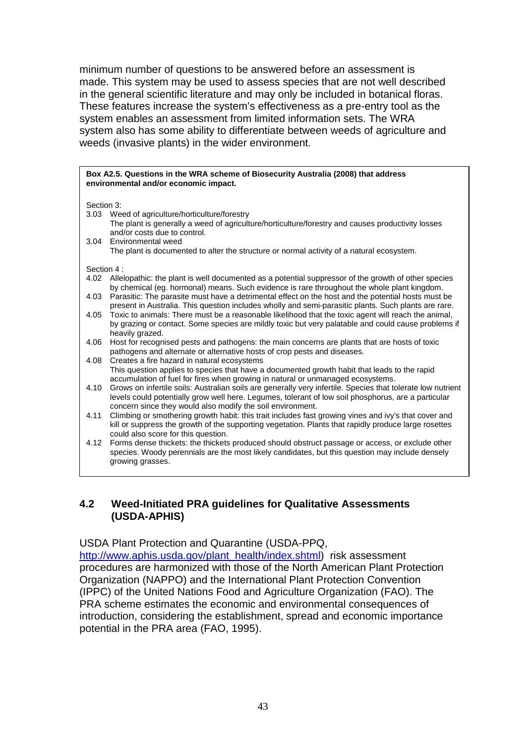minimum number of questions to be answered before an assessment is made. This system may be used to assess species that are not well described in the general scientific literature and may only be included in botanical floras. These features increase the system's effectiveness as a pre-entry tool as the system enables an assessment from limited information sets. The WRA system also has some ability to differentiate between weeds of agriculture and weeds (invasive plants) in the wider environment.

|            | Box A2.5. Questions in the WRA scheme of Biosecurity Australia (2008) that address<br>environmental and/or economic impact.                                                                                        |  |  |  |  |  |
|------------|--------------------------------------------------------------------------------------------------------------------------------------------------------------------------------------------------------------------|--|--|--|--|--|
| Section 3: |                                                                                                                                                                                                                    |  |  |  |  |  |
|            | 3.03 Weed of agriculture/horticulture/forestry                                                                                                                                                                     |  |  |  |  |  |
|            | The plant is generally a weed of agriculture/horticulture/forestry and causes productivity losses<br>and/or costs due to control.                                                                                  |  |  |  |  |  |
|            | 3.04 Environmental weed<br>The plant is documented to alter the structure or normal activity of a natural ecosystem.                                                                                               |  |  |  |  |  |
|            |                                                                                                                                                                                                                    |  |  |  |  |  |
| Section 4: |                                                                                                                                                                                                                    |  |  |  |  |  |
| 4.02       | Allelopathic: the plant is well documented as a potential suppressor of the growth of other species<br>by chemical (eg. hormonal) means. Such evidence is rare throughout the whole plant kingdom.                 |  |  |  |  |  |
| 4.03       | Parasitic: The parasite must have a detrimental effect on the host and the potential hosts must be<br>present in Australia. This question includes wholly and semi-parasitic plants. Such plants are rare.         |  |  |  |  |  |
| 4.05       | Toxic to animals: There must be a reasonable likelihood that the toxic agent will reach the animal,                                                                                                                |  |  |  |  |  |
|            | by grazing or contact. Some species are mildly toxic but very palatable and could cause problems if<br>heavily grazed.                                                                                             |  |  |  |  |  |
| 4.06       | Host for recognised pests and pathogens: the main concerns are plants that are hosts of toxic<br>pathogens and alternate or alternative hosts of crop pests and diseases.                                          |  |  |  |  |  |
| 4.08       | Creates a fire hazard in natural ecosystems                                                                                                                                                                        |  |  |  |  |  |
|            | This question applies to species that have a documented growth habit that leads to the rapid<br>accumulation of fuel for fires when growing in natural or unmanaged ecosystems.                                    |  |  |  |  |  |
| 4.10       | Grows on infertile soils: Australian soils are generally very infertile. Species that tolerate low nutrient<br>levels could potentially grow well here. Legumes, tolerant of low soil phosphorus, are a particular |  |  |  |  |  |
| 4.11       | concern since they would also modify the soil environment.<br>Climbing or smothering growth habit: this trait includes fast growing vines and ivy's that cover and                                                 |  |  |  |  |  |
|            | kill or suppress the growth of the supporting vegetation. Plants that rapidly produce large rosettes<br>could also score for this question.                                                                        |  |  |  |  |  |
| 4.12       | Forms dense thickets: the thickets produced should obstruct passage or access, or exclude other                                                                                                                    |  |  |  |  |  |
|            | species. Woody perennials are the most likely candidates, but this question may include densely                                                                                                                    |  |  |  |  |  |
|            | growing grasses.                                                                                                                                                                                                   |  |  |  |  |  |
|            |                                                                                                                                                                                                                    |  |  |  |  |  |

## **4.2 Weed-Initiated PRA guidelines for Qualitative Assessments (USDA-APHIS)**

### USDA Plant Protection and Quarantine (USDA-PPQ,

[http://www.aphis.usda.gov/plant\\_health/index.shtml\)](http://www.aphis.usda.gov/plant_health/index.shtml)\_risk assessment procedures are harmonized with those of the North American Plant Protection Organization (NAPPO) and the International Plant Protection Convention (IPPC) of the United Nations Food and Agriculture Organization (FAO). The PRA scheme estimates the economic and environmental consequences of introduction, considering the establishment, spread and economic importance potential in the PRA area (FAO, 1995).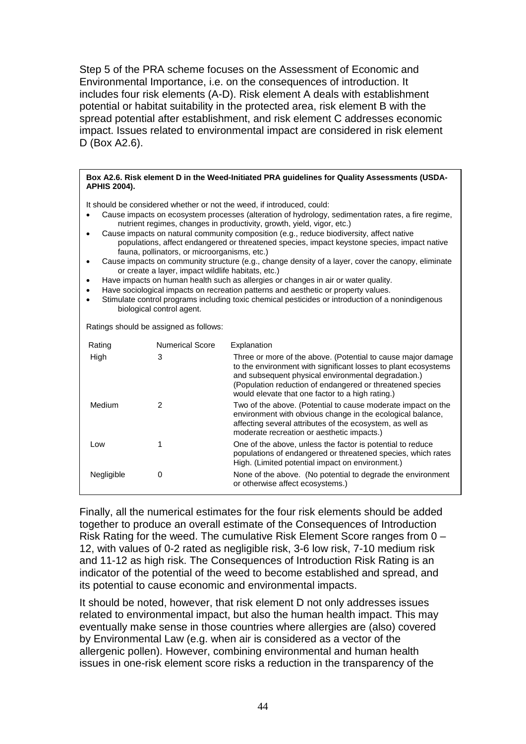Step 5 of the PRA scheme focuses on the Assessment of Economic and Environmental Importance, i.e. on the consequences of introduction. It includes four risk elements (A-D). Risk element A deals with establishment potential or habitat suitability in the protected area, risk element B with the spread potential after establishment, and risk element C addresses economic impact. Issues related to environmental impact are considered in risk element D (Box A2.6).

#### **Box A2.6. Risk element D in the Weed-Initiated PRA guidelines for Quality Assessments (USDA-APHIS 2004).**

It should be considered whether or not the weed, if introduced, could:

- Cause impacts on ecosystem processes (alteration of hydrology, sedimentation rates, a fire regime, nutrient regimes, changes in productivity, growth, yield, vigor, etc.)
- Cause impacts on natural community composition (e.g., reduce biodiversity, affect native populations, affect endangered or threatened species, impact keystone species, impact native fauna, pollinators, or microorganisms, etc.)
- Cause impacts on community structure (e.g., change density of a layer, cover the canopy, eliminate or create a layer, impact wildlife habitats, etc.)
- Have impacts on human health such as allergies or changes in air or water quality.
- Have sociological impacts on recreation patterns and aesthetic or property values.
- Stimulate control programs including toxic chemical pesticides or introduction of a nonindigenous biological control agent.

Ratings should be assigned as follows:

| Rating     | <b>Numerical Score</b> | Explanation                                                                                                                                                                                                                                                                                            |
|------------|------------------------|--------------------------------------------------------------------------------------------------------------------------------------------------------------------------------------------------------------------------------------------------------------------------------------------------------|
| High       | 3                      | Three or more of the above. (Potential to cause major damage<br>to the environment with significant losses to plant ecosystems<br>and subsequent physical environmental degradation.)<br>(Population reduction of endangered or threatened species<br>would elevate that one factor to a high rating.) |
| Medium     | 2                      | Two of the above. (Potential to cause moderate impact on the<br>environment with obvious change in the ecological balance,<br>affecting several attributes of the ecosystem, as well as<br>moderate recreation or aesthetic impacts.)                                                                  |
| Low        |                        | One of the above, unless the factor is potential to reduce<br>populations of endangered or threatened species, which rates<br>High. (Limited potential impact on environment.)                                                                                                                         |
| Negligible | 0                      | None of the above. (No potential to degrade the environment<br>or otherwise affect ecosystems.)                                                                                                                                                                                                        |

Finally, all the numerical estimates for the four risk elements should be added together to produce an overall estimate of the Consequences of Introduction Risk Rating for the weed. The cumulative Risk Element Score ranges from 0 – 12, with values of 0-2 rated as negligible risk, 3-6 low risk, 7-10 medium risk and 11-12 as high risk. The Consequences of Introduction Risk Rating is an indicator of the potential of the weed to become established and spread, and its potential to cause economic and environmental impacts.

It should be noted, however, that risk element D not only addresses issues related to environmental impact, but also the human health impact. This may eventually make sense in those countries where allergies are (also) covered by Environmental Law (e.g. when air is considered as a vector of the allergenic pollen). However, combining environmental and human health issues in one-risk element score risks a reduction in the transparency of the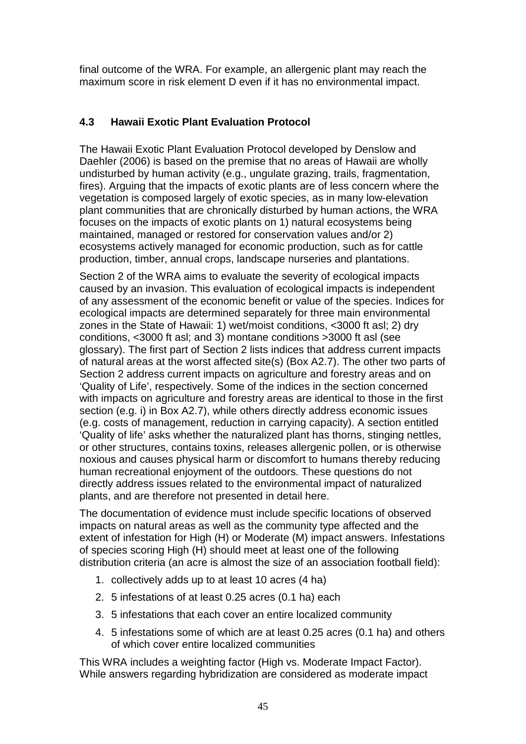final outcome of the WRA. For example, an allergenic plant may reach the maximum score in risk element D even if it has no environmental impact.

# **4.3 Hawaii Exotic Plant Evaluation Protocol**

The Hawaii Exotic Plant Evaluation Protocol developed by Denslow and Daehler (2006) is based on the premise that no areas of Hawaii are wholly undisturbed by human activity (e.g., ungulate grazing, trails, fragmentation, fires). Arguing that the impacts of exotic plants are of less concern where the vegetation is composed largely of exotic species, as in many low-elevation plant communities that are chronically disturbed by human actions, the WRA focuses on the impacts of exotic plants on 1) natural ecosystems being maintained, managed or restored for conservation values and/or 2) ecosystems actively managed for economic production, such as for cattle production, timber, annual crops, landscape nurseries and plantations.

Section 2 of the WRA aims to evaluate the severity of ecological impacts caused by an invasion. This evaluation of ecological impacts is independent of any assessment of the economic benefit or value of the species. Indices for ecological impacts are determined separately for three main environmental zones in the State of Hawaii: 1) wet/moist conditions, <3000 ft asl; 2) dry conditions, <3000 ft asl; and 3) montane conditions >3000 ft asl (see glossary). The first part of Section 2 lists indices that address current impacts of natural areas at the worst affected site(s) (Box A2.7). The other two parts of Section 2 address current impacts on agriculture and forestry areas and on 'Quality of Life', respectively. Some of the indices in the section concerned with impacts on agriculture and forestry areas are identical to those in the first section (e.g. i) in Box A2.7), while others directly address economic issues (e.g. costs of management, reduction in carrying capacity). A section entitled 'Quality of life' asks whether the naturalized plant has thorns, stinging nettles, or other structures, contains toxins, releases allergenic pollen, or is otherwise noxious and causes physical harm or discomfort to humans thereby reducing human recreational enjoyment of the outdoors. These questions do not directly address issues related to the environmental impact of naturalized plants, and are therefore not presented in detail here.

The documentation of evidence must include specific locations of observed impacts on natural areas as well as the community type affected and the extent of infestation for High (H) or Moderate (M) impact answers. Infestations of species scoring High (H) should meet at least one of the following distribution criteria (an acre is almost the size of an association football field):

- 1. collectively adds up to at least 10 acres (4 ha)
- 2. 5 infestations of at least 0.25 acres (0.1 ha) each
- 3. 5 infestations that each cover an entire localized community
- 4. 5 infestations some of which are at least 0.25 acres (0.1 ha) and others of which cover entire localized communities

This WRA includes a weighting factor (High vs. Moderate Impact Factor). While answers regarding hybridization are considered as moderate impact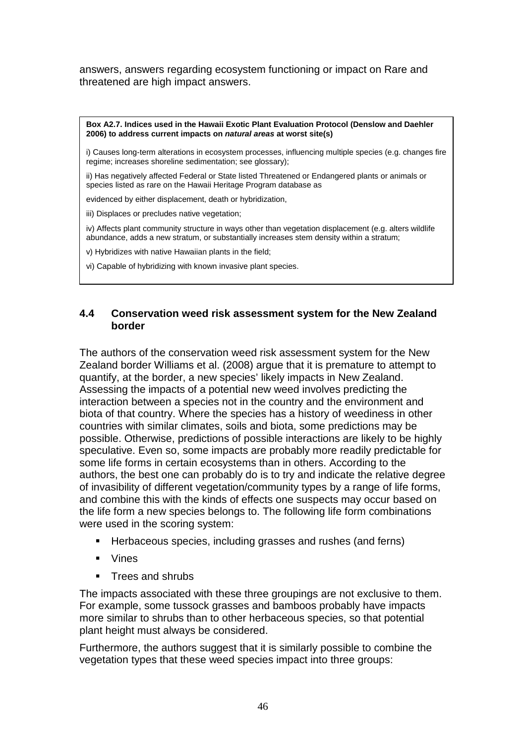answers, answers regarding ecosystem functioning or impact on Rare and threatened are high impact answers.

**Box A2.7. Indices used in the Hawaii Exotic Plant Evaluation Protocol (Denslow and Daehler** 

**2006) to address current impacts on** *natural areas* **at worst site(s)** i) Causes long-term alterations in ecosystem processes, influencing multiple species (e.g. changes fire regime; increases shoreline sedimentation; see glossary); ii) Has negatively affected Federal or State listed Threatened or Endangered plants or animals or species listed as rare on the Hawaii Heritage Program database as evidenced by either displacement, death or hybridization, iii) Displaces or precludes native vegetation; iv) Affects plant community structure in ways other than vegetation displacement (e.g. alters wildlife abundance, adds a new stratum, or substantially increases stem density within a stratum; v) Hybridizes with native Hawaiian plants in the field; vi) Capable of hybridizing with known invasive plant species.

## **4.4 Conservation weed risk assessment system for the New Zealand border**

The authors of the conservation weed risk assessment system for the New Zealand border Williams et al. (2008) argue that it is premature to attempt to quantify, at the border, a new species' likely impacts in New Zealand. Assessing the impacts of a potential new weed involves predicting the interaction between a species not in the country and the environment and biota of that country. Where the species has a history of weediness in other countries with similar climates, soils and biota, some predictions may be possible. Otherwise, predictions of possible interactions are likely to be highly speculative. Even so, some impacts are probably more readily predictable for some life forms in certain ecosystems than in others. According to the authors, the best one can probably do is to try and indicate the relative degree of invasibility of different vegetation/community types by a range of life forms, and combine this with the kinds of effects one suspects may occur based on the life form a new species belongs to. The following life form combinations were used in the scoring system:

- Herbaceous species, including grasses and rushes (and ferns)
- Vines
- Trees and shrubs

The impacts associated with these three groupings are not exclusive to them. For example, some tussock grasses and bamboos probably have impacts more similar to shrubs than to other herbaceous species, so that potential plant height must always be considered.

Furthermore, the authors suggest that it is similarly possible to combine the vegetation types that these weed species impact into three groups: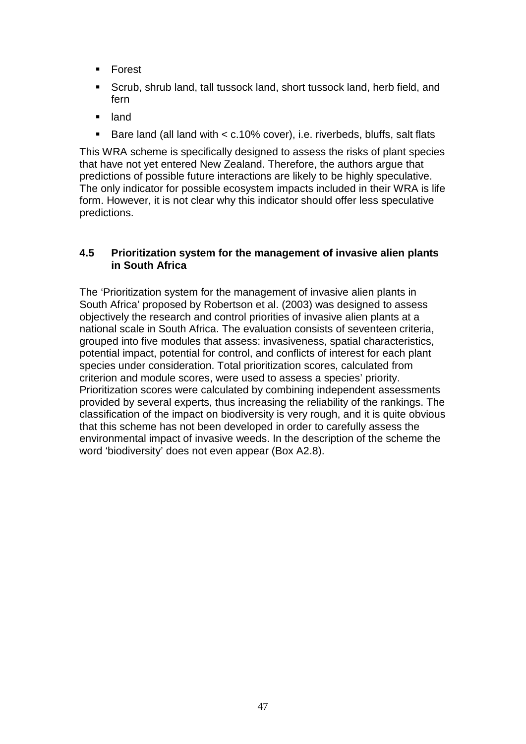- Forest
- Scrub, shrub land, tall tussock land, short tussock land, herb field, and fern
- **u** land
- Bare land (all land with < c.10% cover), i.e. riverbeds, bluffs, salt flats

This WRA scheme is specifically designed to assess the risks of plant species that have not yet entered New Zealand. Therefore, the authors argue that predictions of possible future interactions are likely to be highly speculative. The only indicator for possible ecosystem impacts included in their WRA is life form. However, it is not clear why this indicator should offer less speculative predictions.

## **4.5 Prioritization system for the management of invasive alien plants in South Africa**

The 'Prioritization system for the management of invasive alien plants in South Africa' proposed by Robertson et al. (2003) was designed to assess objectively the research and control priorities of invasive alien plants at a national scale in South Africa. The evaluation consists of seventeen criteria, grouped into five modules that assess: invasiveness, spatial characteristics, potential impact, potential for control, and conflicts of interest for each plant species under consideration. Total prioritization scores, calculated from criterion and module scores, were used to assess a species' priority. Prioritization scores were calculated by combining independent assessments provided by several experts, thus increasing the reliability of the rankings. The classification of the impact on biodiversity is very rough, and it is quite obvious that this scheme has not been developed in order to carefully assess the environmental impact of invasive weeds. In the description of the scheme the word 'biodiversity' does not even appear (Box A2.8).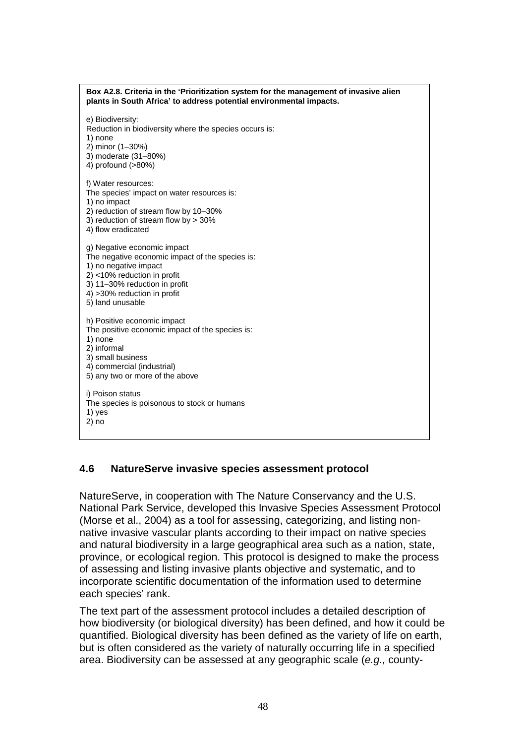| Box A2.8. Criteria in the 'Prioritization system for the management of invasive alien<br>plants in South Africa' to address potential environmental impacts.                                                                |
|-----------------------------------------------------------------------------------------------------------------------------------------------------------------------------------------------------------------------------|
| e) Biodiversity:<br>Reduction in biodiversity where the species occurs is:<br>1) none<br>2) minor (1-30%)<br>3) moderate (31-80%)<br>4) profound (>80%)                                                                     |
| f) Water resources:<br>The species' impact on water resources is:<br>1) no impact<br>2) reduction of stream flow by 10-30%<br>3) reduction of stream flow by > 30%<br>4) flow eradicated                                    |
| g) Negative economic impact<br>The negative economic impact of the species is:<br>1) no negative impact<br>2) <10% reduction in profit<br>3) 11-30% reduction in profit<br>4) > 30% reduction in profit<br>5) land unusable |
| h) Positive economic impact<br>The positive economic impact of the species is:<br>1) none<br>2) informal<br>3) small business<br>4) commercial (industrial)<br>5) any two or more of the above                              |
| i) Poison status<br>The species is poisonous to stock or humans<br>1) yes<br>2) no                                                                                                                                          |

## **4.6 NatureServe invasive species assessment protocol**

NatureServe, in cooperation with The Nature Conservancy and the U.S. National Park Service, developed this Invasive Species Assessment Protocol (Morse et al., 2004) as a tool for assessing, categorizing, and listing nonnative invasive vascular plants according to their impact on native species and natural biodiversity in a large geographical area such as a nation, state, province, or ecological region. This protocol is designed to make the process of assessing and listing invasive plants objective and systematic, and to incorporate scientific documentation of the information used to determine each species' rank.

The text part of the assessment protocol includes a detailed description of how biodiversity (or biological diversity) has been defined, and how it could be quantified. Biological diversity has been defined as the variety of life on earth, but is often considered as the variety of naturally occurring life in a specified area. Biodiversity can be assessed at any geographic scale (*e.g.,* county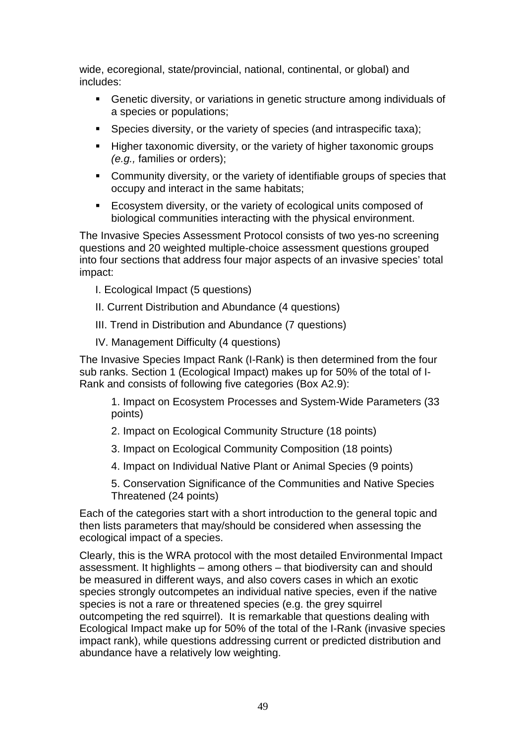wide, ecoregional, state/provincial, national, continental, or global) and includes:

- Genetic diversity, or variations in genetic structure among individuals of a species or populations;
- Species diversity, or the variety of species (and intraspecific taxa);
- **Higher taxonomic diversity, or the variety of higher taxonomic groups** *(e.g.,* families or orders);
- Community diversity, or the variety of identifiable groups of species that occupy and interact in the same habitats;
- **Ecosystem diversity, or the variety of ecological units composed of** biological communities interacting with the physical environment.

The Invasive Species Assessment Protocol consists of two yes-no screening questions and 20 weighted multiple-choice assessment questions grouped into four sections that address four major aspects of an invasive species' total impact:

- I. Ecological Impact (5 questions)
- II. Current Distribution and Abundance (4 questions)
- III. Trend in Distribution and Abundance (7 questions)
- IV. Management Difficulty (4 questions)

The Invasive Species Impact Rank (I-Rank) is then determined from the four sub ranks. Section 1 (Ecological Impact) makes up for 50% of the total of I-Rank and consists of following five categories (Box A2.9):

1. Impact on Ecosystem Processes and System-Wide Parameters (33 points)

- 2. Impact on Ecological Community Structure (18 points)
- 3. Impact on Ecological Community Composition (18 points)
- 4. Impact on Individual Native Plant or Animal Species (9 points)

5. Conservation Significance of the Communities and Native Species Threatened (24 points)

Each of the categories start with a short introduction to the general topic and then lists parameters that may/should be considered when assessing the ecological impact of a species.

Clearly, this is the WRA protocol with the most detailed Environmental Impact assessment. It highlights – among others – that biodiversity can and should be measured in different ways, and also covers cases in which an exotic species strongly outcompetes an individual native species, even if the native species is not a rare or threatened species (e.g. the grey squirrel outcompeting the red squirrel). It is remarkable that questions dealing with Ecological Impact make up for 50% of the total of the I-Rank (invasive species impact rank), while questions addressing current or predicted distribution and abundance have a relatively low weighting.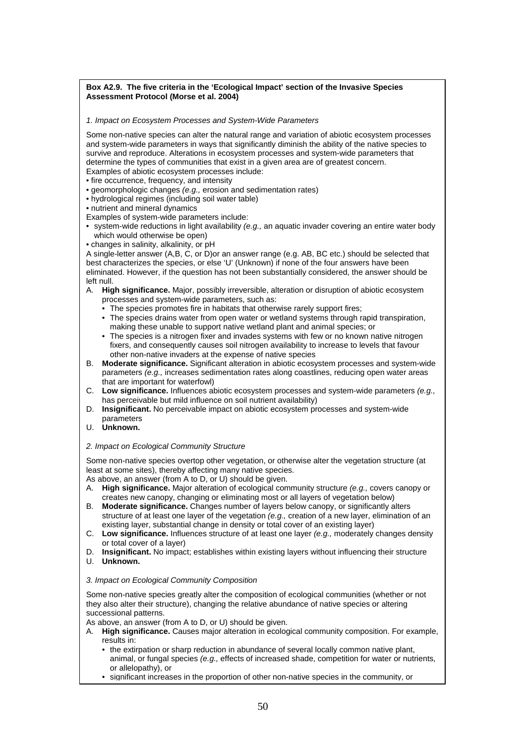#### **Box A2.9. The five criteria in the 'Ecological Impact' section of the Invasive Species Assessment Protocol (Morse et al. 2004)**

*1. Impact on Ecosystem Processes and System-Wide Parameters* 

Some non-native species can alter the natural range and variation of abiotic ecosystem processes and system-wide parameters in ways that significantly diminish the ability of the native species to survive and reproduce. Alterations in ecosystem processes and system-wide parameters that determine the types of communities that exist in a given area are of greatest concern.

- Examples of abiotic ecosystem processes include:
- fire occurrence, frequency, and intensity
- geomorphologic changes *(e.g.,* erosion and sedimentation rates)
- hydrological regimes (including soil water table)
- nutrient and mineral dynamics
- Examples of system-wide parameters include:
- system-wide reductions in light availability *(e.g.,* an aquatic invader covering an entire water body which would otherwise be open)
- changes in salinity, alkalinity, or pH

A single-letter answer (A,B, C, or D)or an answer range (e.g. AB, BC etc.) should be selected that best characterizes the species, or else 'U' (Unknown) if none of the four answers have been eliminated. However, if the question has not been substantially considered, the answer should be left null.

- A. **High significance.** Major, possibly irreversible, alteration or disruption of abiotic ecosystem processes and system-wide parameters, such as:
	- The species promotes fire in habitats that otherwise rarely support fires;
	- The species drains water from open water or wetland systems through rapid transpiration, making these unable to support native wetland plant and animal species; or
	- The species is a nitrogen fixer and invades systems with few or no known native nitrogen fixers, and consequently causes soil nitrogen availability to increase to levels that favour other non-native invaders at the expense of native species
- B. **Moderate significance.** Significant alteration in abiotic ecosystem processes and system-wide parameters *(e.g.,* increases sedimentation rates along coastlines, reducing open water areas that are important for waterfowl)
- C. **Low significance.** Influences abiotic ecosystem processes and system-wide parameters *(e.g.,*  has perceivable but mild influence on soil nutrient availability)
- D. **Insignificant.** No perceivable impact on abiotic ecosystem processes and system-wide parameters
- U. **Unknown.**

#### *2. Impact on Ecological Community Structure*

Some non-native species overtop other vegetation, or otherwise alter the vegetation structure (at least at some sites), thereby affecting many native species.

As above, an answer (from A to D, or U) should be given.

- A. **High significance.** Major alteration of ecological community structure *(e.g.,* covers canopy or creates new canopy, changing or eliminating most or all layers of vegetation below)
- B. **Moderate significance.** Changes number of layers below canopy, or significantly alters structure of at least one layer of the vegetation *(e.g.,* creation of a new layer, elimination of an existing layer, substantial change in density or total cover of an existing layer)
- C. **Low significance.** Influences structure of at least one layer *(e.g.,* moderately changes density or total cover of a layer)
- D. **Insignificant.** No impact; establishes within existing layers without influencing their structure U. **Unknown.**
- 

#### *3. Impact on Ecological Community Composition*

Some non-native species greatly alter the composition of ecological communities (whether or not they also alter their structure), changing the relative abundance of native species or altering successional patterns.

As above, an answer (from A to D, or U) should be given.

- A. **High significance.** Causes major alteration in ecological community composition. For example, results in:
	- the extirpation or sharp reduction in abundance of several locally common native plant, animal, or fungal species *(e.g.,* effects of increased shade, competition for water or nutrients, or allelopathy), or
	- significant increases in the proportion of other non-native species in the community, or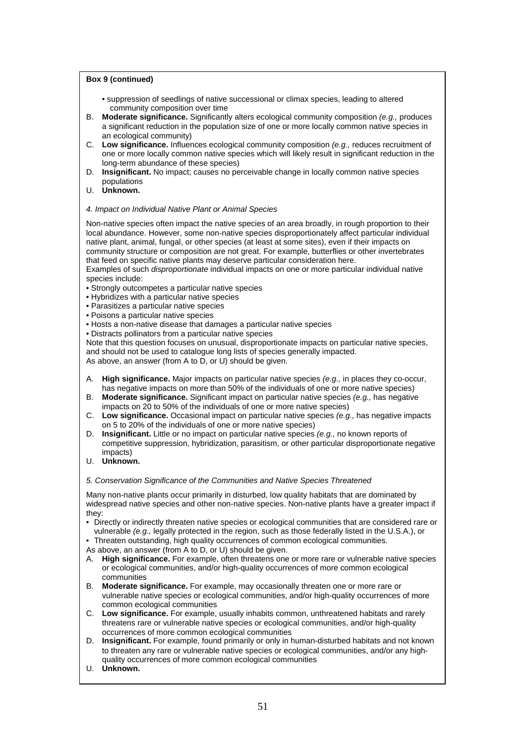#### **Box 9 (continued)**

- suppression of seedlings of native successional or climax species, leading to altered community composition over time
- B. **Moderate significance.** Significantly alters ecological community composition *(e.g.,* produces a significant reduction in the population size of one or more locally common native species in an ecological community)
- C. **Low significance.** Influences ecological community composition *(e.g.,* reduces recruitment of one or more locally common native species which will likely result in significant reduction in the long-term abundance of these species)
- D. **Insignificant.** No impact; causes no perceivable change in locally common native species populations
- U. **Unknown.**

#### *4. Impact on Individual Native Plant or Animal Species*

Non-native species often impact the native species of an area broadly, in rough proportion to their local abundance. However, some non-native species disproportionately affect particular individual native plant, animal, fungal, or other species (at least at some sites), even if their impacts on community structure or composition are not great. For example, butterflies or other invertebrates that feed on specific native plants may deserve particular consideration here.

Examples of such *disproportionate* individual impacts on one or more particular individual native species include:

- Strongly outcompetes a particular native species
- Hybridizes with a particular native species
- Parasitizes a particular native species
- Poisons a particular native species
- Hosts a non-native disease that damages a particular native species
- Distracts pollinators from a particular native species

Note that this question focuses on unusual, disproportionate impacts on particular native species, and should not be used to catalogue long lists of species generally impacted. As above, an answer (from A to D, or U) should be given.

- A. **High significance.** Major impacts on particular native species *(e.g.,* in places they co-occur, has negative impacts on more than 50% of the individuals of one or more native species)
- B. **Moderate significance.** Significant impact on particular native species *(e.g.,* has negative impacts on 20 to 50% of the individuals of one or more native species)
- C. **Low significance.** Occasional impact on particular native species *(e.g.,* has negative impacts on 5 to 20% of the individuals of one or more native species)
- D. **Insignificant.** Little or no impact on particular native species *(e.g.,* no known reports of competitive suppression, hybridization, parasitism, or other particular disproportionate negative impacts)
- U. **Unknown.**

*5. Conservation Significance of the Communities and Native Species Threatened* 

Many non-native plants occur primarily in disturbed, low quality habitats that are dominated by widespread native species and other non-native species. Non-native plants have a greater impact if they:

- Directly or indirectly threaten native species or ecological communities that are considered rare or vulnerable *(e.g.,* legally protected in the region, such as those federally listed in the U.S.A.), or
- Threaten outstanding, high quality occurrences of common ecological communities.

As above, an answer (from A to D, or U) should be given.

- A. **High significance.** For example, often threatens one or more rare or vulnerable native species or ecological communities, and/or high-quality occurrences of more common ecological communities
- B. **Moderate significance.** For example, may occasionally threaten one or more rare or vulnerable native species or ecological communities, and/or high-quality occurrences of more common ecological communities
- C. **Low significance.** For example, usually inhabits common, unthreatened habitats and rarely threatens rare or vulnerable native species or ecological communities, and/or high-quality occurrences of more common ecological communities
- D. **Insignificant.** For example, found primarily or only in human-disturbed habitats and not known to threaten any rare or vulnerable native species or ecological communities, and/or any highquality occurrences of more common ecological communities
- U. **Unknown.**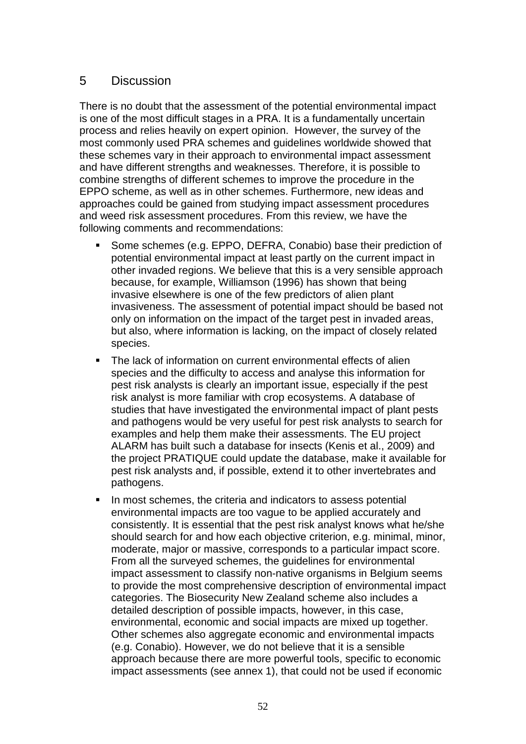# 5 Discussion

There is no doubt that the assessment of the potential environmental impact is one of the most difficult stages in a PRA. It is a fundamentally uncertain process and relies heavily on expert opinion. However, the survey of the most commonly used PRA schemes and guidelines worldwide showed that these schemes vary in their approach to environmental impact assessment and have different strengths and weaknesses. Therefore, it is possible to combine strengths of different schemes to improve the procedure in the EPPO scheme, as well as in other schemes. Furthermore, new ideas and approaches could be gained from studying impact assessment procedures and weed risk assessment procedures. From this review, we have the following comments and recommendations:

- Some schemes (e.g. EPPO, DEFRA, Conabio) base their prediction of potential environmental impact at least partly on the current impact in other invaded regions. We believe that this is a very sensible approach because, for example, Williamson (1996) has shown that being invasive elsewhere is one of the few predictors of alien plant invasiveness. The assessment of potential impact should be based not only on information on the impact of the target pest in invaded areas, but also, where information is lacking, on the impact of closely related species.
- The lack of information on current environmental effects of alien species and the difficulty to access and analyse this information for pest risk analysts is clearly an important issue, especially if the pest risk analyst is more familiar with crop ecosystems. A database of studies that have investigated the environmental impact of plant pests and pathogens would be very useful for pest risk analysts to search for examples and help them make their assessments. The EU project ALARM has built such a database for insects (Kenis et al., 2009) and the project PRATIQUE could update the database, make it available for pest risk analysts and, if possible, extend it to other invertebrates and pathogens.
- In most schemes, the criteria and indicators to assess potential environmental impacts are too vague to be applied accurately and consistently. It is essential that the pest risk analyst knows what he/she should search for and how each objective criterion, e.g. minimal, minor, moderate, major or massive, corresponds to a particular impact score. From all the surveyed schemes, the guidelines for environmental impact assessment to classify non-native organisms in Belgium seems to provide the most comprehensive description of environmental impact categories. The Biosecurity New Zealand scheme also includes a detailed description of possible impacts, however, in this case, environmental, economic and social impacts are mixed up together. Other schemes also aggregate economic and environmental impacts (e.g. Conabio). However, we do not believe that it is a sensible approach because there are more powerful tools, specific to economic impact assessments (see annex 1), that could not be used if economic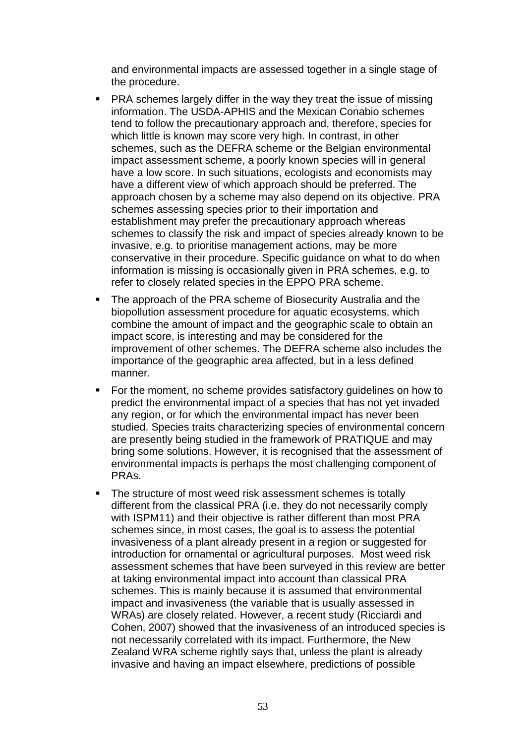and environmental impacts are assessed together in a single stage of the procedure.

- PRA schemes largely differ in the way they treat the issue of missing information. The USDA-APHIS and the Mexican Conabio schemes tend to follow the precautionary approach and, therefore, species for which little is known may score very high. In contrast, in other schemes, such as the DEFRA scheme or the Belgian environmental impact assessment scheme, a poorly known species will in general have a low score. In such situations, ecologists and economists may have a different view of which approach should be preferred. The approach chosen by a scheme may also depend on its objective. PRA schemes assessing species prior to their importation and establishment may prefer the precautionary approach whereas schemes to classify the risk and impact of species already known to be invasive, e.g. to prioritise management actions, may be more conservative in their procedure. Specific guidance on what to do when information is missing is occasionally given in PRA schemes, e.g. to refer to closely related species in the EPPO PRA scheme.
- The approach of the PRA scheme of Biosecurity Australia and the biopollution assessment procedure for aquatic ecosystems, which combine the amount of impact and the geographic scale to obtain an impact score, is interesting and may be considered for the improvement of other schemes. The DEFRA scheme also includes the importance of the geographic area affected, but in a less defined manner.
- For the moment, no scheme provides satisfactory guidelines on how to predict the environmental impact of a species that has not yet invaded any region, or for which the environmental impact has never been studied. Species traits characterizing species of environmental concern are presently being studied in the framework of PRATIQUE and may bring some solutions. However, it is recognised that the assessment of environmental impacts is perhaps the most challenging component of PRAs.
- The structure of most weed risk assessment schemes is totally different from the classical PRA (i.e. they do not necessarily comply with ISPM11) and their objective is rather different than most PRA schemes since, in most cases, the goal is to assess the potential invasiveness of a plant already present in a region or suggested for introduction for ornamental or agricultural purposes. Most weed risk assessment schemes that have been surveyed in this review are better at taking environmental impact into account than classical PRA schemes. This is mainly because it is assumed that environmental impact and invasiveness (the variable that is usually assessed in WRAs) are closely related. However, a recent study (Ricciardi and Cohen, 2007) showed that the invasiveness of an introduced species is not necessarily correlated with its impact. Furthermore, the New Zealand WRA scheme rightly says that, unless the plant is already invasive and having an impact elsewhere, predictions of possible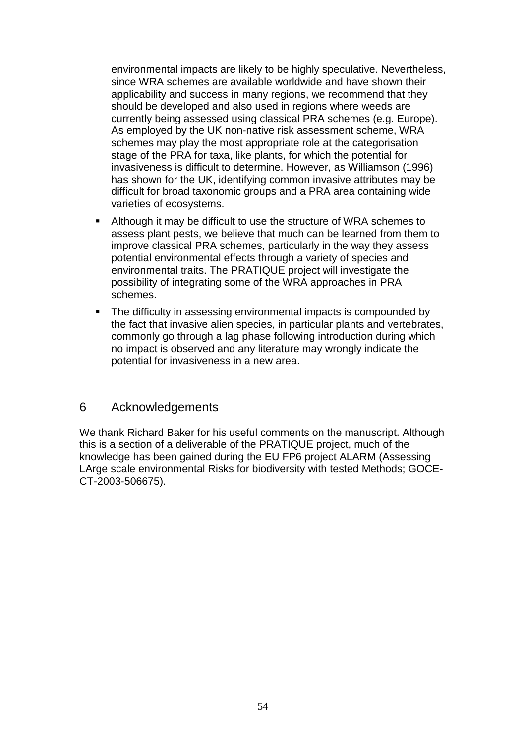environmental impacts are likely to be highly speculative. Nevertheless, since WRA schemes are available worldwide and have shown their applicability and success in many regions, we recommend that they should be developed and also used in regions where weeds are currently being assessed using classical PRA schemes (e.g. Europe). As employed by the UK non-native risk assessment scheme, WRA schemes may play the most appropriate role at the categorisation stage of the PRA for taxa, like plants, for which the potential for invasiveness is difficult to determine. However, as Williamson (1996) has shown for the UK, identifying common invasive attributes may be difficult for broad taxonomic groups and a PRA area containing wide varieties of ecosystems.

- Although it may be difficult to use the structure of WRA schemes to assess plant pests, we believe that much can be learned from them to improve classical PRA schemes, particularly in the way they assess potential environmental effects through a variety of species and environmental traits. The PRATIQUE project will investigate the possibility of integrating some of the WRA approaches in PRA schemes.
- The difficulty in assessing environmental impacts is compounded by the fact that invasive alien species, in particular plants and vertebrates, commonly go through a lag phase following introduction during which no impact is observed and any literature may wrongly indicate the potential for invasiveness in a new area.

### 6 Acknowledgements

We thank Richard Baker for his useful comments on the manuscript. Although this is a section of a deliverable of the PRATIQUE project, much of the knowledge has been gained during the EU FP6 project ALARM (Assessing LArge scale environmental Risks for biodiversity with tested Methods; GOCE-CT-2003-506675).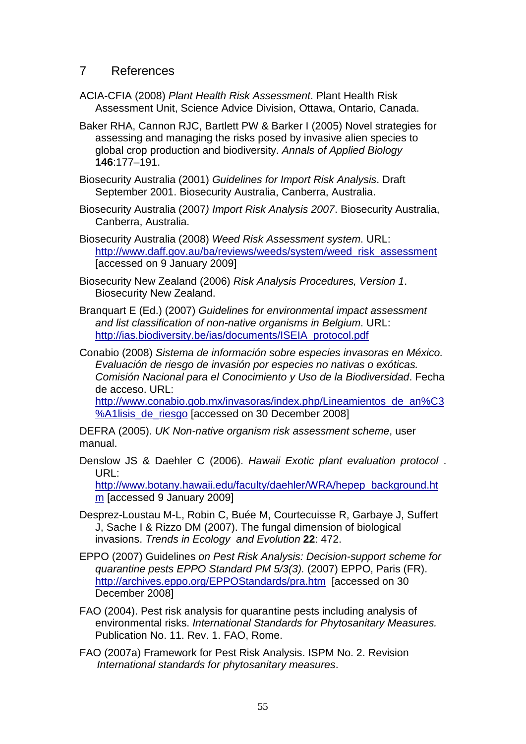# 7 References

- ACIA-CFIA (2008) *Plant Health Risk Assessment*. Plant Health Risk Assessment Unit, Science Advice Division, Ottawa, Ontario, Canada.
- Baker RHA, Cannon RJC, Bartlett PW & Barker I (2005) Novel strategies for assessing and managing the risks posed by invasive alien species to global crop production and biodiversity. *Annals of Applied Biology* **146**:177–191.
- Biosecurity Australia (2001) *Guidelines for Import Risk Analysis*. Draft September 2001. Biosecurity Australia, Canberra, Australia.
- Biosecurity Australia (2007*) Import Risk Analysis 2007*. Biosecurity Australia, Canberra, Australia.
- Biosecurity Australia (2008) *Weed Risk Assessment system*. URL: [http://www.daff.gov.au/ba/reviews/weeds/system/weed\\_risk\\_assessment](http://www.daff.gov.au/ba/reviews/weeds/system/weed_risk_assessment) [accessed on 9 January 2009]
- Biosecurity New Zealand (2006) *Risk Analysis Procedures, Version 1*. Biosecurity New Zealand.
- Branquart E (Ed.) (2007) *Guidelines for environmental impact assessment and list classification of non-native organisms in Belgium*. URL: [http://ias.biodiversity.be/ias/documents/ISEIA\\_protocol.pdf](http://ias.biodiversity.be/ias/documents/ISEIA_protocol.pdf)
- Conabio (2008) *Sistema de información sobre especies invasoras en México. Evaluación de riesgo de invasión por especies no nativas o exóticas. Comisión Nacional para el Conocimiento y Uso de la Biodiversidad*. Fecha de acceso. URL:

[http://www.conabio.gob.mx/invasoras/index.php/Lineamientos\\_de\\_an%C3](http://www.conabio.gob.mx/invasoras/index.php/Lineamientos_de_an%C3%A1lisis_de_riesgo) [%A1lisis\\_de\\_riesgo](http://www.conabio.gob.mx/invasoras/index.php/Lineamientos_de_an%C3%A1lisis_de_riesgo) [accessed on 30 December 2008]

DEFRA (2005). *UK Non-native organism risk assessment scheme*, user manual.

Denslow JS & Daehler C (2006). *Hawaii Exotic plant evaluation protocol* . URL:

[http://www.botany.hawaii.edu/faculty/daehler/WRA/hepep\\_background.ht](http://www.botany.hawaii.edu/faculty/daehler/WRA/hepep_background.htm) [m](http://www.botany.hawaii.edu/faculty/daehler/WRA/hepep_background.htm) [accessed 9 January 2009]

- Desprez-Loustau M-L, Robin C, Buée M, Courtecuisse R, Garbaye J, Suffert J, Sache I & Rizzo DM (2007). The fungal dimension of biological invasions. *Trends in Ecology and Evolution* **22**: 472.
- EPPO (2007) Guidelines *on Pest Risk Analysis: Decision-support scheme for quarantine pests EPPO Standard PM 5/3(3).* (2007) EPPO, Paris (FR). <http://archives.eppo.org/EPPOStandards/pra.htm>[accessed on 30 December 2008]
- FAO (2004). Pest risk analysis for quarantine pests including analysis of environmental risks. *International Standards for Phytosanitary Measures.* Publication No. 11. Rev. 1. FAO, Rome.
- FAO (2007a) Framework for Pest Risk Analysis. ISPM No. 2. Revision *International standards for phytosanitary measures*.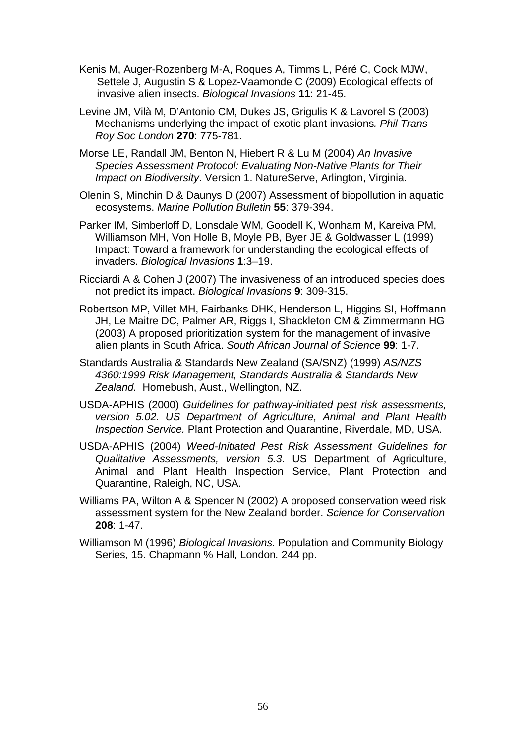- Kenis M, Auger-Rozenberg M-A, Roques A, Timms L, Péré C, Cock MJW, Settele J, Augustin S & Lopez-Vaamonde C (2009) Ecological effects of invasive alien insects. *Biological Invasions* **11**: 21-45.
- Levine JM, Vilà M, D'Antonio CM, Dukes JS, Grigulis K & Lavorel S (2003) Mechanisms underlying the impact of exotic plant invasions*. Phil Trans Roy Soc London* **270**: 775-781.
- Morse LE, Randall JM, Benton N, Hiebert R & Lu M (2004) *An Invasive Species Assessment Protocol: Evaluating Non-Native Plants for Their Impact on Biodiversity*. Version 1. NatureServe, Arlington, Virginia.
- Olenin S, Minchin D & Daunys D (2007) Assessment of biopollution in aquatic ecosystems. *Marine Pollution Bulletin* **55**: 379-394.
- Parker IM, Simberloff D, Lonsdale WM, Goodell K, Wonham M, Kareiva PM, Williamson MH, Von Holle B, Moyle PB, Byer JE & Goldwasser L (1999) Impact: Toward a framework for understanding the ecological effects of invaders. *Biological Invasions* **1**:3–19.
- Ricciardi A & Cohen J (2007) The invasiveness of an introduced species does not predict its impact. *Biological Invasions* **9**: 309-315.
- Robertson MP, Villet MH, Fairbanks DHK, Henderson L, Higgins SI, Hoffmann JH, Le Maitre DC, Palmer AR, Riggs I, Shackleton CM & Zimmermann HG (2003) A proposed prioritization system for the management of invasive alien plants in South Africa. *South African Journal of Science* **99**: 1-7.
- Standards Australia & Standards New Zealand (SA/SNZ) (1999) *AS/NZS 4360:1999 Risk Management, Standards Australia & Standards New Zealand.* Homebush, Aust., Wellington, NZ.
- USDA-APHIS (2000) *Guidelines for pathway-initiated pest risk assessments, version 5.02. US Department of Agriculture, Animal and Plant Health Inspection Service.* Plant Protection and Quarantine, Riverdale, MD, USA.
- USDA-APHIS (2004) *Weed-Initiated Pest Risk Assessment Guidelines for Qualitative Assessments, version 5.3*. US Department of Agriculture, Animal and Plant Health Inspection Service, Plant Protection and Quarantine, Raleigh, NC, USA.
- Williams PA, Wilton A & Spencer N (2002) A proposed conservation weed risk assessment system for the New Zealand border. *Science for Conservation* **208**: 1-47.
- Williamson M (1996) *Biological Invasions*. Population and Community Biology Series, 15. Chapmann % Hall, London*.* 244 pp.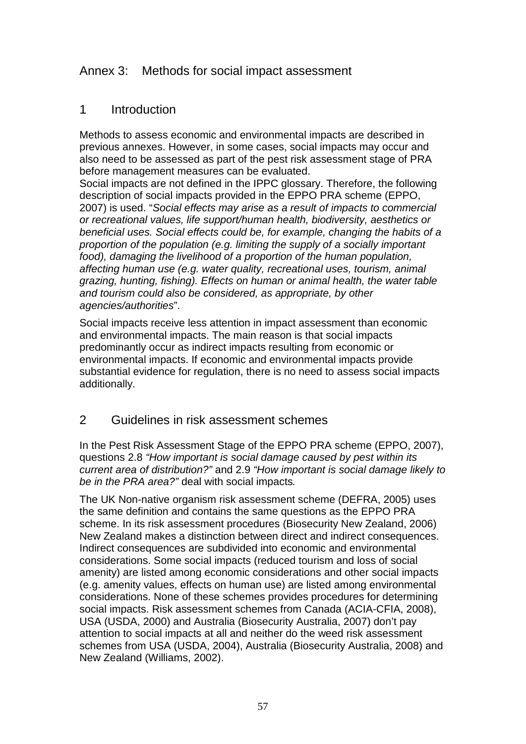# Annex 3: Methods for social impact assessment

## 1 Introduction

Methods to assess economic and environmental impacts are described in previous annexes. However, in some cases, social impacts may occur and also need to be assessed as part of the pest risk assessment stage of PRA before management measures can be evaluated.

Social impacts are not defined in the IPPC glossary. Therefore, the following description of social impacts provided in the EPPO PRA scheme (EPPO, 2007) is used. "*Social effects may arise as a result of impacts to commercial or recreational values, life support/human health, biodiversity, aesthetics or beneficial uses. Social effects could be, for example, changing the habits of a proportion of the population (e.g. limiting the supply of a socially important*  food), damaging the livelihood of a proportion of the human population, *affecting human use (e.g. water quality, recreational uses, tourism, animal grazing, hunting, fishing). Effects on human or animal health, the water table and tourism could also be considered, as appropriate, by other agencies/authorities*".

Social impacts receive less attention in impact assessment than economic and environmental impacts. The main reason is that social impacts predominantly occur as indirect impacts resulting from economic or environmental impacts. If economic and environmental impacts provide substantial evidence for regulation, there is no need to assess social impacts additionally.

## 2 Guidelines in risk assessment schemes

In the Pest Risk Assessment Stage of the EPPO PRA scheme (EPPO, 2007), questions 2.8 *"How important is social damage caused by pest within its current area of distribution?"* and 2.9 *"How important is social damage likely to be in the PRA area?"* deal with social impacts*.* 

The UK Non-native organism risk assessment scheme (DEFRA, 2005) uses the same definition and contains the same questions as the EPPO PRA scheme. In its risk assessment procedures (Biosecurity New Zealand, 2006) New Zealand makes a distinction between direct and indirect consequences. Indirect consequences are subdivided into economic and environmental considerations. Some social impacts (reduced tourism and loss of social amenity) are listed among economic considerations and other social impacts (e.g. amenity values, effects on human use) are listed among environmental considerations. None of these schemes provides procedures for determining social impacts. Risk assessment schemes from Canada (ACIA-CFIA, 2008), USA (USDA, 2000) and Australia (Biosecurity Australia, 2007) don't pay attention to social impacts at all and neither do the weed risk assessment schemes from USA (USDA, 2004), Australia (Biosecurity Australia, 2008) and New Zealand (Williams, 2002).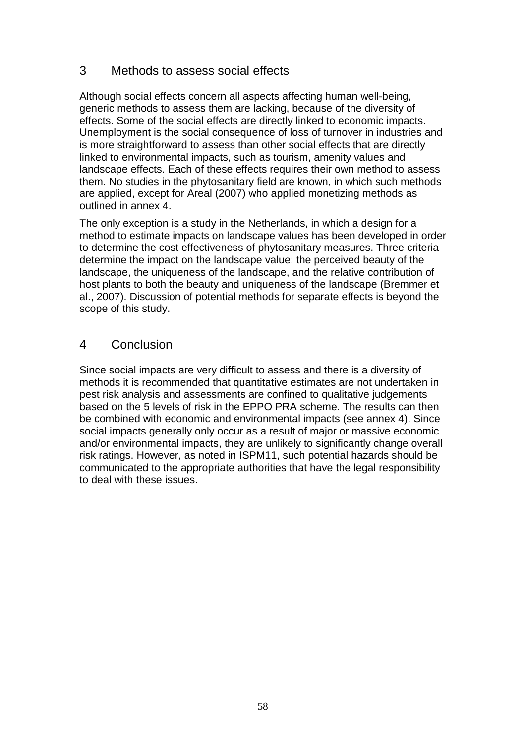# 3 Methods to assess social effects

Although social effects concern all aspects affecting human well-being, generic methods to assess them are lacking, because of the diversity of effects. Some of the social effects are directly linked to economic impacts. Unemployment is the social consequence of loss of turnover in industries and is more straightforward to assess than other social effects that are directly linked to environmental impacts, such as tourism, amenity values and landscape effects. Each of these effects requires their own method to assess them. No studies in the phytosanitary field are known, in which such methods are applied, except for Areal (2007) who applied monetizing methods as outlined in annex 4.

The only exception is a study in the Netherlands, in which a design for a method to estimate impacts on landscape values has been developed in order to determine the cost effectiveness of phytosanitary measures. Three criteria determine the impact on the landscape value: the perceived beauty of the landscape, the uniqueness of the landscape, and the relative contribution of host plants to both the beauty and uniqueness of the landscape (Bremmer et al., 2007). Discussion of potential methods for separate effects is beyond the scope of this study.

## 4 Conclusion

Since social impacts are very difficult to assess and there is a diversity of methods it is recommended that quantitative estimates are not undertaken in pest risk analysis and assessments are confined to qualitative judgements based on the 5 levels of risk in the EPPO PRA scheme. The results can then be combined with economic and environmental impacts (see annex 4). Since social impacts generally only occur as a result of major or massive economic and/or environmental impacts, they are unlikely to significantly change overall risk ratings. However, as noted in ISPM11, such potential hazards should be communicated to the appropriate authorities that have the legal responsibility to deal with these issues.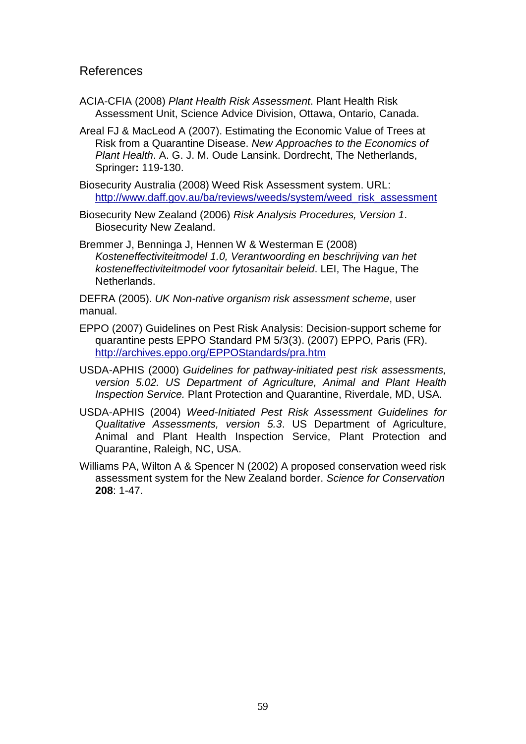#### References

- ACIA-CFIA (2008) *Plant Health Risk Assessment*. Plant Health Risk Assessment Unit, Science Advice Division, Ottawa, Ontario, Canada.
- Areal FJ & MacLeod A (2007). Estimating the Economic Value of Trees at Risk from a Quarantine Disease. *New Approaches to the Economics of Plant Health*. A. G. J. M. Oude Lansink. Dordrecht, The Netherlands, Springer**:** 119-130.
- Biosecurity Australia (2008) Weed Risk Assessment system. URL: [http://www.daff.gov.au/ba/reviews/weeds/system/weed\\_risk\\_assessment](http://www.daff.gov.au/ba/reviews/weeds/system/weed_risk_assessment)
- Biosecurity New Zealand (2006) *Risk Analysis Procedures, Version 1*. Biosecurity New Zealand.
- Bremmer J, Benninga J, Hennen W & Westerman E (2008) *Kosteneffectiviteitmodel 1.0, Verantwoording en beschrijving van het kosteneffectiviteitmodel voor fytosanitair beleid*. LEI, The Hague, The Netherlands.

DEFRA (2005). *UK Non-native organism risk assessment scheme*, user manual.

- EPPO (2007) Guidelines on Pest Risk Analysis: Decision-support scheme for quarantine pests EPPO Standard PM 5/3(3). (2007) EPPO, Paris (FR). <http://archives.eppo.org/EPPOStandards/pra.htm>
- USDA-APHIS (2000) *Guidelines for pathway-initiated pest risk assessments, version 5.02. US Department of Agriculture, Animal and Plant Health Inspection Service.* Plant Protection and Quarantine, Riverdale, MD, USA.
- USDA-APHIS (2004) *Weed-Initiated Pest Risk Assessment Guidelines for Qualitative Assessments, version 5.3*. US Department of Agriculture, Animal and Plant Health Inspection Service, Plant Protection and Quarantine, Raleigh, NC, USA.
- Williams PA, Wilton A & Spencer N (2002) A proposed conservation weed risk assessment system for the New Zealand border. *Science for Conservation* **208**: 1-47.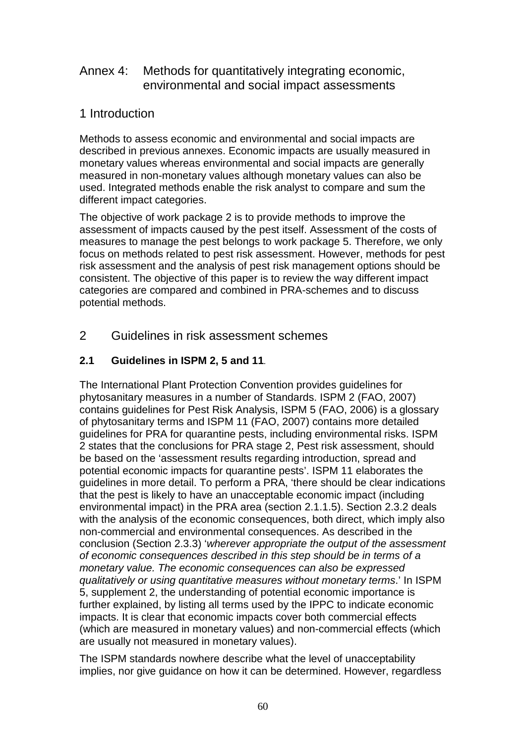# Annex 4: Methods for quantitatively integrating economic, environmental and social impact assessments

# 1 Introduction

Methods to assess economic and environmental and social impacts are described in previous annexes. Economic impacts are usually measured in monetary values whereas environmental and social impacts are generally measured in non-monetary values although monetary values can also be used. Integrated methods enable the risk analyst to compare and sum the different impact categories.

The objective of work package 2 is to provide methods to improve the assessment of impacts caused by the pest itself. Assessment of the costs of measures to manage the pest belongs to work package 5. Therefore, we only focus on methods related to pest risk assessment. However, methods for pest risk assessment and the analysis of pest risk management options should be consistent. The objective of this paper is to review the way different impact categories are compared and combined in PRA-schemes and to discuss potential methods.

# 2 Guidelines in risk assessment schemes

## **2.1 Guidelines in ISPM 2, 5 and 11***.*

The International Plant Protection Convention provides guidelines for phytosanitary measures in a number of Standards. ISPM 2 (FAO, 2007) contains guidelines for Pest Risk Analysis, ISPM 5 (FAO, 2006) is a glossary of phytosanitary terms and ISPM 11 (FAO, 2007) contains more detailed guidelines for PRA for quarantine pests, including environmental risks. ISPM 2 states that the conclusions for PRA stage 2, Pest risk assessment, should be based on the 'assessment results regarding introduction, spread and potential economic impacts for quarantine pests'. ISPM 11 elaborates the guidelines in more detail. To perform a PRA, 'there should be clear indications that the pest is likely to have an unacceptable economic impact (including environmental impact) in the PRA area (section 2.1.1.5). Section 2.3.2 deals with the analysis of the economic consequences, both direct, which imply also non-commercial and environmental consequences. As described in the conclusion (Section 2.3.3) '*wherever appropriate the output of the assessment of economic consequences described in this step should be in terms of a monetary value. The economic consequences can also be expressed qualitatively or using quantitative measures without monetary terms*.' In ISPM 5, supplement 2, the understanding of potential economic importance is further explained, by listing all terms used by the IPPC to indicate economic impacts. It is clear that economic impacts cover both commercial effects (which are measured in monetary values) and non-commercial effects (which are usually not measured in monetary values).

The ISPM standards nowhere describe what the level of unacceptability implies, nor give guidance on how it can be determined. However, regardless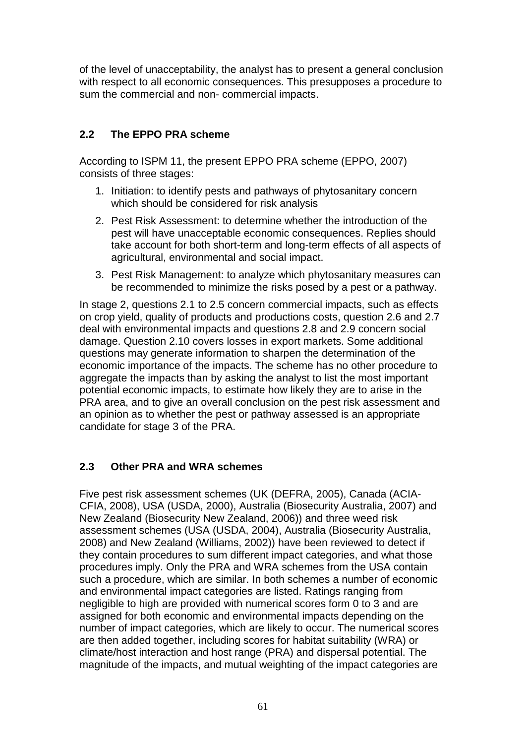of the level of unacceptability, the analyst has to present a general conclusion with respect to all economic consequences. This presupposes a procedure to sum the commercial and non- commercial impacts.

## **2.2 The EPPO PRA scheme**

According to ISPM 11, the present EPPO PRA scheme (EPPO, 2007) consists of three stages:

- 1. Initiation: to identify pests and pathways of phytosanitary concern which should be considered for risk analysis
- 2. Pest Risk Assessment: to determine whether the introduction of the pest will have unacceptable economic consequences. Replies should take account for both short-term and long-term effects of all aspects of agricultural, environmental and social impact.
- 3. Pest Risk Management: to analyze which phytosanitary measures can be recommended to minimize the risks posed by a pest or a pathway.

In stage 2, questions 2.1 to 2.5 concern commercial impacts, such as effects on crop yield, quality of products and productions costs, question 2.6 and 2.7 deal with environmental impacts and questions 2.8 and 2.9 concern social damage. Question 2.10 covers losses in export markets. Some additional questions may generate information to sharpen the determination of the economic importance of the impacts. The scheme has no other procedure to aggregate the impacts than by asking the analyst to list the most important potential economic impacts, to estimate how likely they are to arise in the PRA area, and to give an overall conclusion on the pest risk assessment and an opinion as to whether the pest or pathway assessed is an appropriate candidate for stage 3 of the PRA.

### **2.3 Other PRA and WRA schemes**

Five pest risk assessment schemes (UK (DEFRA, 2005), Canada (ACIA-CFIA, 2008), USA (USDA, 2000), Australia (Biosecurity Australia, 2007) and New Zealand (Biosecurity New Zealand, 2006)) and three weed risk assessment schemes (USA (USDA, 2004), Australia (Biosecurity Australia, 2008) and New Zealand (Williams, 2002)) have been reviewed to detect if they contain procedures to sum different impact categories, and what those procedures imply. Only the PRA and WRA schemes from the USA contain such a procedure, which are similar. In both schemes a number of economic and environmental impact categories are listed. Ratings ranging from negligible to high are provided with numerical scores form 0 to 3 and are assigned for both economic and environmental impacts depending on the number of impact categories, which are likely to occur. The numerical scores are then added together, including scores for habitat suitability (WRA) or climate/host interaction and host range (PRA) and dispersal potential. The magnitude of the impacts, and mutual weighting of the impact categories are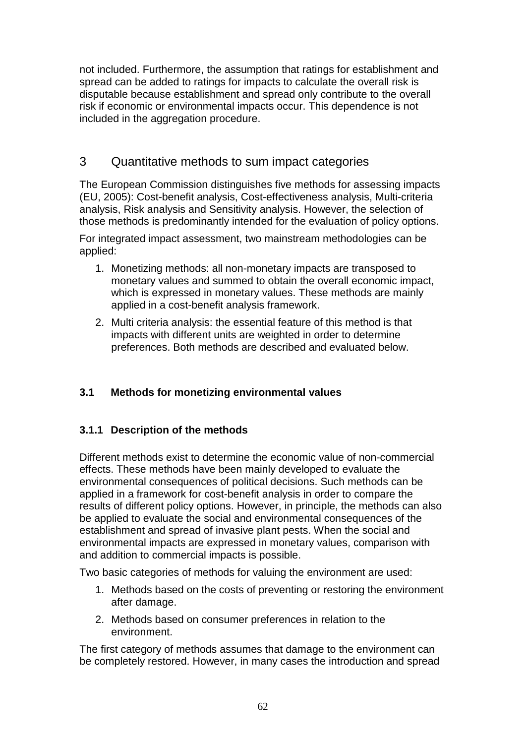not included. Furthermore, the assumption that ratings for establishment and spread can be added to ratings for impacts to calculate the overall risk is disputable because establishment and spread only contribute to the overall risk if economic or environmental impacts occur. This dependence is not included in the aggregation procedure.

# 3 Quantitative methods to sum impact categories

The European Commission distinguishes five methods for assessing impacts (EU, 2005): Cost-benefit analysis, Cost-effectiveness analysis, Multi-criteria analysis, Risk analysis and Sensitivity analysis. However, the selection of those methods is predominantly intended for the evaluation of policy options.

For integrated impact assessment, two mainstream methodologies can be applied:

- 1. Monetizing methods: all non-monetary impacts are transposed to monetary values and summed to obtain the overall economic impact, which is expressed in monetary values. These methods are mainly applied in a cost-benefit analysis framework.
- 2. Multi criteria analysis: the essential feature of this method is that impacts with different units are weighted in order to determine preferences. Both methods are described and evaluated below.

## **3.1 Methods for monetizing environmental values**

### **3.1.1 Description of the methods**

Different methods exist to determine the economic value of non-commercial effects. These methods have been mainly developed to evaluate the environmental consequences of political decisions. Such methods can be applied in a framework for cost-benefit analysis in order to compare the results of different policy options. However, in principle, the methods can also be applied to evaluate the social and environmental consequences of the establishment and spread of invasive plant pests. When the social and environmental impacts are expressed in monetary values, comparison with and addition to commercial impacts is possible.

Two basic categories of methods for valuing the environment are used:

- 1. Methods based on the costs of preventing or restoring the environment after damage.
- 2. Methods based on consumer preferences in relation to the environment.

The first category of methods assumes that damage to the environment can be completely restored. However, in many cases the introduction and spread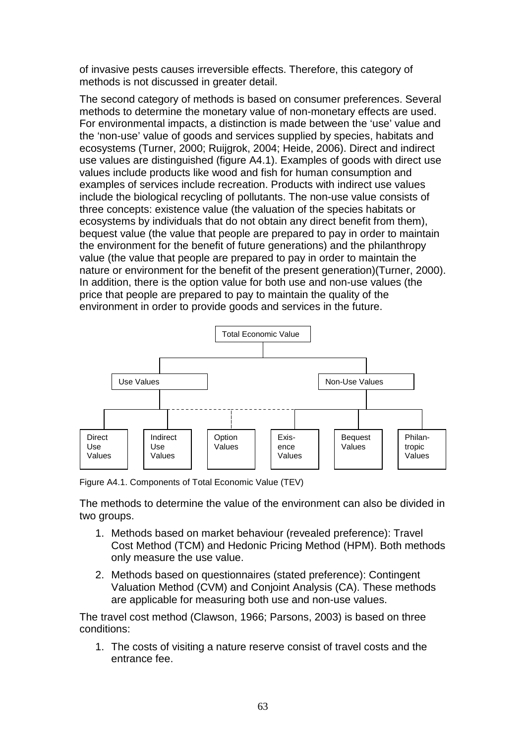of invasive pests causes irreversible effects. Therefore, this category of methods is not discussed in greater detail.

The second category of methods is based on consumer preferences. Several methods to determine the monetary value of non-monetary effects are used. For environmental impacts, a distinction is made between the 'use' value and the 'non-use' value of goods and services supplied by species, habitats and ecosystems (Turner, 2000; Ruijgrok, 2004; Heide, 2006). Direct and indirect use values are distinguished (figure A4.1). Examples of goods with direct use values include products like wood and fish for human consumption and examples of services include recreation. Products with indirect use values include the biological recycling of pollutants. The non-use value consists of three concepts: existence value (the valuation of the species habitats or ecosystems by individuals that do not obtain any direct benefit from them), bequest value (the value that people are prepared to pay in order to maintain the environment for the benefit of future generations) and the philanthropy value (the value that people are prepared to pay in order to maintain the nature or environment for the benefit of the present generation)(Turner, 2000). In addition, there is the option value for both use and non-use values (the price that people are prepared to pay to maintain the quality of the environment in order to provide goods and services in the future.



Figure A4.1. Components of Total Economic Value (TEV)

The methods to determine the value of the environment can also be divided in two groups.

- 1. Methods based on market behaviour (revealed preference): Travel Cost Method (TCM) and Hedonic Pricing Method (HPM). Both methods only measure the use value.
- 2. Methods based on questionnaires (stated preference): Contingent Valuation Method (CVM) and Conjoint Analysis (CA). These methods are applicable for measuring both use and non-use values.

The travel cost method (Clawson, 1966; Parsons, 2003) is based on three conditions:

1. The costs of visiting a nature reserve consist of travel costs and the entrance fee.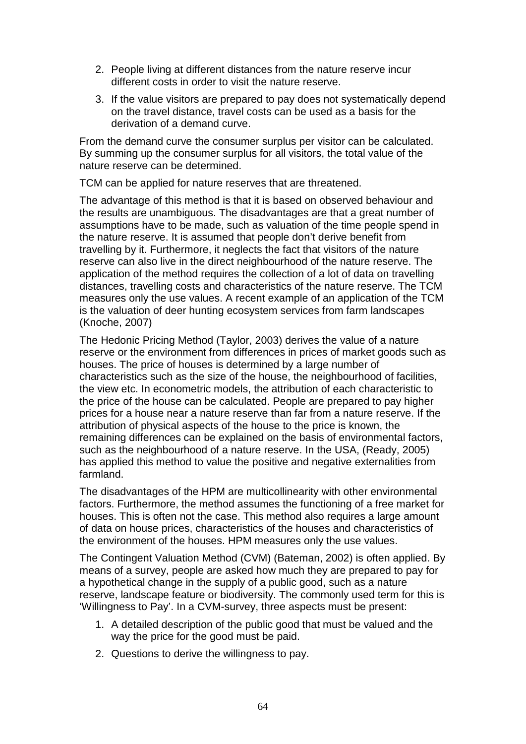- 2. People living at different distances from the nature reserve incur different costs in order to visit the nature reserve.
- 3. If the value visitors are prepared to pay does not systematically depend on the travel distance, travel costs can be used as a basis for the derivation of a demand curve.

From the demand curve the consumer surplus per visitor can be calculated. By summing up the consumer surplus for all visitors, the total value of the nature reserve can be determined.

TCM can be applied for nature reserves that are threatened.

The advantage of this method is that it is based on observed behaviour and the results are unambiguous. The disadvantages are that a great number of assumptions have to be made, such as valuation of the time people spend in the nature reserve. It is assumed that people don't derive benefit from travelling by it. Furthermore, it neglects the fact that visitors of the nature reserve can also live in the direct neighbourhood of the nature reserve. The application of the method requires the collection of a lot of data on travelling distances, travelling costs and characteristics of the nature reserve. The TCM measures only the use values. A recent example of an application of the TCM is the valuation of deer hunting ecosystem services from farm landscapes (Knoche, 2007)

The Hedonic Pricing Method (Taylor, 2003) derives the value of a nature reserve or the environment from differences in prices of market goods such as houses. The price of houses is determined by a large number of characteristics such as the size of the house, the neighbourhood of facilities, the view etc. In econometric models, the attribution of each characteristic to the price of the house can be calculated. People are prepared to pay higher prices for a house near a nature reserve than far from a nature reserve. If the attribution of physical aspects of the house to the price is known, the remaining differences can be explained on the basis of environmental factors, such as the neighbourhood of a nature reserve. In the USA, (Ready, 2005) has applied this method to value the positive and negative externalities from farmland.

The disadvantages of the HPM are multicollinearity with other environmental factors. Furthermore, the method assumes the functioning of a free market for houses. This is often not the case. This method also requires a large amount of data on house prices, characteristics of the houses and characteristics of the environment of the houses. HPM measures only the use values.

The Contingent Valuation Method (CVM) (Bateman, 2002) is often applied. By means of a survey, people are asked how much they are prepared to pay for a hypothetical change in the supply of a public good, such as a nature reserve, landscape feature or biodiversity. The commonly used term for this is 'Willingness to Pay'. In a CVM-survey, three aspects must be present:

- 1. A detailed description of the public good that must be valued and the way the price for the good must be paid.
- 2. Questions to derive the willingness to pay.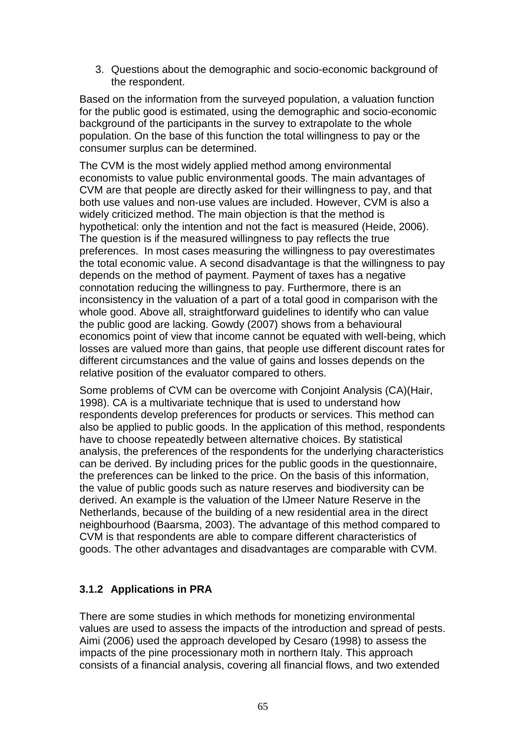3. Questions about the demographic and socio-economic background of the respondent.

Based on the information from the surveyed population, a valuation function for the public good is estimated, using the demographic and socio-economic background of the participants in the survey to extrapolate to the whole population. On the base of this function the total willingness to pay or the consumer surplus can be determined.

The CVM is the most widely applied method among environmental economists to value public environmental goods. The main advantages of CVM are that people are directly asked for their willingness to pay, and that both use values and non-use values are included. However, CVM is also a widely criticized method. The main objection is that the method is hypothetical: only the intention and not the fact is measured (Heide, 2006). The question is if the measured willingness to pay reflects the true preferences. In most cases measuring the willingness to pay overestimates the total economic value. A second disadvantage is that the willingness to pay depends on the method of payment. Payment of taxes has a negative connotation reducing the willingness to pay. Furthermore, there is an inconsistency in the valuation of a part of a total good in comparison with the whole good. Above all, straightforward guidelines to identify who can value the public good are lacking. Gowdy (2007) shows from a behavioural economics point of view that income cannot be equated with well-being, which losses are valued more than gains, that people use different discount rates for different circumstances and the value of gains and losses depends on the relative position of the evaluator compared to others.

Some problems of CVM can be overcome with Conjoint Analysis (CA)(Hair, 1998). CA is a multivariate technique that is used to understand how respondents develop preferences for products or services. This method can also be applied to public goods. In the application of this method, respondents have to choose repeatedly between alternative choices. By statistical analysis, the preferences of the respondents for the underlying characteristics can be derived. By including prices for the public goods in the questionnaire, the preferences can be linked to the price. On the basis of this information, the value of public goods such as nature reserves and biodiversity can be derived. An example is the valuation of the IJmeer Nature Reserve in the Netherlands, because of the building of a new residential area in the direct neighbourhood (Baarsma, 2003). The advantage of this method compared to CVM is that respondents are able to compare different characteristics of goods. The other advantages and disadvantages are comparable with CVM.

### **3.1.2 Applications in PRA**

There are some studies in which methods for monetizing environmental values are used to assess the impacts of the introduction and spread of pests. Aimi (2006) used the approach developed by Cesaro (1998) to assess the impacts of the pine processionary moth in northern Italy. This approach consists of a financial analysis, covering all financial flows, and two extended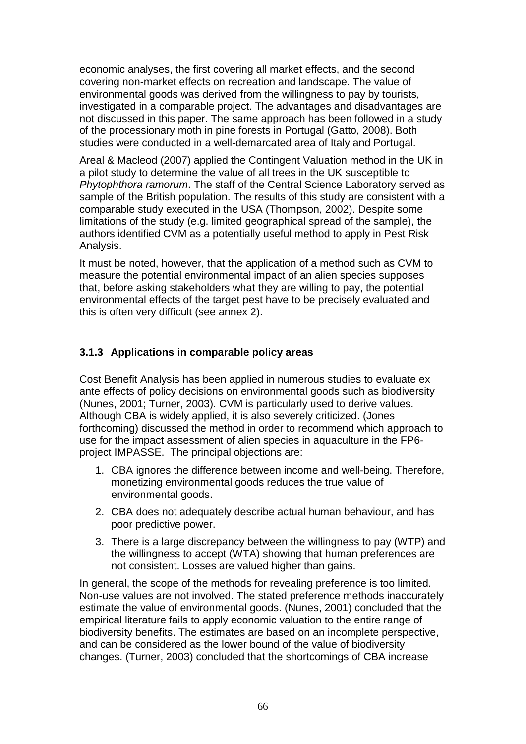economic analyses, the first covering all market effects, and the second covering non-market effects on recreation and landscape. The value of environmental goods was derived from the willingness to pay by tourists, investigated in a comparable project. The advantages and disadvantages are not discussed in this paper. The same approach has been followed in a study of the processionary moth in pine forests in Portugal (Gatto, 2008). Both studies were conducted in a well-demarcated area of Italy and Portugal.

Areal & Macleod (2007) applied the Contingent Valuation method in the UK in a pilot study to determine the value of all trees in the UK susceptible to *Phytophthora ramorum*. The staff of the Central Science Laboratory served as sample of the British population. The results of this study are consistent with a comparable study executed in the USA (Thompson, 2002). Despite some limitations of the study (e.g. limited geographical spread of the sample), the authors identified CVM as a potentially useful method to apply in Pest Risk Analysis.

It must be noted, however, that the application of a method such as CVM to measure the potential environmental impact of an alien species supposes that, before asking stakeholders what they are willing to pay, the potential environmental effects of the target pest have to be precisely evaluated and this is often very difficult (see annex 2).

## **3.1.3 Applications in comparable policy areas**

Cost Benefit Analysis has been applied in numerous studies to evaluate ex ante effects of policy decisions on environmental goods such as biodiversity (Nunes, 2001; Turner, 2003). CVM is particularly used to derive values. Although CBA is widely applied, it is also severely criticized. (Jones forthcoming) discussed the method in order to recommend which approach to use for the impact assessment of alien species in aquaculture in the FP6 project IMPASSE. The principal objections are:

- 1. CBA ignores the difference between income and well-being. Therefore, monetizing environmental goods reduces the true value of environmental goods.
- 2. CBA does not adequately describe actual human behaviour, and has poor predictive power.
- 3. There is a large discrepancy between the willingness to pay (WTP) and the willingness to accept (WTA) showing that human preferences are not consistent. Losses are valued higher than gains.

In general, the scope of the methods for revealing preference is too limited. Non-use values are not involved. The stated preference methods inaccurately estimate the value of environmental goods. (Nunes, 2001) concluded that the empirical literature fails to apply economic valuation to the entire range of biodiversity benefits. The estimates are based on an incomplete perspective, and can be considered as the lower bound of the value of biodiversity changes. (Turner, 2003) concluded that the shortcomings of CBA increase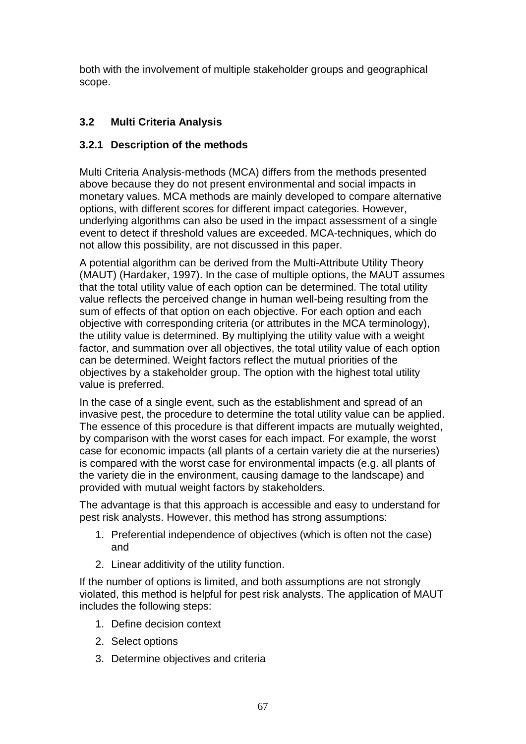both with the involvement of multiple stakeholder groups and geographical scope.

# **3.2 Multi Criteria Analysis**

## **3.2.1 Description of the methods**

Multi Criteria Analysis-methods (MCA) differs from the methods presented above because they do not present environmental and social impacts in monetary values. MCA methods are mainly developed to compare alternative options, with different scores for different impact categories. However, underlying algorithms can also be used in the impact assessment of a single event to detect if threshold values are exceeded. MCA-techniques, which do not allow this possibility, are not discussed in this paper.

A potential algorithm can be derived from the Multi-Attribute Utility Theory (MAUT) (Hardaker, 1997). In the case of multiple options, the MAUT assumes that the total utility value of each option can be determined. The total utility value reflects the perceived change in human well-being resulting from the sum of effects of that option on each objective. For each option and each objective with corresponding criteria (or attributes in the MCA terminology), the utility value is determined. By multiplying the utility value with a weight factor, and summation over all objectives, the total utility value of each option can be determined. Weight factors reflect the mutual priorities of the objectives by a stakeholder group. The option with the highest total utility value is preferred.

In the case of a single event, such as the establishment and spread of an invasive pest, the procedure to determine the total utility value can be applied. The essence of this procedure is that different impacts are mutually weighted, by comparison with the worst cases for each impact. For example, the worst case for economic impacts (all plants of a certain variety die at the nurseries) is compared with the worst case for environmental impacts (e.g. all plants of the variety die in the environment, causing damage to the landscape) and provided with mutual weight factors by stakeholders.

The advantage is that this approach is accessible and easy to understand for pest risk analysts. However, this method has strong assumptions:

- 1. Preferential independence of objectives (which is often not the case) and
- 2. Linear additivity of the utility function.

If the number of options is limited, and both assumptions are not strongly violated, this method is helpful for pest risk analysts. The application of MAUT includes the following steps:

- 1. Define decision context
- 2. Select options
- 3. Determine objectives and criteria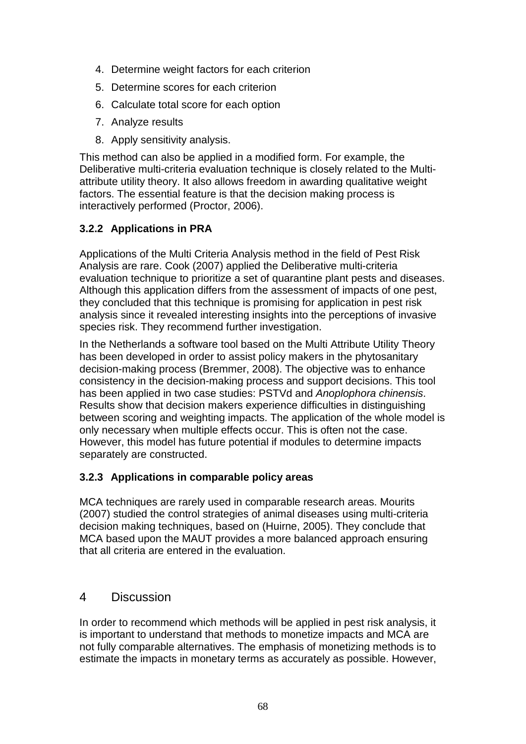- 4. Determine weight factors for each criterion
- 5. Determine scores for each criterion
- 6. Calculate total score for each option
- 7. Analyze results
- 8. Apply sensitivity analysis.

This method can also be applied in a modified form. For example, the Deliberative multi-criteria evaluation technique is closely related to the Multiattribute utility theory. It also allows freedom in awarding qualitative weight factors. The essential feature is that the decision making process is interactively performed (Proctor, 2006).

### **3.2.2 Applications in PRA**

Applications of the Multi Criteria Analysis method in the field of Pest Risk Analysis are rare. Cook (2007) applied the Deliberative multi-criteria evaluation technique to prioritize a set of quarantine plant pests and diseases. Although this application differs from the assessment of impacts of one pest, they concluded that this technique is promising for application in pest risk analysis since it revealed interesting insights into the perceptions of invasive species risk. They recommend further investigation.

In the Netherlands a software tool based on the Multi Attribute Utility Theory has been developed in order to assist policy makers in the phytosanitary decision-making process (Bremmer, 2008). The objective was to enhance consistency in the decision-making process and support decisions. This tool has been applied in two case studies: PSTVd and *Anoplophora chinensis*. Results show that decision makers experience difficulties in distinguishing between scoring and weighting impacts. The application of the whole model is only necessary when multiple effects occur. This is often not the case. However, this model has future potential if modules to determine impacts separately are constructed.

### **3.2.3 Applications in comparable policy areas**

MCA techniques are rarely used in comparable research areas. Mourits (2007) studied the control strategies of animal diseases using multi-criteria decision making techniques, based on (Huirne, 2005). They conclude that MCA based upon the MAUT provides a more balanced approach ensuring that all criteria are entered in the evaluation.

### 4 Discussion

In order to recommend which methods will be applied in pest risk analysis, it is important to understand that methods to monetize impacts and MCA are not fully comparable alternatives. The emphasis of monetizing methods is to estimate the impacts in monetary terms as accurately as possible. However,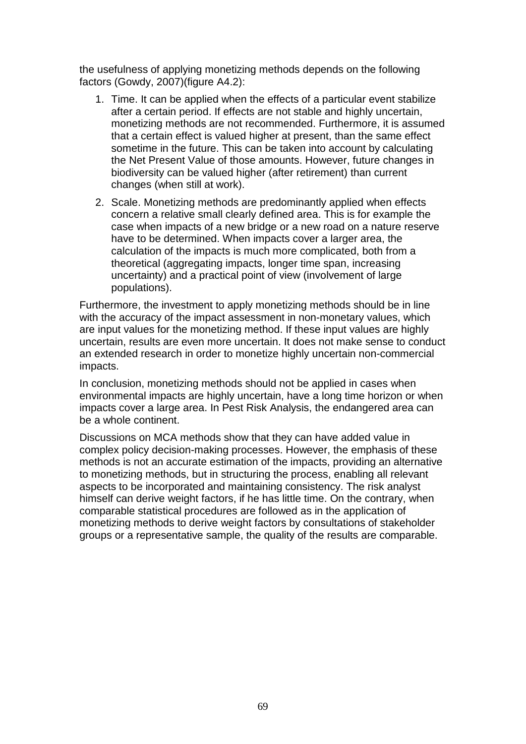the usefulness of applying monetizing methods depends on the following factors (Gowdy, 2007)(figure A4.2):

- 1. Time. It can be applied when the effects of a particular event stabilize after a certain period. If effects are not stable and highly uncertain, monetizing methods are not recommended. Furthermore, it is assumed that a certain effect is valued higher at present, than the same effect sometime in the future. This can be taken into account by calculating the Net Present Value of those amounts. However, future changes in biodiversity can be valued higher (after retirement) than current changes (when still at work).
- 2. Scale. Monetizing methods are predominantly applied when effects concern a relative small clearly defined area. This is for example the case when impacts of a new bridge or a new road on a nature reserve have to be determined. When impacts cover a larger area, the calculation of the impacts is much more complicated, both from a theoretical (aggregating impacts, longer time span, increasing uncertainty) and a practical point of view (involvement of large populations).

Furthermore, the investment to apply monetizing methods should be in line with the accuracy of the impact assessment in non-monetary values, which are input values for the monetizing method. If these input values are highly uncertain, results are even more uncertain. It does not make sense to conduct an extended research in order to monetize highly uncertain non-commercial impacts.

In conclusion, monetizing methods should not be applied in cases when environmental impacts are highly uncertain, have a long time horizon or when impacts cover a large area. In Pest Risk Analysis, the endangered area can be a whole continent.

Discussions on MCA methods show that they can have added value in complex policy decision-making processes. However, the emphasis of these methods is not an accurate estimation of the impacts, providing an alternative to monetizing methods, but in structuring the process, enabling all relevant aspects to be incorporated and maintaining consistency. The risk analyst himself can derive weight factors, if he has little time. On the contrary, when comparable statistical procedures are followed as in the application of monetizing methods to derive weight factors by consultations of stakeholder groups or a representative sample, the quality of the results are comparable.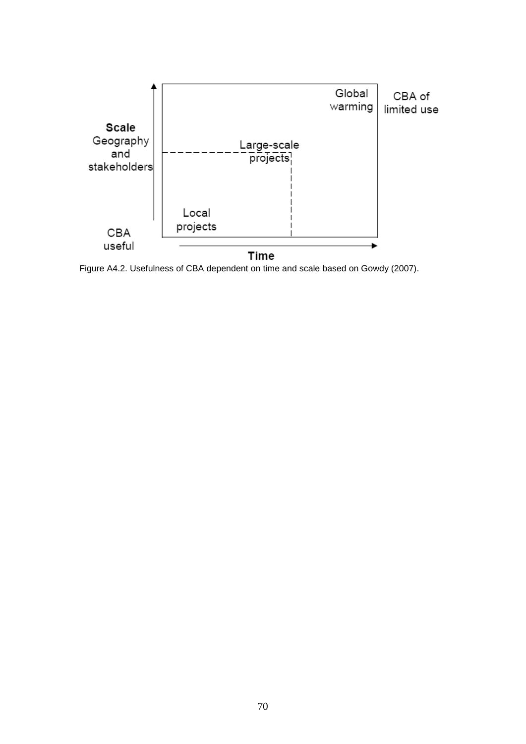

Figure A4.2. Usefulness of CBA dependent on time and scale based on Gowdy (2007).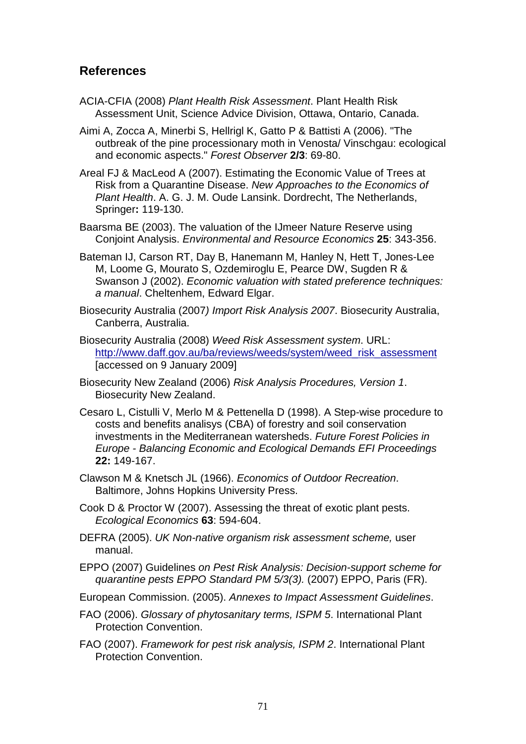## **References**

- ACIA-CFIA (2008) *Plant Health Risk Assessment*. Plant Health Risk Assessment Unit, Science Advice Division, Ottawa, Ontario, Canada.
- Aimi A, Zocca A, Minerbi S, Hellrigl K, Gatto P & Battisti A (2006). "The outbreak of the pine processionary moth in Venosta/ Vinschgau: ecological and economic aspects." *Forest Observer* **2/3**: 69-80.
- Areal FJ & MacLeod A (2007). Estimating the Economic Value of Trees at Risk from a Quarantine Disease. *New Approaches to the Economics of Plant Health*. A. G. J. M. Oude Lansink. Dordrecht, The Netherlands, Springer**:** 119-130.
- Baarsma BE (2003). The valuation of the IJmeer Nature Reserve using Conjoint Analysis. *Environmental and Resource Economics* **25**: 343-356.
- Bateman IJ, Carson RT, Day B, Hanemann M, Hanley N, Hett T, Jones-Lee M, Loome G, Mourato S, Ozdemiroglu E, Pearce DW, Sugden R & Swanson J (2002). *Economic valuation with stated preference techniques: a manual*. Cheltenhem, Edward Elgar.
- Biosecurity Australia (2007*) Import Risk Analysis 2007*. Biosecurity Australia, Canberra, Australia.
- Biosecurity Australia (2008) *Weed Risk Assessment system*. URL: [http://www.daff.gov.au/ba/reviews/weeds/system/weed\\_risk\\_assessment](http://www.daff.gov.au/ba/reviews/weeds/system/weed_risk_assessment) [accessed on 9 January 2009]
- Biosecurity New Zealand (2006) *Risk Analysis Procedures, Version 1*. Biosecurity New Zealand.
- Cesaro L, Cistulli V, Merlo M & Pettenella D (1998). A Step-wise procedure to costs and benefits analisys (CBA) of forestry and soil conservation investments in the Mediterranean watersheds. *Future Forest Policies in Europe - Balancing Economic and Ecological Demands EFI Proceedings* **22:** 149-167.
- Clawson M & Knetsch JL (1966). *Economics of Outdoor Recreation*. Baltimore, Johns Hopkins University Press.
- Cook D & Proctor W (2007). Assessing the threat of exotic plant pests. *Ecological Economics* **63**: 594-604.
- DEFRA (2005). *UK Non-native organism risk assessment scheme,* user manual.
- EPPO (2007) Guidelines *on Pest Risk Analysis: Decision-support scheme for quarantine pests EPPO Standard PM 5/3(3).* (2007) EPPO, Paris (FR).
- European Commission. (2005). *Annexes to Impact Assessment Guidelines*.
- FAO (2006). *Glossary of phytosanitary terms, ISPM 5*. International Plant Protection Convention.
- FAO (2007). *Framework for pest risk analysis, ISPM 2*. International Plant Protection Convention.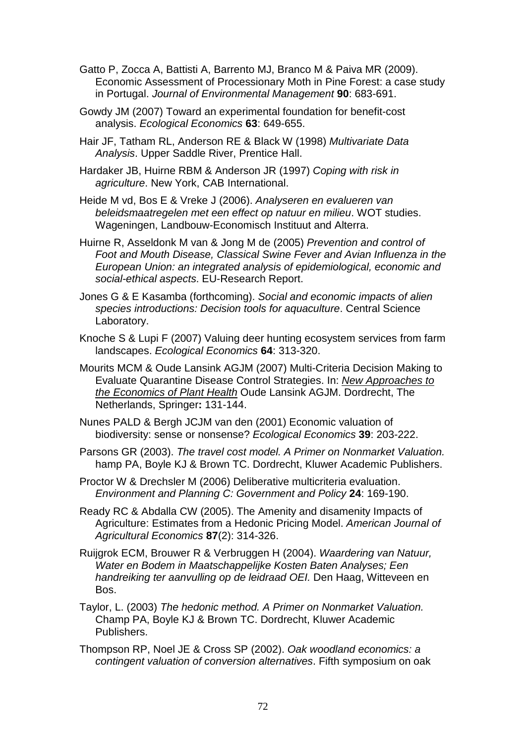- Gatto P, Zocca A, Battisti A, Barrento MJ, Branco M & Paiva MR (2009). Economic Assessment of Processionary Moth in Pine Forest: a case study in Portugal. *Journal of Environmental Management* **90**: 683-691.
- Gowdy JM (2007) Toward an experimental foundation for benefit-cost analysis. *Ecological Economics* **63**: 649-655.
- Hair JF, Tatham RL, Anderson RE & Black W (1998) *Multivariate Data Analysis*. Upper Saddle River, Prentice Hall.
- Hardaker JB, Huirne RBM & Anderson JR (1997) *Coping with risk in agriculture*. New York, CAB International.
- Heide M vd, Bos E & Vreke J (2006). *Analyseren en evalueren van beleidsmaatregelen met een effect op natuur en milieu*. WOT studies. Wageningen, Landbouw-Economisch Instituut and Alterra.
- Huirne R, Asseldonk M van & Jong M de (2005) *Prevention and control of Foot and Mouth Disease, Classical Swine Fever and Avian Influenza in the European Union: an integrated analysis of epidemiological, economic and social-ethical aspects*. EU-Research Report.
- Jones G & E Kasamba (forthcoming). *Social and economic impacts of alien species introductions: Decision tools for aquaculture*. Central Science Laboratory.
- Knoche S & Lupi F (2007) Valuing deer hunting ecosystem services from farm landscapes. *Ecological Economics* **64**: 313-320.
- Mourits MCM & Oude Lansink AGJM (2007) Multi-Criteria Decision Making to Evaluate Quarantine Disease Control Strategies. In: *New Approaches to the Economics of Plant Health* Oude Lansink AGJM. Dordrecht, The Netherlands, Springer**:** 131-144.
- Nunes PALD & Bergh JCJM van den (2001) Economic valuation of biodiversity: sense or nonsense? *Ecological Economics* **39**: 203-222.
- Parsons GR (2003). *The travel cost model. A Primer on Nonmarket Valuation.* hamp PA, Boyle KJ & Brown TC. Dordrecht, Kluwer Academic Publishers.
- Proctor W & Drechsler M (2006) Deliberative multicriteria evaluation. *Environment and Planning C: Government and Policy* **24**: 169-190.
- Ready RC & Abdalla CW (2005). The Amenity and disamenity Impacts of Agriculture: Estimates from a Hedonic Pricing Model. *American Journal of Agricultural Economics* **87**(2): 314-326.
- Ruijgrok ECM, Brouwer R & Verbruggen H (2004). *Waardering van Natuur, Water en Bodem in Maatschappelijke Kosten Baten Analyses; Een handreiking ter aanvulling op de leidraad OEI.* Den Haag, Witteveen en Bos.
- Taylor, L. (2003) *The hedonic method. A Primer on Nonmarket Valuation.* Champ PA, Boyle KJ & Brown TC. Dordrecht, Kluwer Academic Publishers.
- Thompson RP, Noel JE & Cross SP (2002). *Oak woodland economics: a contingent valuation of conversion alternatives*. Fifth symposium on oak